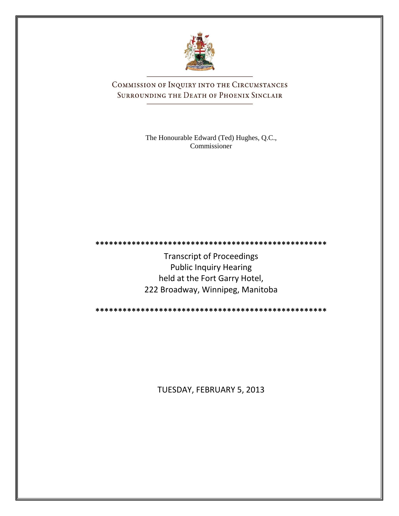

COMMISSION OF INQUIRY INTO THE CIRCUMSTANCES SURROUNDING THE DEATH OF PHOENIX SINCLAIR

> The Honourable Edward (Ted) Hughes, Q.C., Commissioner

**\*\*\*\*\*\*\*\*\*\*\*\*\*\*\*\*\*\*\*\*\*\*\*\*\*\*\*\*\*\*\*\*\*\*\*\*\*\*\*\*\*\*\*\*\*\*\*\*\*\*\***

Transcript of Proceedings Public Inquiry Hearing held at the Fort Garry Hotel, 222 Broadway, Winnipeg, Manitoba

**\*\*\*\*\*\*\*\*\*\*\*\*\*\*\*\*\*\*\*\*\*\*\*\*\*\*\*\*\*\*\*\*\*\*\*\*\*\*\*\*\*\*\*\*\*\*\*\*\*\*\***

TUESDAY, FEBRUARY 5, 2013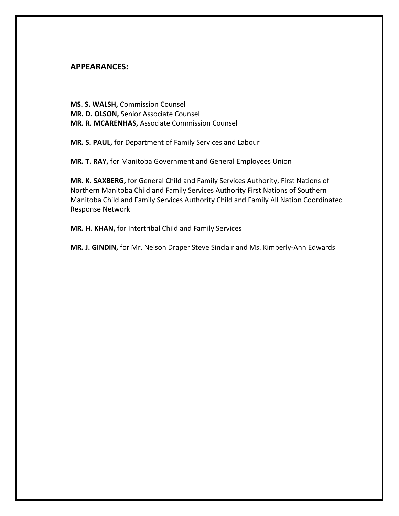## **APPEARANCES:**

**MS. S. WALSH,** Commission Counsel **MR. D. OLSON,** Senior Associate Counsel **MR. R. MCARENHAS,** Associate Commission Counsel

**MR. S. PAUL,** for Department of Family Services and Labour

**MR. T. RAY,** for Manitoba Government and General Employees Union

**MR. K. SAXBERG,** for General Child and Family Services Authority, First Nations of Northern Manitoba Child and Family Services Authority First Nations of Southern Manitoba Child and Family Services Authority Child and Family All Nation Coordinated Response Network

**MR. H. KHAN,** for Intertribal Child and Family Services

**MR. J. GINDIN,** for Mr. Nelson Draper Steve Sinclair and Ms. Kimberly-Ann Edwards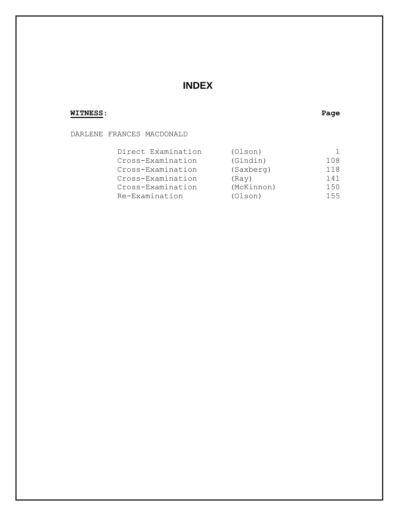# **INDEX**

## **WITNESS**: **Page**

## DARLENE FRANCES MACDONALD

| Direct Examination | (Olson)    |     |
|--------------------|------------|-----|
| Cross-Examination  | (Gindin)   | 108 |
| Cross-Examination  | (Saxberg)  | 118 |
| Cross-Examination  | (Ray)      | 141 |
| Cross-Examination  | (McKinnon) | 150 |
| Re-Examination     | (Olson)    | 155 |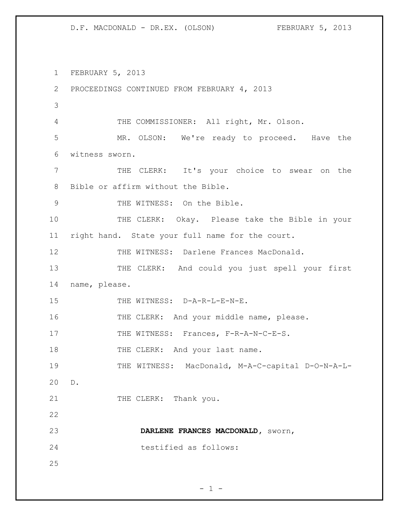FEBRUARY 5, 2013 PROCEEDINGS CONTINUED FROM FEBRUARY 4, 2013 THE COMMISSIONER: All right, Mr. Olson. MR. OLSON: We're ready to proceed. Have the witness sworn. THE CLERK: It's your choice to swear on the Bible or affirm without the Bible. THE WITNESS: On the Bible. THE CLERK: Okay. Please take the Bible in your right hand. State your full name for the court. THE WITNESS: Darlene Frances MacDonald. 13 THE CLERK: And could you just spell your first name, please. 15 THE WITNESS: D-A-R-L-E-N-E. 16 THE CLERK: And your middle name, please. 17 THE WITNESS: Frances, F-R-A-N-C-E-S. 18 THE CLERK: And your last name. THE WITNESS: MacDonald, M-A-C-capital D-O-N-A-L- D. 21 THE CLERK: Thank you. **DARLENE FRANCES MACDONALD,** sworn, testified as follows: 

 $- 1 -$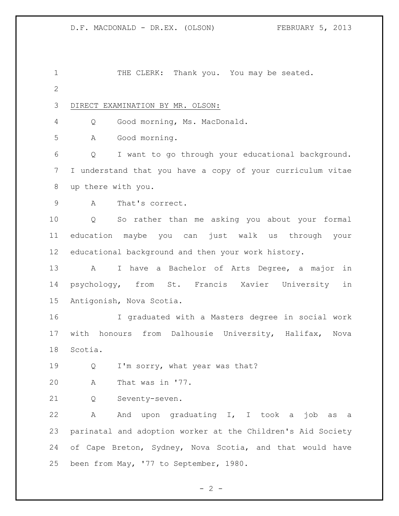1 THE CLERK: Thank you. You may be seated. DIRECT EXAMINATION BY MR. OLSON: Q Good morning, Ms. MacDonald. A Good morning. Q I want to go through your educational background. I understand that you have a copy of your curriculum vitae up there with you. A That's correct. Q So rather than me asking you about your formal education maybe you can just walk us through your educational background and then your work history. A I have a Bachelor of Arts Degree, a major in psychology, from St. Francis Xavier University in Antigonish, Nova Scotia. I graduated with a Masters degree in social work with honours from Dalhousie University, Halifax, Nova Scotia. 19 Q I'm sorry, what year was that? A That was in '77. Q Seventy-seven. A And upon graduating I, I took a job as a parinatal and adoption worker at the Children's Aid Society of Cape Breton, Sydney, Nova Scotia, and that would have been from May, '77 to September, 1980.

 $- 2 -$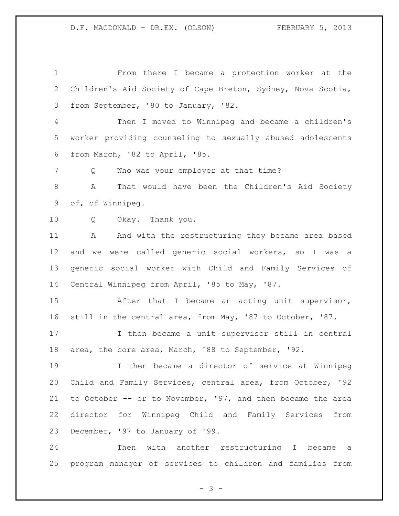From there I became a protection worker at the Children's Aid Society of Cape Breton, Sydney, Nova Scotia, from September, '80 to January, '82. Then I moved to Winnipeg and became a children's worker providing counseling to sexually abused adolescents from March, '82 to April, '85. Q Who was your employer at that time? A That would have been the Children's Aid Society of, of Winnipeg. Q Okay. Thank you. A And with the restructuring they became area based and we were called generic social workers, so I was a generic social worker with Child and Family Services of Central Winnipeg from April, '85 to May, '87. After that I became an acting unit supervisor, still in the central area, from May, '87 to October, '87. I then became a unit supervisor still in central area, the core area, March, '88 to September, '92. I then became a director of service at Winnipeg Child and Family Services, central area, from October, '92 to October -- or to November, '97, and then became the area director for Winnipeg Child and Family Services from December, '97 to January of '99. Then with another restructuring I became a

program manager of services to children and families from

- 3 -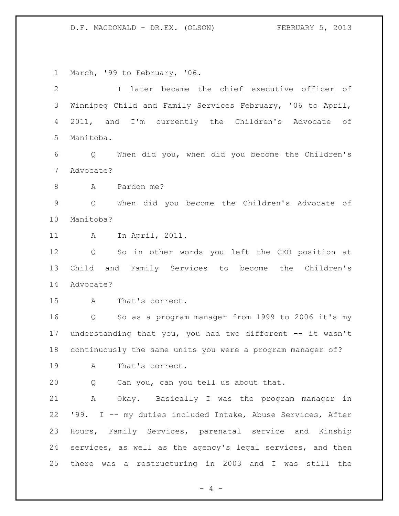March, '99 to February, '06.

| $\overline{2}$ | later became the chief executive officer of<br>$\mathbb{I}$   |
|----------------|---------------------------------------------------------------|
| 3              | Winnipeg Child and Family Services February, '06 to April,    |
| 4              | 2011, and I'm currently the Children's Advocate of            |
| 5              | Manitoba.                                                     |
| 6              | When did you, when did you become the Children's<br>Q         |
| 7              | Advocate?                                                     |
| 8              | Pardon me?<br>A                                               |
| $\mathsf 9$    | When did you become the Children's Advocate of<br>Q           |
| 10             | Manitoba?                                                     |
| 11             | In April, 2011.<br>A                                          |
| 12             | So in other words you left the CEO position at<br>Q           |
| 13             | Child and Family Services to become the Children's            |
| 14             | Advocate?                                                     |
| 15             | That's correct.<br>$\mathbf{A}$                               |
| 16             | So as a program manager from 1999 to 2006 it's my<br>$Q \sim$ |
| 17             | understanding that you, you had two different -- it wasn't    |
| 18             | continuously the same units you were a program manager of?    |
| 19             | That's correct.<br>Α                                          |
| 20             | Can you, can you tell us about that.<br>Q                     |
| 21             | A Okay. Basically I was the program manager in                |
| 22             | '99. I -- my duties included Intake, Abuse Services, After    |
| 23             | Hours, Family Services, parenatal service and Kinship         |
| 24             | services, as well as the agency's legal services, and then    |
| 25             | there was a restructuring in 2003 and I was still the         |

- 4 -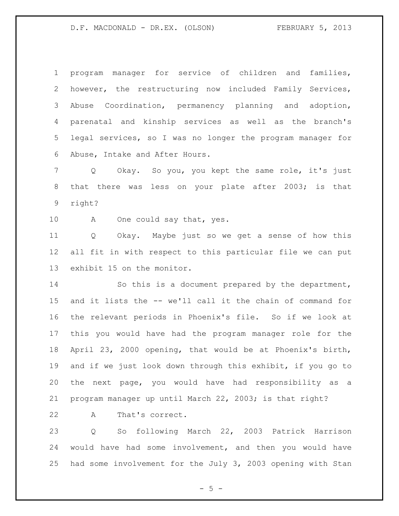program manager for service of children and families, however, the restructuring now included Family Services, Abuse Coordination, permanency planning and adoption, parenatal and kinship services as well as the branch's legal services, so I was no longer the program manager for Abuse, Intake and After Hours.

 Q Okay. So you, you kept the same role, it's just that there was less on your plate after 2003; is that right?

10 A One could say that, yes.

 Q Okay. Maybe just so we get a sense of how this all fit in with respect to this particular file we can put exhibit 15 on the monitor.

 So this is a document prepared by the department, and it lists the -- we'll call it the chain of command for the relevant periods in Phoenix's file. So if we look at this you would have had the program manager role for the April 23, 2000 opening, that would be at Phoenix's birth, and if we just look down through this exhibit, if you go to the next page, you would have had responsibility as a program manager up until March 22, 2003; is that right?

A That's correct.

 Q So following March 22, 2003 Patrick Harrison would have had some involvement, and then you would have had some involvement for the July 3, 2003 opening with Stan

 $- 5 -$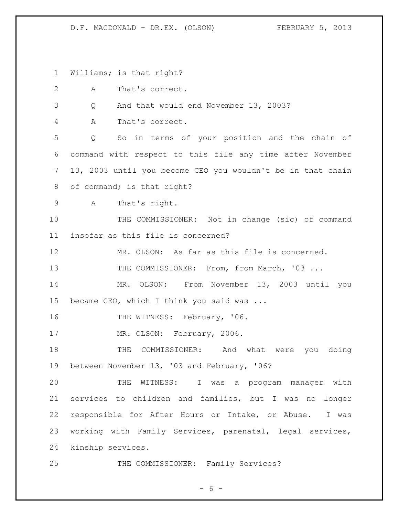Williams; is that right?

A That's correct.

Q And that would end November 13, 2003?

A That's correct.

 Q So in terms of your position and the chain of command with respect to this file any time after November 13, 2003 until you become CEO you wouldn't be in that chain 8 of command; is that right?

A That's right.

 THE COMMISSIONER: Not in change (sic) of command insofar as this file is concerned?

MR. OLSON: As far as this file is concerned.

13 THE COMMISSIONER: From, from March, '03 ...

 MR. OLSON: From November 13, 2003 until you became CEO, which I think you said was ...

16 THE WITNESS: February, '06.

MR. OLSON: February, 2006.

18 THE COMMISSIONER: And what were you doing between November 13, '03 and February, '06?

 THE WITNESS: I was a program manager with services to children and families, but I was no longer responsible for After Hours or Intake, or Abuse. I was working with Family Services, parenatal, legal services, kinship services.

25 THE COMMISSIONER: Family Services?

 $- 6 -$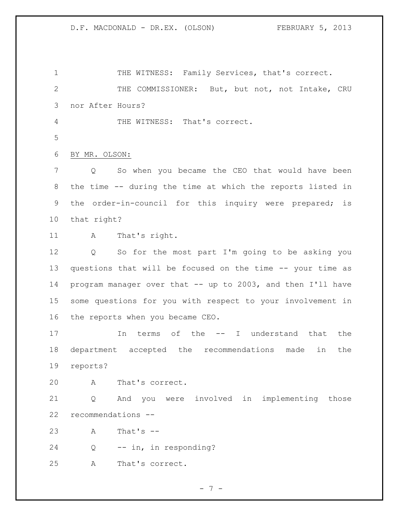1 THE WITNESS: Family Services, that's correct. THE COMMISSIONER: But, but not, not Intake, CRU nor After Hours? THE WITNESS: That's correct. BY MR. OLSON: Q So when you became the CEO that would have been the time -- during the time at which the reports listed in the order-in-council for this inquiry were prepared; is that right? A That's right. Q So for the most part I'm going to be asking you questions that will be focused on the time -- your time as program manager over that -- up to 2003, and then I'll have some questions for you with respect to your involvement in the reports when you became CEO. 17 10 In terms of the -- I understand that the department accepted the recommendations made in the reports? A That's correct. Q And you were involved in implementing those recommendations -- A That's -- Q -- in, in responding? A That's correct.

- 7 -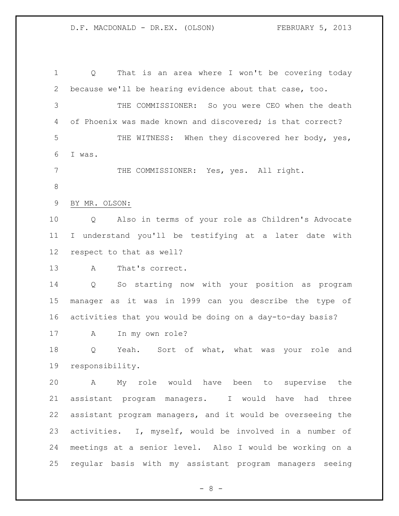Q That is an area where I won't be covering today because we'll be hearing evidence about that case, too. THE COMMISSIONER: So you were CEO when the death of Phoenix was made known and discovered; is that correct? 5 THE WITNESS: When they discovered her body, yes, I was. THE COMMISSIONER: Yes, yes. All right. BY MR. OLSON: Q Also in terms of your role as Children's Advocate I understand you'll be testifying at a later date with respect to that as well? A That's correct. Q So starting now with your position as program manager as it was in 1999 can you describe the type of activities that you would be doing on a day-to-day basis? A In my own role? Q Yeah. Sort of what, what was your role and responsibility. A My role would have been to supervise the assistant program managers. I would have had three assistant program managers, and it would be overseeing the activities. I, myself, would be involved in a number of meetings at a senior level. Also I would be working on a regular basis with my assistant program managers seeing

- 8 -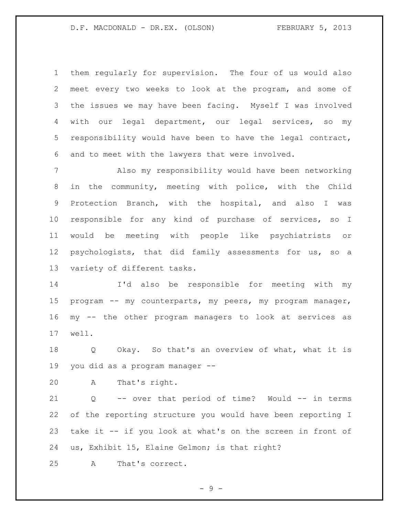them regularly for supervision. The four of us would also meet every two weeks to look at the program, and some of the issues we may have been facing. Myself I was involved with our legal department, our legal services, so my responsibility would have been to have the legal contract, and to meet with the lawyers that were involved.

 Also my responsibility would have been networking in the community, meeting with police, with the Child Protection Branch, with the hospital, and also I was responsible for any kind of purchase of services, so I would be meeting with people like psychiatrists or psychologists, that did family assessments for us, so a variety of different tasks.

 I'd also be responsible for meeting with my program -- my counterparts, my peers, my program manager, my -- the other program managers to look at services as well.

 Q Okay. So that's an overview of what, what it is you did as a program manager --

A That's right.

 Q -- over that period of time? Would -- in terms of the reporting structure you would have been reporting I take it -- if you look at what's on the screen in front of us, Exhibit 15, Elaine Gelmon; is that right?

A That's correct.

- 9 -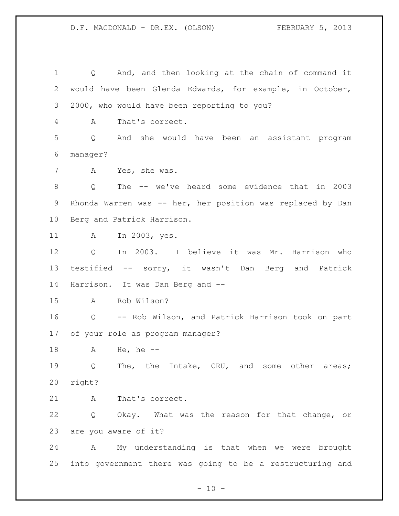Q And, and then looking at the chain of command it would have been Glenda Edwards, for example, in October, 2000, who would have been reporting to you? A That's correct. Q And she would have been an assistant program manager? A Yes, she was. Q The -- we've heard some evidence that in 2003 Rhonda Warren was -- her, her position was replaced by Dan Berg and Patrick Harrison. A In 2003, yes. Q In 2003. I believe it was Mr. Harrison who testified -- sorry, it wasn't Dan Berg and Patrick Harrison. It was Dan Berg and -- A Rob Wilson? Q -- Rob Wilson, and Patrick Harrison took on part of your role as program manager? A He, he -- 19 Q The, the Intake, CRU, and some other areas; right? A That's correct. Q Okay. What was the reason for that change, or are you aware of it? A My understanding is that when we were brought into government there was going to be a restructuring and

 $- 10 -$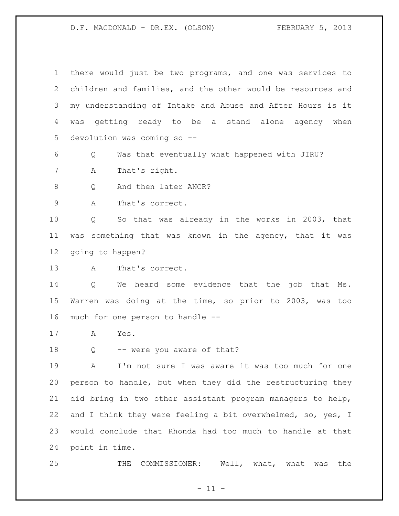there would just be two programs, and one was services to children and families, and the other would be resources and my understanding of Intake and Abuse and After Hours is it was getting ready to be a stand alone agency when devolution was coming so -- Q Was that eventually what happened with JIRU? A That's right. 8 Q And then later ANCR? A That's correct. Q So that was already in the works in 2003, that was something that was known in the agency, that it was going to happen? A That's correct. Q We heard some evidence that the job that Ms. Warren was doing at the time, so prior to 2003, was too much for one person to handle -- A Yes. 18 Q -- were you aware of that? A I'm not sure I was aware it was too much for one person to handle, but when they did the restructuring they did bring in two other assistant program managers to help, 22 and I think they were feeling a bit overwhelmed, so, yes, I would conclude that Rhonda had too much to handle at that point in time. THE COMMISSIONER: Well, what, what was the

 $- 11 -$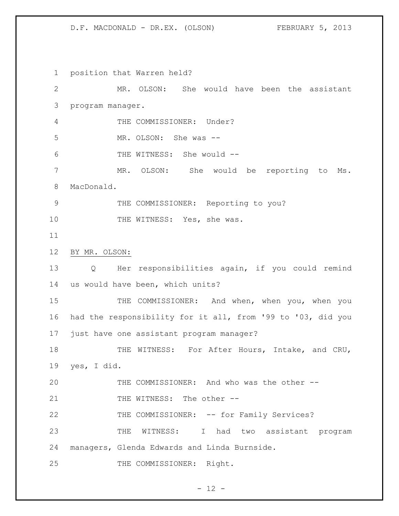position that Warren held? MR. OLSON: She would have been the assistant program manager. THE COMMISSIONER: Under? MR. OLSON: She was -- THE WITNESS: She would -- MR. OLSON: She would be reporting to Ms. MacDonald. 9 THE COMMISSIONER: Reporting to you? 10 THE WITNESS: Yes, she was. BY MR. OLSON: Q Her responsibilities again, if you could remind us would have been, which units? 15 THE COMMISSIONER: And when, when you, when you had the responsibility for it all, from '99 to '03, did you just have one assistant program manager? 18 THE WITNESS: For After Hours, Intake, and CRU, yes, I did. THE COMMISSIONER: And who was the other -- 21 THE WITNESS: The other --22 THE COMMISSIONER: -- for Family Services? THE WITNESS: I had two assistant program managers, Glenda Edwards and Linda Burnside. 25 THE COMMISSIONER: Right.

 $- 12 -$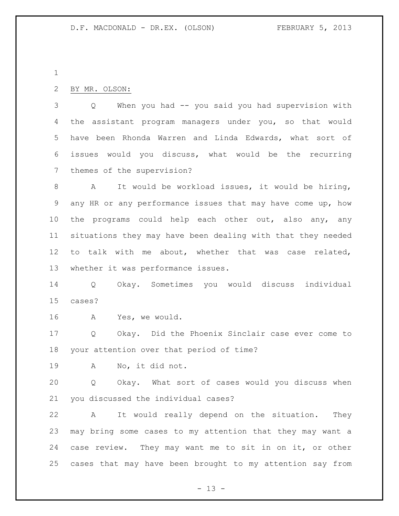### BY MR. OLSON:

 Q When you had -- you said you had supervision with the assistant program managers under you, so that would have been Rhonda Warren and Linda Edwards, what sort of issues would you discuss, what would be the recurring themes of the supervision?

 A It would be workload issues, it would be hiring, any HR or any performance issues that may have come up, how 10 the programs could help each other out, also any, any situations they may have been dealing with that they needed to talk with me about, whether that was case related, whether it was performance issues.

 Q Okay. Sometimes you would discuss individual cases?

A Yes, we would.

 Q Okay. Did the Phoenix Sinclair case ever come to your attention over that period of time?

A No, it did not.

 Q Okay. What sort of cases would you discuss when you discussed the individual cases?

 A It would really depend on the situation. They may bring some cases to my attention that they may want a case review. They may want me to sit in on it, or other cases that may have been brought to my attention say from

 $- 13 -$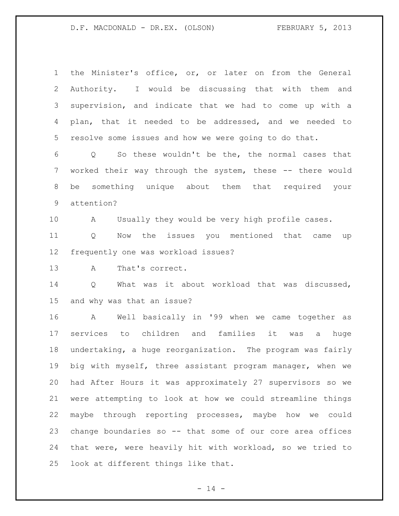| $\mathbf{1}$ | the Minister's office, or, or later on from the General    |
|--------------|------------------------------------------------------------|
| 2            | Authority. I would be discussing that with them and        |
| 3            | supervision, and indicate that we had to come up with a    |
| 4            | plan, that it needed to be addressed, and we needed to     |
| 5            | resolve some issues and how we were going to do that.      |
| 6            | Q So these wouldn't be the, the normal cases that          |
| 7            | worked their way through the system, these -- there would  |
| 8            | be something unique about them that required your          |
| 9            | attention?                                                 |
| 10           | Usually they would be very high profile cases.<br>A        |
| 11           | Now the issues you mentioned that came up<br>Q             |
| 12           | frequently one was workload issues?                        |
| 13           | That's correct.<br>A                                       |
| 14           | What was it about workload that was discussed,<br>Q        |
| 15           | and why was that an issue?                                 |
| 16           | A Well basically in '99 when we came together as           |
| 17           | services to children and families it was a<br>huge         |
| 18           | undertaking, a huge reorganization. The program was fairly |
| 19           | big with myself, three assistant program manager, when we  |
| 20           | had After Hours it was approximately 27 supervisors so we  |
| 21           | were attempting to look at how we could streamline things  |
| 22           | maybe through reporting processes, maybe how we could      |
| 23           | change boundaries so -- that some of our core area offices |
| 24           | that were, were heavily hit with workload, so we tried to  |
|              |                                                            |

- 14 -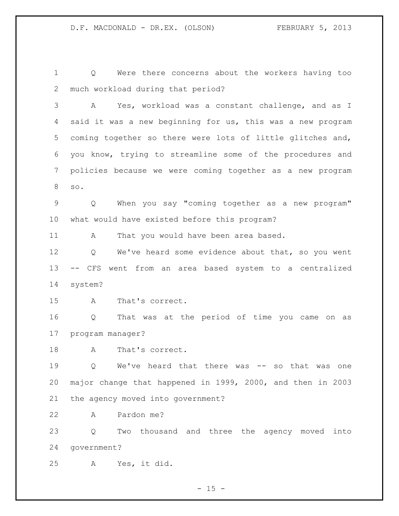Q Were there concerns about the workers having too much workload during that period?

 A Yes, workload was a constant challenge, and as I said it was a new beginning for us, this was a new program coming together so there were lots of little glitches and, you know, trying to streamline some of the procedures and policies because we were coming together as a new program so.

 Q When you say "coming together as a new program" what would have existed before this program?

A That you would have been area based.

12 Q We've heard some evidence about that, so you went -- CFS went from an area based system to a centralized system?

A That's correct.

 Q That was at the period of time you came on as program manager?

A That's correct.

 Q We've heard that there was -- so that was one major change that happened in 1999, 2000, and then in 2003 the agency moved into government?

A Pardon me?

 Q Two thousand and three the agency moved into government?

A Yes, it did.

 $- 15 -$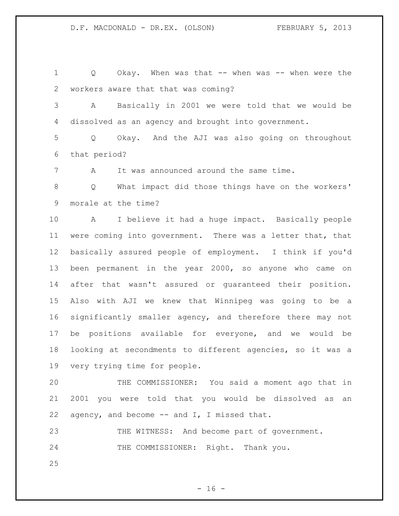1 Q Okay. When was that -- when was -- when were the workers aware that that was coming?

 A Basically in 2001 we were told that we would be dissolved as an agency and brought into government.

 Q Okay. And the AJI was also going on throughout that period?

A It was announced around the same time.

 Q What impact did those things have on the workers' morale at the time?

 A I believe it had a huge impact. Basically people were coming into government. There was a letter that, that basically assured people of employment. I think if you'd been permanent in the year 2000, so anyone who came on after that wasn't assured or guaranteed their position. Also with AJI we knew that Winnipeg was going to be a significantly smaller agency, and therefore there may not be positions available for everyone, and we would be looking at secondments to different agencies, so it was a very trying time for people.

 THE COMMISSIONER: You said a moment ago that in 2001 you were told that you would be dissolved as an 22 agency, and become  $--$  and I, I missed that.

23 THE WITNESS: And become part of government. 24 THE COMMISSIONER: Right. Thank you.

 $- 16 -$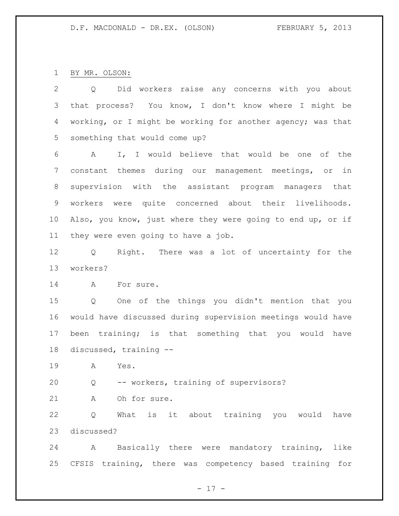BY MR. OLSON:

| $\overline{2}$ | Did workers raise any concerns with you about<br>Q                 |
|----------------|--------------------------------------------------------------------|
| 3              | that process? You know, I don't know where I might be              |
| 4              | working, or I might be working for another agency; was that        |
| 5              | something that would come up?                                      |
| 6              | I, I would believe that would be one of the<br>A                   |
| 7              | constant themes during our management meetings, or<br>in           |
| 8              | supervision with the assistant program managers that               |
| $\mathsf 9$    | workers were quite concerned about their livelihoods.              |
| 10             | Also, you know, just where they were going to end up, or if        |
| 11             | they were even going to have a job.                                |
| 12             | Right. There was a lot of uncertainty for the<br>$Q \qquad \qquad$ |
| 13             | workers?                                                           |
| 14             | For sure.<br>A                                                     |
| 15             | One of the things you didn't mention that you<br>Q                 |
| 16             | would have discussed during supervision meetings would have        |
| 17             | been training; is that something that you would have               |
| 18             | discussed, training --                                             |
| 19             | Yes.<br>$\mathbf{A}$                                               |
| 20             | -- workers, training of supervisors?<br>Q                          |
| 21             | Oh for sure.<br>A                                                  |
| 22             | What is it about training you would have<br>Q                      |
| 23             | discussed?                                                         |

 A Basically there were mandatory training, like CFSIS training, there was competency based training for

- 17 -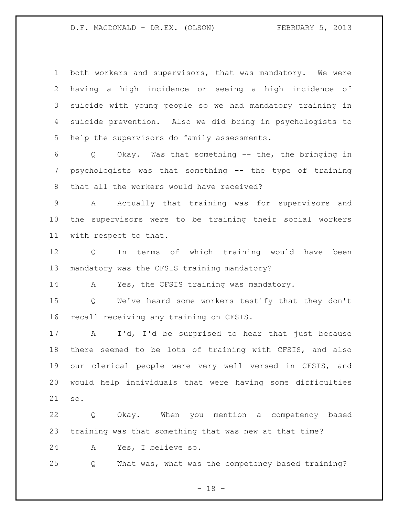both workers and supervisors, that was mandatory. We were having a high incidence or seeing a high incidence of suicide with young people so we had mandatory training in suicide prevention. Also we did bring in psychologists to help the supervisors do family assessments.

 Q Okay. Was that something -- the, the bringing in psychologists was that something -- the type of training that all the workers would have received?

 A Actually that training was for supervisors and the supervisors were to be training their social workers with respect to that.

 Q In terms of which training would have been mandatory was the CFSIS training mandatory?

14 A Yes, the CFSIS training was mandatory.

 Q We've heard some workers testify that they don't recall receiving any training on CFSIS.

 A I'd, I'd be surprised to hear that just because there seemed to be lots of training with CFSIS, and also our clerical people were very well versed in CFSIS, and would help individuals that were having some difficulties so.

 Q Okay. When you mention a competency based training was that something that was new at that time?

A Yes, I believe so.

Q What was, what was the competency based training?

 $- 18 -$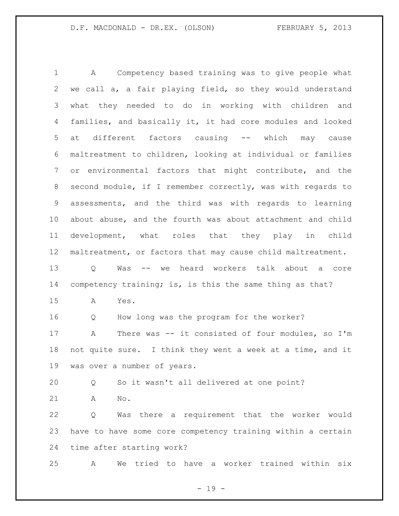A Competency based training was to give people what we call a, a fair playing field, so they would understand what they needed to do in working with children and families, and basically it, it had core modules and looked at different factors causing -- which may cause maltreatment to children, looking at individual or families or environmental factors that might contribute, and the second module, if I remember correctly, was with regards to assessments, and the third was with regards to learning about abuse, and the fourth was about attachment and child development, what roles that they play in child maltreatment, or factors that may cause child maltreatment. Q Was -- we heard workers talk about a core competency training; is, is this the same thing as that? A Yes. Q How long was the program for the worker? A There was -- it consisted of four modules, so I'm not quite sure. I think they went a week at a time, and it was over a number of years. Q So it wasn't all delivered at one point? A No. Q Was there a requirement that the worker would have to have some core competency training within a certain time after starting work? A We tried to have a worker trained within six

 $- 19 -$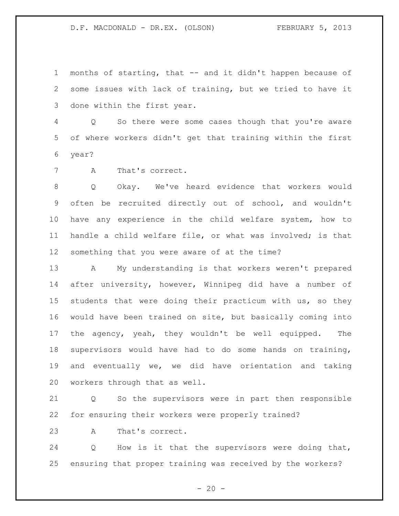months of starting, that -- and it didn't happen because of some issues with lack of training, but we tried to have it done within the first year.

 Q So there were some cases though that you're aware of where workers didn't get that training within the first year?

A That's correct.

 Q Okay. We've heard evidence that workers would often be recruited directly out of school, and wouldn't have any experience in the child welfare system, how to handle a child welfare file, or what was involved; is that something that you were aware of at the time?

 A My understanding is that workers weren't prepared after university, however, Winnipeg did have a number of students that were doing their practicum with us, so they would have been trained on site, but basically coming into 17 the agency, yeah, they wouldn't be well equipped. The supervisors would have had to do some hands on training, and eventually we, we did have orientation and taking workers through that as well.

 Q So the supervisors were in part then responsible for ensuring their workers were properly trained?

A That's correct.

 Q How is it that the supervisors were doing that, ensuring that proper training was received by the workers?

 $- 20 -$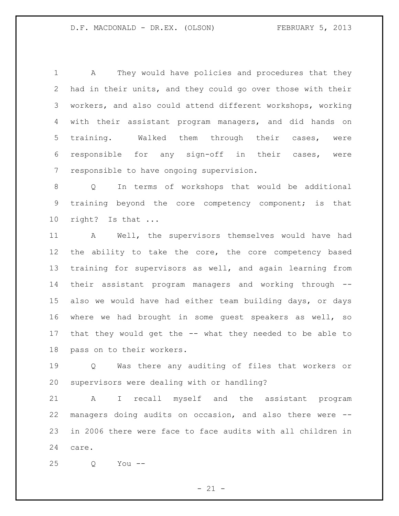A They would have policies and procedures that they had in their units, and they could go over those with their workers, and also could attend different workshops, working with their assistant program managers, and did hands on training. Walked them through their cases, were responsible for any sign-off in their cases, were responsible to have ongoing supervision.

 Q In terms of workshops that would be additional training beyond the core competency component; is that right? Is that ...

 A Well, the supervisors themselves would have had the ability to take the core, the core competency based training for supervisors as well, and again learning from their assistant program managers and working through -- also we would have had either team building days, or days where we had brought in some guest speakers as well, so that they would get the -- what they needed to be able to pass on to their workers.

 Q Was there any auditing of files that workers or supervisors were dealing with or handling?

 A I recall myself and the assistant program managers doing audits on occasion, and also there were -- in 2006 there were face to face audits with all children in care.

Q You --

 $- 21 -$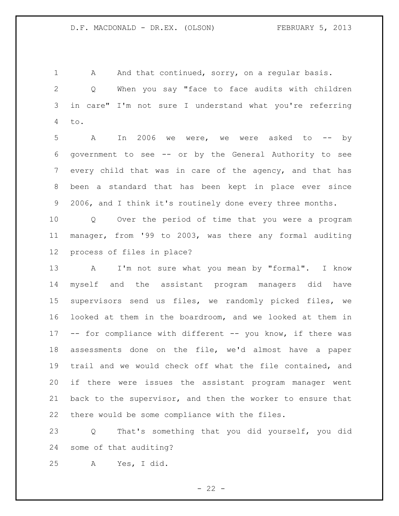1 A And that continued, sorry, on a regular basis.

 Q When you say "face to face audits with children in care" I'm not sure I understand what you're referring to.

 A In 2006 we were, we were asked to -- by government to see -- or by the General Authority to see every child that was in care of the agency, and that has been a standard that has been kept in place ever since 2006, and I think it's routinely done every three months.

 Q Over the period of time that you were a program manager, from '99 to 2003, was there any formal auditing process of files in place?

13 A I'm not sure what you mean by "formal". I know myself and the assistant program managers did have supervisors send us files, we randomly picked files, we looked at them in the boardroom, and we looked at them in 17 -- for compliance with different -- you know, if there was assessments done on the file, we'd almost have a paper trail and we would check off what the file contained, and if there were issues the assistant program manager went back to the supervisor, and then the worker to ensure that there would be some compliance with the files.

 Q That's something that you did yourself, you did some of that auditing?

A Yes, I did.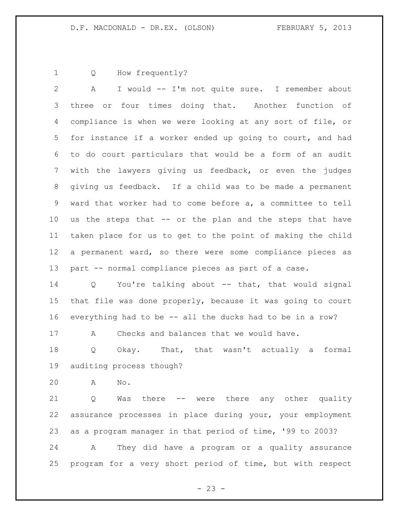Q How frequently?

 A I would -- I'm not quite sure. I remember about three or four times doing that. Another function of compliance is when we were looking at any sort of file, or for instance if a worker ended up going to court, and had to do court particulars that would be a form of an audit with the lawyers giving us feedback, or even the judges giving us feedback. If a child was to be made a permanent ward that worker had to come before a, a committee to tell us the steps that -- or the plan and the steps that have taken place for us to get to the point of making the child a permanent ward, so there were some compliance pieces as part -- normal compliance pieces as part of a case.

 Q You're talking about -- that, that would signal that file was done properly, because it was going to court everything had to be -- all the ducks had to be in a row?

A Checks and balances that we would have.

 Q Okay. That, that wasn't actually a formal auditing process though?

A No.

 Q Was there -- were there any other quality assurance processes in place during your, your employment as a program manager in that period of time, '99 to 2003? A They did have a program or a quality assurance

program for a very short period of time, but with respect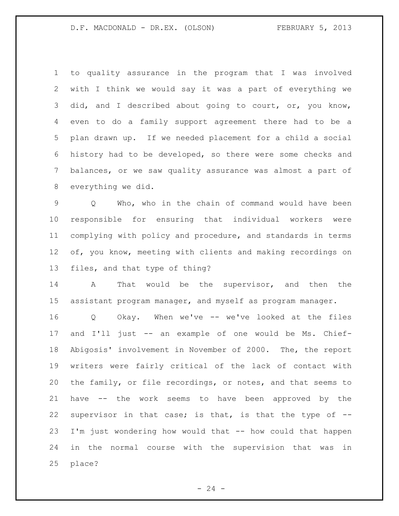to quality assurance in the program that I was involved with I think we would say it was a part of everything we 3 did, and I described about going to court, or, you know, even to do a family support agreement there had to be a plan drawn up. If we needed placement for a child a social history had to be developed, so there were some checks and balances, or we saw quality assurance was almost a part of everything we did.

 Q Who, who in the chain of command would have been responsible for ensuring that individual workers were complying with policy and procedure, and standards in terms 12 of, you know, meeting with clients and making recordings on files, and that type of thing?

 A That would be the supervisor, and then the assistant program manager, and myself as program manager.

 Q Okay. When we've -- we've looked at the files and I'll just -- an example of one would be Ms. Chief- Abigosis' involvement in November of 2000. The, the report writers were fairly critical of the lack of contact with the family, or file recordings, or notes, and that seems to have -- the work seems to have been approved by the supervisor in that case; is that, is that the type of -- I'm just wondering how would that -- how could that happen in the normal course with the supervision that was in place?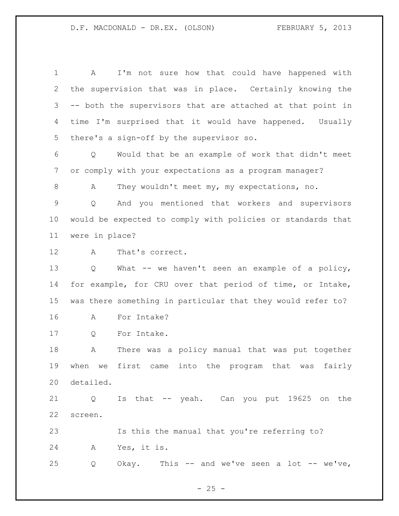A I'm not sure how that could have happened with the supervision that was in place. Certainly knowing the -- both the supervisors that are attached at that point in time I'm surprised that it would have happened. Usually there's a sign-off by the supervisor so. Q Would that be an example of work that didn't meet or comply with your expectations as a program manager? 8 A They wouldn't meet my, my expectations, no. Q And you mentioned that workers and supervisors would be expected to comply with policies or standards that were in place? A That's correct. Q What -- we haven't seen an example of a policy, for example, for CRU over that period of time, or Intake, was there something in particular that they would refer to? A For Intake? Q For Intake. A There was a policy manual that was put together when we first came into the program that was fairly detailed. Q Is that -- yeah. Can you put 19625 on the screen. Is this the manual that you're referring to? A Yes, it is. Q Okay. This -- and we've seen a lot -- we've,

 $- 25 -$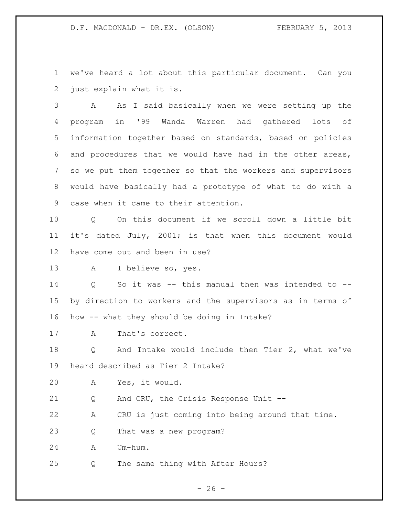we've heard a lot about this particular document. Can you just explain what it is.

 A As I said basically when we were setting up the program in '99 Wanda Warren had gathered lots of information together based on standards, based on policies and procedures that we would have had in the other areas, so we put them together so that the workers and supervisors would have basically had a prototype of what to do with a case when it came to their attention.

 Q On this document if we scroll down a little bit it's dated July, 2001; is that when this document would have come out and been in use?

A I believe so, yes.

 Q So it was -- this manual then was intended to -- by direction to workers and the supervisors as in terms of how -- what they should be doing in Intake?

A That's correct.

 Q And Intake would include then Tier 2, what we've heard described as Tier 2 Intake?

A Yes, it would.

Q And CRU, the Crisis Response Unit --

A CRU is just coming into being around that time.

Q That was a new program?

A Um-hum.

Q The same thing with After Hours?

 $- 26 -$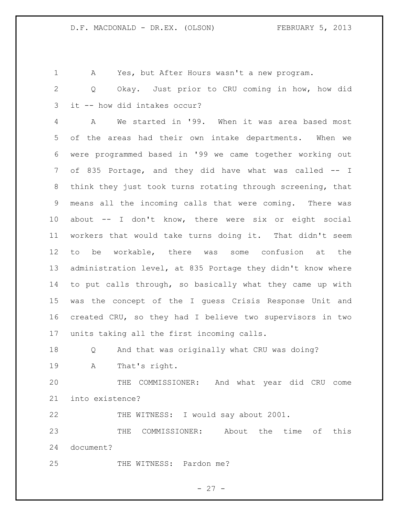A Yes, but After Hours wasn't a new program.

 Q Okay. Just prior to CRU coming in how, how did it -- how did intakes occur?

 A We started in '99. When it was area based most of the areas had their own intake departments. When we were programmed based in '99 we came together working out of 835 Portage, and they did have what was called -- I think they just took turns rotating through screening, that means all the incoming calls that were coming. There was about -- I don't know, there were six or eight social workers that would take turns doing it. That didn't seem to be workable, there was some confusion at the administration level, at 835 Portage they didn't know where to put calls through, so basically what they came up with was the concept of the I guess Crisis Response Unit and created CRU, so they had I believe two supervisors in two units taking all the first incoming calls.

Q And that was originally what CRU was doing?

A That's right.

 THE COMMISSIONER: And what year did CRU come into existence?

THE WITNESS: I would say about 2001.

 THE COMMISSIONER: About the time of this document?

25 THE WITNESS: Pardon me?

 $- 27 -$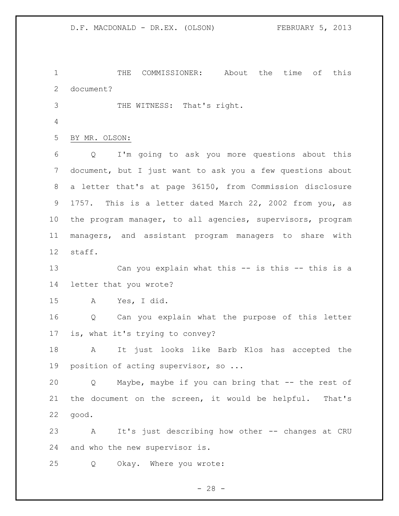THE COMMISSIONER: About the time of this document? THE WITNESS: That's right. BY MR. OLSON:

 Q I'm going to ask you more questions about this document, but I just want to ask you a few questions about a letter that's at page 36150, from Commission disclosure 1757. This is a letter dated March 22, 2002 from you, as the program manager, to all agencies, supervisors, program managers, and assistant program managers to share with staff.

 Can you explain what this -- is this -- this is a letter that you wrote?

A Yes, I did.

 Q Can you explain what the purpose of this letter is, what it's trying to convey?

 A It just looks like Barb Klos has accepted the position of acting supervisor, so ...

 Q Maybe, maybe if you can bring that -- the rest of the document on the screen, it would be helpful. That's good.

 A It's just describing how other -- changes at CRU and who the new supervisor is.

Q Okay. Where you wrote:

 $- 28 -$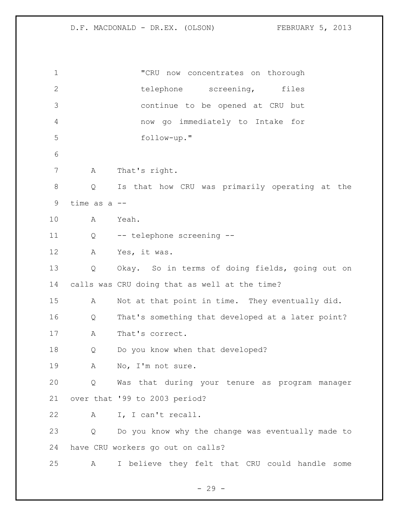"CRU now concentrates on thorough 2 telephone screening, files continue to be opened at CRU but now go immediately to Intake for follow-up." A That's right. Q Is that how CRU was primarily operating at the time as a -- A Yeah. Q -- telephone screening -- A Yes, it was. Q Okay. So in terms of doing fields, going out on calls was CRU doing that as well at the time? A Not at that point in time. They eventually did. Q That's something that developed at a later point? A That's correct. Q Do you know when that developed? A No, I'm not sure. Q Was that during your tenure as program manager over that '99 to 2003 period? A I, I can't recall. Q Do you know why the change was eventually made to have CRU workers go out on calls? A I believe they felt that CRU could handle some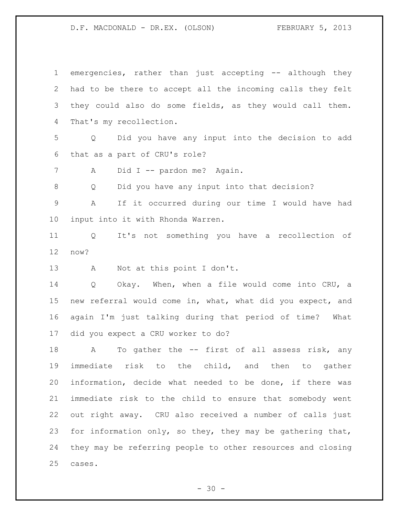| $\mathbf 1$    | emergencies, rather than just accepting -- although they    |
|----------------|-------------------------------------------------------------|
| 2              | had to be there to accept all the incoming calls they felt  |
| 3              | they could also do some fields, as they would call them.    |
| 4              | That's my recollection.                                     |
| 5              | Did you have any input into the decision to add<br>Q        |
| 6              | that as a part of CRU's role?                               |
| $\overline{7}$ | Did I -- pardon me? Again.<br>A                             |
| 8              | Did you have any input into that decision?<br>Q             |
| 9              | If it occurred during our time I would have had<br>A        |
| $10 \,$        | input into it with Rhonda Warren.                           |
| 11             | Q It's not something you have a recollection of             |
| 12             | now?                                                        |
| 13             | Not at this point I don't.<br>A                             |
| 14             | Okay. When, when a file would come into CRU, a<br>Q         |
| 15             | new referral would come in, what, what did you expect, and  |
| 16             | again I'm just talking during that period of time? What     |
| 17             | did you expect a CRU worker to do?                          |
| 18             | To gather the -- first of all assess risk, any<br>A         |
| 19             | immediate risk to the child, and then to gather             |
| 20             | information, decide what needed to be done, if there was    |
| 21             | immediate risk to the child to ensure that somebody went    |
| 22             | out right away. CRU also received a number of calls just    |
| 23             | for information only, so they, they may be gathering that,  |
| 24             | they may be referring people to other resources and closing |
| 25             | cases.                                                      |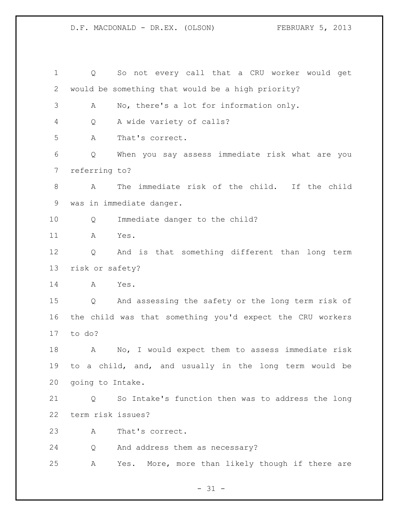Q So not every call that a CRU worker would get would be something that would be a high priority? A No, there's a lot for information only. Q A wide variety of calls? A That's correct. Q When you say assess immediate risk what are you referring to? A The immediate risk of the child. If the child was in immediate danger. Q Immediate danger to the child? A Yes. Q And is that something different than long term risk or safety? A Yes. Q And assessing the safety or the long term risk of the child was that something you'd expect the CRU workers to do? A No, I would expect them to assess immediate risk to a child, and, and usually in the long term would be going to Intake. Q So Intake's function then was to address the long term risk issues? A That's correct. Q And address them as necessary? A Yes. More, more than likely though if there are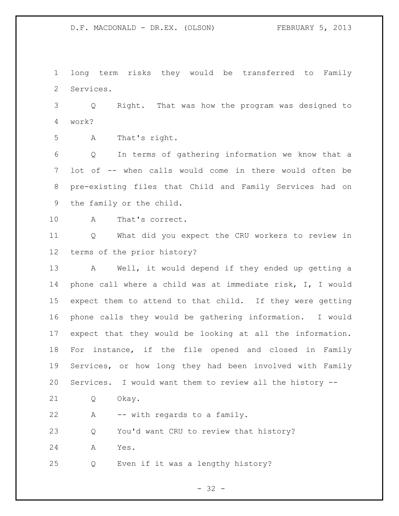long term risks they would be transferred to Family Services.

 Q Right. That was how the program was designed to work?

A That's right.

 Q In terms of gathering information we know that a lot of -- when calls would come in there would often be pre-existing files that Child and Family Services had on the family or the child.

A That's correct.

 Q What did you expect the CRU workers to review in terms of the prior history?

 A Well, it would depend if they ended up getting a phone call where a child was at immediate risk, I, I would expect them to attend to that child. If they were getting phone calls they would be gathering information. I would expect that they would be looking at all the information. For instance, if the file opened and closed in Family Services, or how long they had been involved with Family Services. I would want them to review all the history --

Q Okay.

A -- with regards to a family.

Q You'd want CRU to review that history?

A Yes.

Q Even if it was a lengthy history?

 $- 32 -$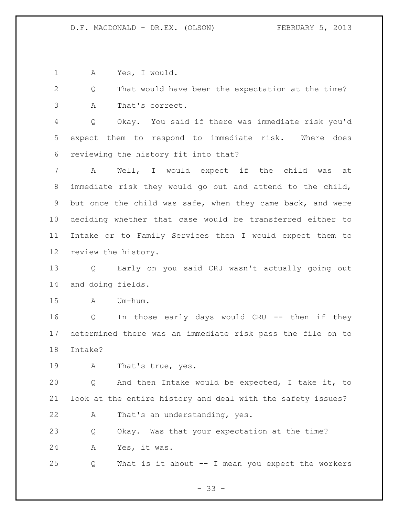A Yes, I would.

 Q That would have been the expectation at the time? A That's correct.

 Q Okay. You said if there was immediate risk you'd expect them to respond to immediate risk. Where does reviewing the history fit into that?

 A Well, I would expect if the child was at immediate risk they would go out and attend to the child, but once the child was safe, when they came back, and were deciding whether that case would be transferred either to Intake or to Family Services then I would expect them to review the history.

 Q Early on you said CRU wasn't actually going out and doing fields.

A Um-hum.

 Q In those early days would CRU -- then if they determined there was an immediate risk pass the file on to Intake?

A That's true, yes.

 Q And then Intake would be expected, I take it, to look at the entire history and deal with the safety issues?

A That's an understanding, yes.

 Q Okay. Was that your expectation at the time? A Yes, it was.

Q What is it about -- I mean you expect the workers

- 33 -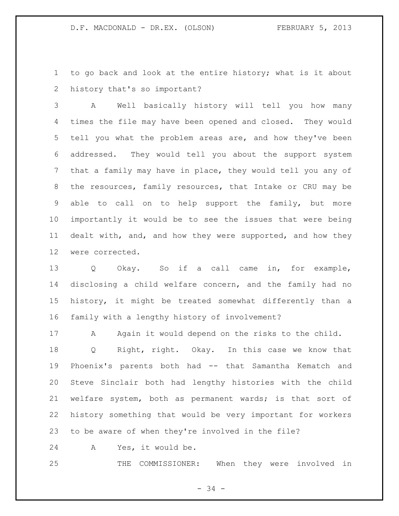to go back and look at the entire history; what is it about history that's so important?

 A Well basically history will tell you how many times the file may have been opened and closed. They would tell you what the problem areas are, and how they've been addressed. They would tell you about the support system that a family may have in place, they would tell you any of the resources, family resources, that Intake or CRU may be able to call on to help support the family, but more importantly it would be to see the issues that were being dealt with, and, and how they were supported, and how they were corrected.

 Q Okay. So if a call came in, for example, disclosing a child welfare concern, and the family had no history, it might be treated somewhat differently than a family with a lengthy history of involvement?

 A Again it would depend on the risks to the child. Q Right, right. Okay. In this case we know that Phoenix's parents both had -- that Samantha Kematch and Steve Sinclair both had lengthy histories with the child welfare system, both as permanent wards; is that sort of history something that would be very important for workers to be aware of when they're involved in the file?

A Yes, it would be.

THE COMMISSIONER: When they were involved in

- 34 -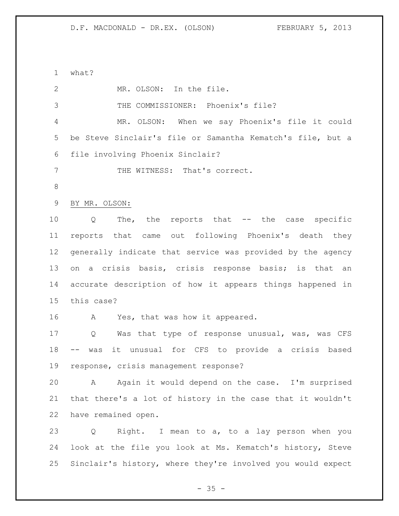what? MR. OLSON: In the file. THE COMMISSIONER: Phoenix's file? MR. OLSON: When we say Phoenix's file it could be Steve Sinclair's file or Samantha Kematch's file, but a file involving Phoenix Sinclair? 7 THE WITNESS: That's correct. BY MR. OLSON: Q The, the reports that -- the case specific reports that came out following Phoenix's death they generally indicate that service was provided by the agency on a crisis basis, crisis response basis; is that an accurate description of how it appears things happened in this case? A Yes, that was how it appeared. Q Was that type of response unusual, was, was CFS -- was it unusual for CFS to provide a crisis based response, crisis management response? A Again it would depend on the case. I'm surprised that there's a lot of history in the case that it wouldn't have remained open. Q Right. I mean to a, to a lay person when you look at the file you look at Ms. Kematch's history, Steve Sinclair's history, where they're involved you would expect

 $- 35 -$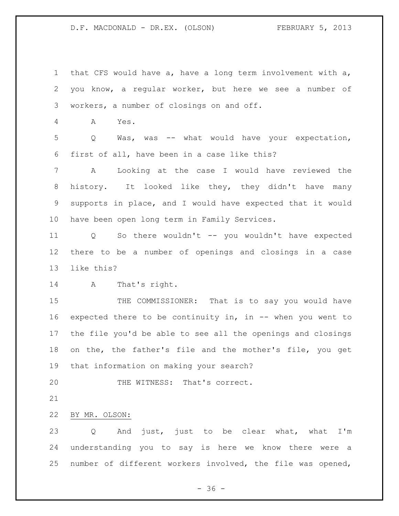that CFS would have a, have a long term involvement with a, you know, a regular worker, but here we see a number of workers, a number of closings on and off.

A Yes.

 Q Was, was -- what would have your expectation, first of all, have been in a case like this?

 A Looking at the case I would have reviewed the history. It looked like they, they didn't have many supports in place, and I would have expected that it would have been open long term in Family Services.

 Q So there wouldn't -- you wouldn't have expected there to be a number of openings and closings in a case like this?

A That's right.

15 THE COMMISSIONER: That is to say you would have expected there to be continuity in, in -- when you went to the file you'd be able to see all the openings and closings on the, the father's file and the mother's file, you get that information on making your search?

20 THE WITNESS: That's correct.

## BY MR. OLSON:

 Q And just, just to be clear what, what I'm understanding you to say is here we know there were a number of different workers involved, the file was opened,

 $- 36 -$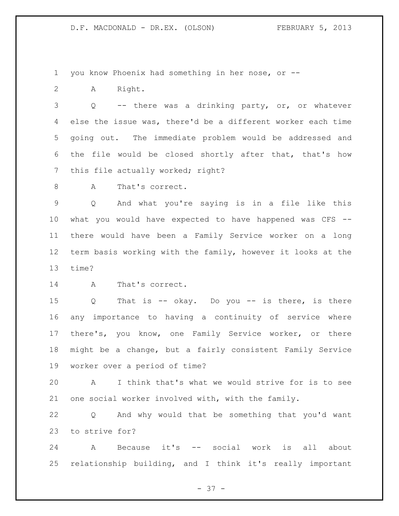you know Phoenix had something in her nose, or --

A Right.

 Q -- there was a drinking party, or, or whatever else the issue was, there'd be a different worker each time going out. The immediate problem would be addressed and the file would be closed shortly after that, that's how 7 this file actually worked; right?

8 A That's correct.

 Q And what you're saying is in a file like this what you would have expected to have happened was CFS -- there would have been a Family Service worker on a long term basis working with the family, however it looks at the time?

A That's correct.

 Q That is -- okay. Do you -- is there, is there any importance to having a continuity of service where there's, you know, one Family Service worker, or there might be a change, but a fairly consistent Family Service worker over a period of time?

 A I think that's what we would strive for is to see one social worker involved with, with the family.

 Q And why would that be something that you'd want to strive for?

 A Because it's -- social work is all about relationship building, and I think it's really important

- 37 -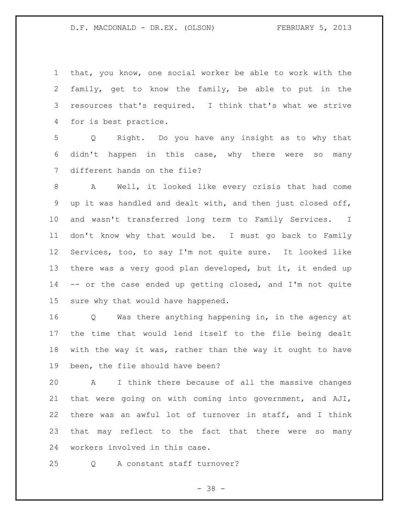that, you know, one social worker be able to work with the family, get to know the family, be able to put in the resources that's required. I think that's what we strive for is best practice.

 Q Right. Do you have any insight as to why that didn't happen in this case, why there were so many different hands on the file?

 A Well, it looked like every crisis that had come up it was handled and dealt with, and then just closed off, and wasn't transferred long term to Family Services. I don't know why that would be. I must go back to Family Services, too, to say I'm not quite sure. It looked like 13 there was a very good plan developed, but it, it ended up -- or the case ended up getting closed, and I'm not quite sure why that would have happened.

 Q Was there anything happening in, in the agency at the time that would lend itself to the file being dealt with the way it was, rather than the way it ought to have been, the file should have been?

 A I think there because of all the massive changes that were going on with coming into government, and AJI, there was an awful lot of turnover in staff, and I think that may reflect to the fact that there were so many workers involved in this case.

Q A constant staff turnover?

 $- 38 -$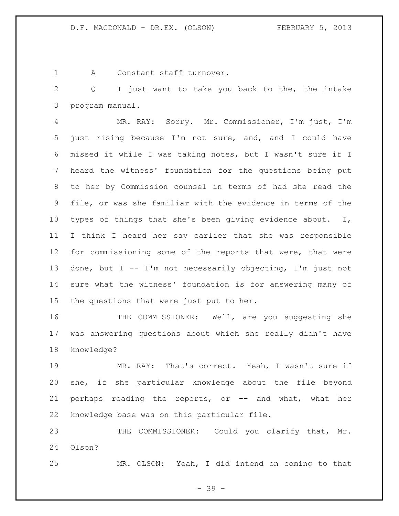A Constant staff turnover.

 Q I just want to take you back to the, the intake program manual.

 MR. RAY: Sorry. Mr. Commissioner, I'm just, I'm just rising because I'm not sure, and, and I could have missed it while I was taking notes, but I wasn't sure if I heard the witness' foundation for the questions being put to her by Commission counsel in terms of had she read the file, or was she familiar with the evidence in terms of the types of things that she's been giving evidence about. I, I think I heard her say earlier that she was responsible for commissioning some of the reports that were, that were done, but I -- I'm not necessarily objecting, I'm just not sure what the witness' foundation is for answering many of the questions that were just put to her.

16 THE COMMISSIONER: Well, are you suggesting she was answering questions about which she really didn't have knowledge?

 MR. RAY: That's correct. Yeah, I wasn't sure if she, if she particular knowledge about the file beyond 21 perhaps reading the reports, or -- and what, what her knowledge base was on this particular file.

23 THE COMMISSIONER: Could you clarify that, Mr. Olson?

MR. OLSON: Yeah, I did intend on coming to that

- 39 -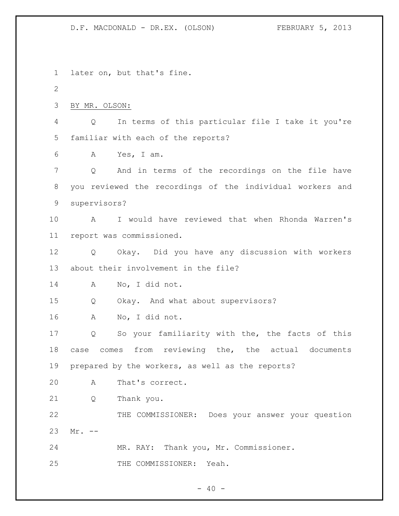later on, but that's fine. BY MR. OLSON: Q In terms of this particular file I take it you're familiar with each of the reports? A Yes, I am. Q And in terms of the recordings on the file have you reviewed the recordings of the individual workers and supervisors? A I would have reviewed that when Rhonda Warren's report was commissioned. Q Okay. Did you have any discussion with workers about their involvement in the file? A No, I did not. Q Okay. And what about supervisors? A No, I did not. Q So your familiarity with the, the facts of this case comes from reviewing the, the actual documents prepared by the workers, as well as the reports? A That's correct. Q Thank you. THE COMMISSIONER: Does your answer your question Mr. -- MR. RAY: Thank you, Mr. Commissioner. THE COMMISSIONER: Yeah.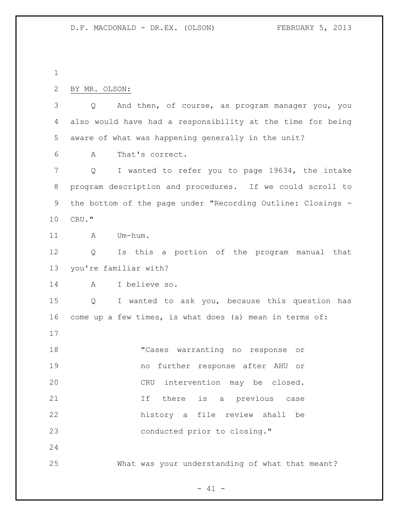| 2       | BY MR. OLSON:                                                       |
|---------|---------------------------------------------------------------------|
| 3       | And then, of course, as program manager you, you<br>Q               |
| 4       | also would have had a responsibility at the time for being          |
| 5       | aware of what was happening generally in the unit?                  |
| 6       | That's correct.<br>Α                                                |
| 7       | I wanted to refer you to page 19634, the intake<br>Q                |
| $\,8\,$ | program description and procedures. If we could scroll to           |
| 9       | the bottom of the page under "Recording Outline: Closings -         |
| 10      | CRU."                                                               |
| 11      | Um-hum.<br>A                                                        |
| 12      | Is this a portion of the program manual that<br>Q                   |
| 13      | you're familiar with?                                               |
| 14      | I believe so.<br>A                                                  |
| 15      | I wanted to ask you, because this question has<br>$Q \qquad \qquad$ |
| 16      | come up a few times, is what does (a) mean in terms of:             |
| 17      |                                                                     |
| 18      | "Cases warranting no response or                                    |
| 19      | no further response after AHU or                                    |
| 20      | CRU intervention may be closed.                                     |
| 21      | there is a previous<br>If<br>case                                   |
| 22      | history a file review shall be                                      |
| 23      | conducted prior to closing."                                        |
| 24      |                                                                     |
| 25      | What was your understanding of what that meant?                     |

 $- 41 -$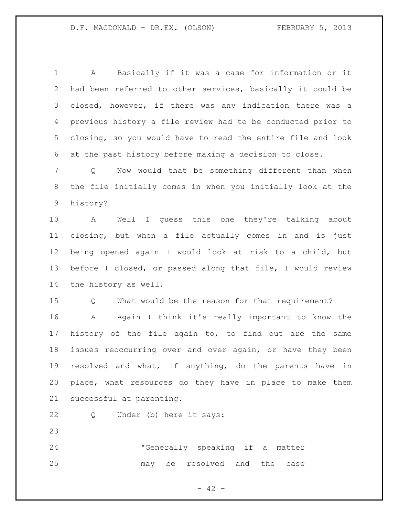A Basically if it was a case for information or it had been referred to other services, basically it could be closed, however, if there was any indication there was a previous history a file review had to be conducted prior to closing, so you would have to read the entire file and look at the past history before making a decision to close.

 Q Now would that be something different than when the file initially comes in when you initially look at the history?

 A Well I guess this one they're talking about closing, but when a file actually comes in and is just being opened again I would look at risk to a child, but before I closed, or passed along that file, I would review the history as well.

Q What would be the reason for that requirement?

 A Again I think it's really important to know the history of the file again to, to find out are the same issues reoccurring over and over again, or have they been resolved and what, if anything, do the parents have in place, what resources do they have in place to make them successful at parenting.

Q Under (b) here it says:

 "Generally speaking if a matter may be resolved and the case

 $- 42 -$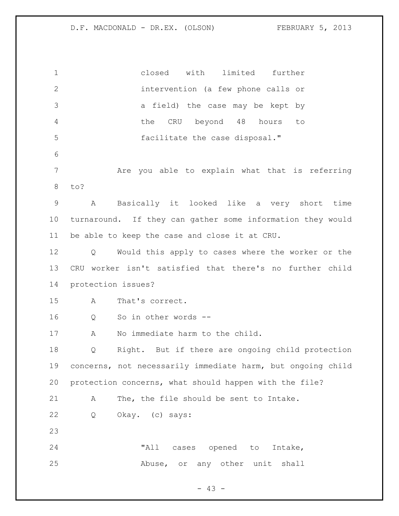closed with limited further intervention (a few phone calls or a field) the case may be kept by the CRU beyond 48 hours to facilitate the case disposal." Are you able to explain what that is referring to? A Basically it looked like a very short time turnaround. If they can gather some information they would be able to keep the case and close it at CRU. Q Would this apply to cases where the worker or the CRU worker isn't satisfied that there's no further child protection issues? A That's correct. Q So in other words -- A No immediate harm to the child. Q Right. But if there are ongoing child protection concerns, not necessarily immediate harm, but ongoing child protection concerns, what should happen with the file? A The, the file should be sent to Intake. Q Okay. (c) says: "All cases opened to Intake, Abuse, or any other unit shall

 $- 43 -$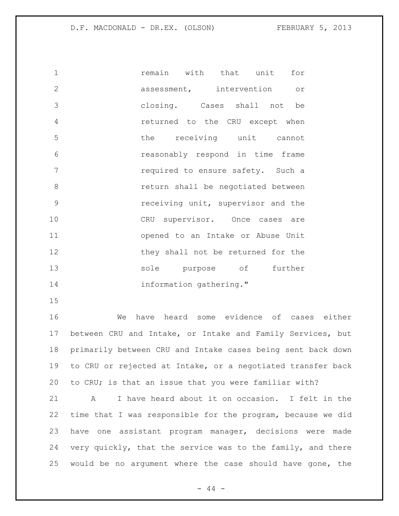| $\mathbf{1}$   | remain with that unit for          |
|----------------|------------------------------------|
| $\overline{2}$ | assessment, intervention or        |
| 3              | closing. Cases shall not be        |
| $\overline{4}$ | returned to the CRU except when    |
| 5              | the receiving unit cannot          |
| 6              | reasonably respond in time frame   |
| 7              | required to ensure safety. Such a  |
| 8              | return shall be negotiated between |
| 9              | receiving unit, supervisor and the |
| 10             | CRU supervisor. Once cases are     |
| 11             | opened to an Intake or Abuse Unit  |
| 12             | they shall not be returned for the |
| 13             | sole purpose of further            |
| 14             | information gathering."            |

 We have heard some evidence of cases either between CRU and Intake, or Intake and Family Services, but primarily between CRU and Intake cases being sent back down to CRU or rejected at Intake, or a negotiated transfer back to CRU; is that an issue that you were familiar with?

 A I have heard about it on occasion. I felt in the time that I was responsible for the program, because we did have one assistant program manager, decisions were made very quickly, that the service was to the family, and there would be no argument where the case should have gone, the

 $- 44 -$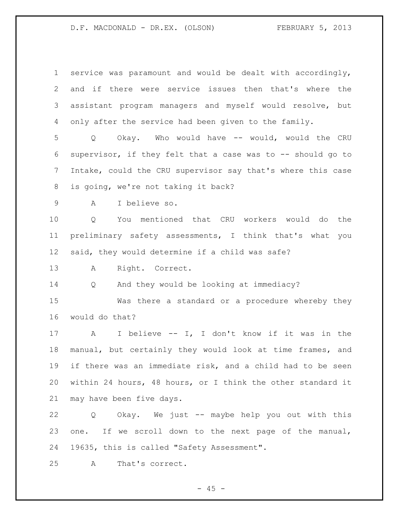| $\mathbf 1$     | service was paramount and would be dealt with accordingly,    |
|-----------------|---------------------------------------------------------------|
| 2               | and if there were service issues then that's where the        |
| 3               | assistant program managers and myself would resolve, but      |
| 4               | only after the service had been given to the family.          |
| 5               | Okay. Who would have -- would, would the CRU<br>Q             |
| 6               | supervisor, if they felt that a case was to -- should go to   |
| $7\phantom{.0}$ | Intake, could the CRU supervisor say that's where this case   |
| 8               | is going, we're not taking it back?                           |
| 9               | I believe so.<br>A                                            |
| 10              | You mentioned that CRU workers would do the<br>Q              |
| 11              | preliminary safety assessments, I think that's what you       |
| 12 <sup>°</sup> | said, they would determine if a child was safe?               |
| 13              | Right. Correct.<br>A                                          |
| 14              | And they would be looking at immediacy?<br>Q                  |
|                 |                                                               |
| 15              | Was there a standard or a procedure whereby they              |
| 16              | would do that?                                                |
| 17              | I believe -- I, I don't know if it was in the<br>$\mathbf{A}$ |
| 18              | manual, but certainly they would look at time frames, and     |
| 19              | if there was an immediate risk, and a child had to be seen    |
| 20              | within 24 hours, 48 hours, or I think the other standard it   |
| 21              | may have been five days.                                      |
| 22              | Okay. We just -- maybe help you out with this<br>Q            |
| 23              | one. If we scroll down to the next page of the manual,        |
| 24              | 19635, this is called "Safety Assessment".                    |

- 45 -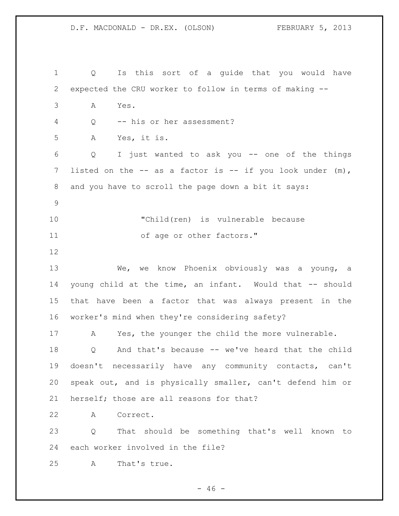Q Is this sort of a guide that you would have expected the CRU worker to follow in terms of making -- A Yes. Q -- his or her assessment? A Yes, it is. Q I just wanted to ask you -- one of the things 7 listed on the -- as a factor is -- if you look under (m), and you have to scroll the page down a bit it says: "Child(ren) is vulnerable because 11 of age or other factors." We, we know Phoenix obviously was a young, a young child at the time, an infant. Would that -- should that have been a factor that was always present in the worker's mind when they're considering safety? A Yes, the younger the child the more vulnerable. Q And that's because -- we've heard that the child doesn't necessarily have any community contacts, can't speak out, and is physically smaller, can't defend him or herself; those are all reasons for that? A Correct. Q That should be something that's well known to each worker involved in the file? A That's true.

 $- 46 -$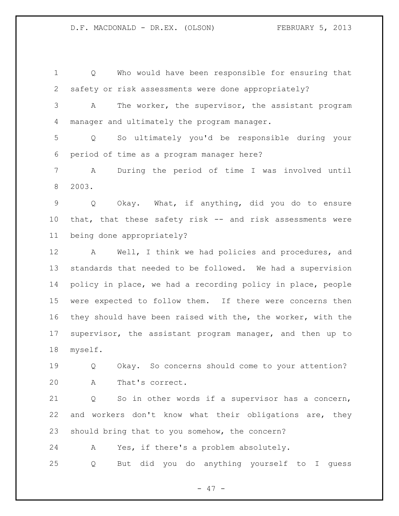Q Who would have been responsible for ensuring that safety or risk assessments were done appropriately? A The worker, the supervisor, the assistant program manager and ultimately the program manager. Q So ultimately you'd be responsible during your period of time as a program manager here? A During the period of time I was involved until 2003. Q Okay. What, if anything, did you do to ensure that, that these safety risk -- and risk assessments were being done appropriately? A Well, I think we had policies and procedures, and standards that needed to be followed. We had a supervision policy in place, we had a recording policy in place, people were expected to follow them. If there were concerns then they should have been raised with the, the worker, with the supervisor, the assistant program manager, and then up to myself. Q Okay. So concerns should come to your attention? A That's correct. Q So in other words if a supervisor has a concern,

should bring that to you somehow, the concern?

A Yes, if there's a problem absolutely.

Q But did you do anything yourself to I guess

and workers don't know what their obligations are, they

- 47 -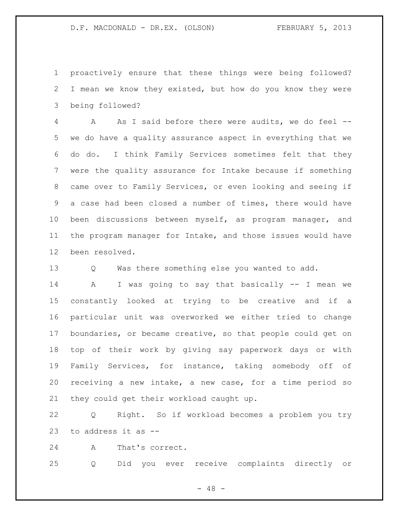proactively ensure that these things were being followed? I mean we know they existed, but how do you know they were being followed?

 A As I said before there were audits, we do feel -- we do have a quality assurance aspect in everything that we do do. I think Family Services sometimes felt that they were the quality assurance for Intake because if something came over to Family Services, or even looking and seeing if a case had been closed a number of times, there would have been discussions between myself, as program manager, and the program manager for Intake, and those issues would have been resolved.

Q Was there something else you wanted to add.

 A I was going to say that basically -- I mean we constantly looked at trying to be creative and if a particular unit was overworked we either tried to change boundaries, or became creative, so that people could get on top of their work by giving say paperwork days or with Family Services, for instance, taking somebody off of receiving a new intake, a new case, for a time period so they could get their workload caught up.

 Q Right. So if workload becomes a problem you try to address it as --

A That's correct.

Q Did you ever receive complaints directly or

 $- 48 -$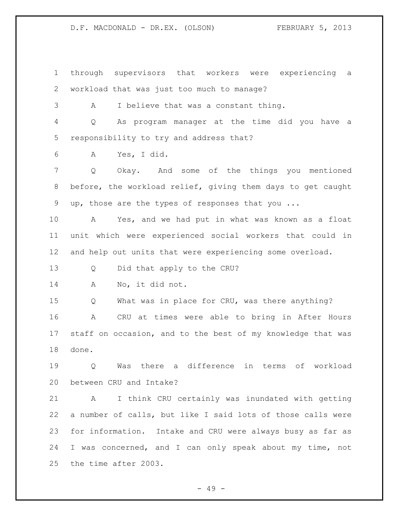through supervisors that workers were experiencing a workload that was just too much to manage?

A I believe that was a constant thing.

 Q As program manager at the time did you have a responsibility to try and address that?

A Yes, I did.

 Q Okay. And some of the things you mentioned before, the workload relief, giving them days to get caught up, those are the types of responses that you ...

 A Yes, and we had put in what was known as a float unit which were experienced social workers that could in and help out units that were experiencing some overload.

Q Did that apply to the CRU?

A No, it did not.

Q What was in place for CRU, was there anything?

 A CRU at times were able to bring in After Hours staff on occasion, and to the best of my knowledge that was done.

 Q Was there a difference in terms of workload between CRU and Intake?

 A I think CRU certainly was inundated with getting a number of calls, but like I said lots of those calls were for information. Intake and CRU were always busy as far as I was concerned, and I can only speak about my time, not the time after 2003.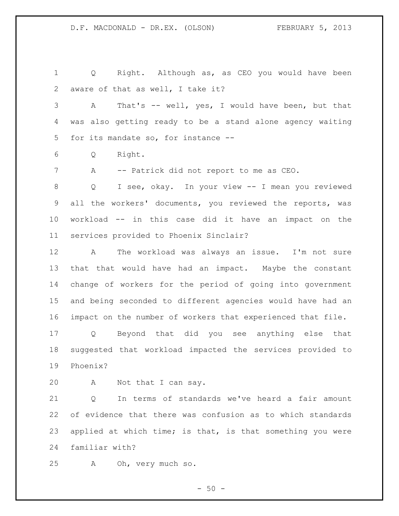Q Right. Although as, as CEO you would have been aware of that as well, I take it?

 A That's -- well, yes, I would have been, but that was also getting ready to be a stand alone agency waiting for its mandate so, for instance --

Q Right.

7 A -- Patrick did not report to me as CEO.

 Q I see, okay. In your view -- I mean you reviewed all the workers' documents, you reviewed the reports, was workload -- in this case did it have an impact on the services provided to Phoenix Sinclair?

 A The workload was always an issue. I'm not sure that that would have had an impact. Maybe the constant change of workers for the period of going into government and being seconded to different agencies would have had an impact on the number of workers that experienced that file.

 Q Beyond that did you see anything else that suggested that workload impacted the services provided to Phoenix?

A Not that I can say.

 Q In terms of standards we've heard a fair amount of evidence that there was confusion as to which standards applied at which time; is that, is that something you were familiar with?

A Oh, very much so.

 $-50 -$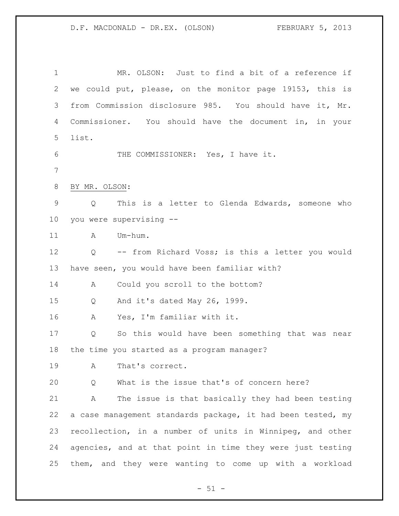MR. OLSON: Just to find a bit of a reference if we could put, please, on the monitor page 19153, this is from Commission disclosure 985. You should have it, Mr. Commissioner. You should have the document in, in your list. THE COMMISSIONER: Yes, I have it. BY MR. OLSON: Q This is a letter to Glenda Edwards, someone who you were supervising -- 11 A Um-hum. Q -- from Richard Voss; is this a letter you would have seen, you would have been familiar with? A Could you scroll to the bottom? Q And it's dated May 26, 1999. A Yes, I'm familiar with it. Q So this would have been something that was near the time you started as a program manager? A That's correct. Q What is the issue that's of concern here? A The issue is that basically they had been testing a case management standards package, it had been tested, my recollection, in a number of units in Winnipeg, and other agencies, and at that point in time they were just testing them, and they were wanting to come up with a workload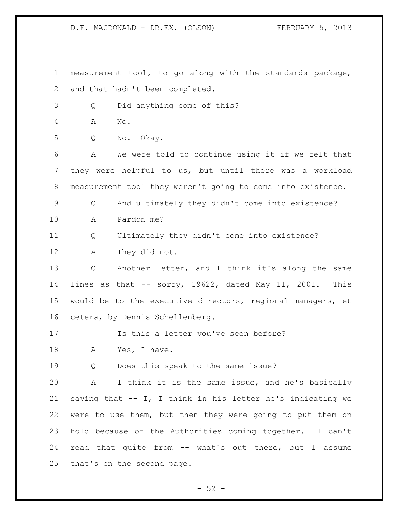measurement tool, to go along with the standards package, and that hadn't been completed. Q Did anything come of this? A No. Q No. Okay. A We were told to continue using it if we felt that they were helpful to us, but until there was a workload measurement tool they weren't going to come into existence. Q And ultimately they didn't come into existence? A Pardon me? Q Ultimately they didn't come into existence? A They did not. Q Another letter, and I think it's along the same lines as that -- sorry, 19622, dated May 11, 2001. This would be to the executive directors, regional managers, et cetera, by Dennis Schellenberg. Is this a letter you've seen before? 18 A Yes, I have. Q Does this speak to the same issue? A I think it is the same issue, and he's basically saying that -- I, I think in his letter he's indicating we were to use them, but then they were going to put them on hold because of the Authorities coming together. I can't read that quite from -- what's out there, but I assume that's on the second page.

 $-52 -$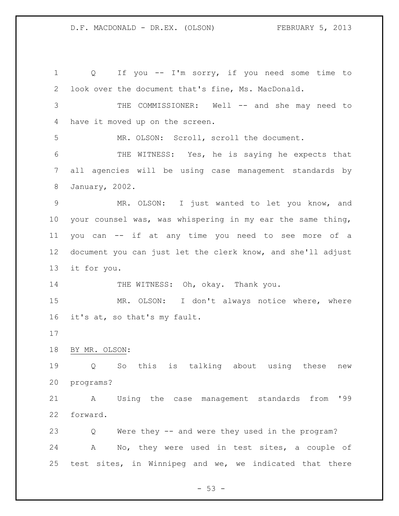1 0 If you -- I'm sorry, if you need some time to look over the document that's fine, Ms. MacDonald. 3 THE COMMISSIONER: Well -- and she may need to have it moved up on the screen. MR. OLSON: Scroll, scroll the document. THE WITNESS: Yes, he is saying he expects that all agencies will be using case management standards by January, 2002. MR. OLSON: I just wanted to let you know, and your counsel was, was whispering in my ear the same thing, you can -- if at any time you need to see more of a document you can just let the clerk know, and she'll adjust it for you. 14 THE WITNESS: Oh, okay. Thank you. MR. OLSON: I don't always notice where, where it's at, so that's my fault. BY MR. OLSON: Q So this is talking about using these new programs? A Using the case management standards from '99 forward. Q Were they -- and were they used in the program? A No, they were used in test sites, a couple of test sites, in Winnipeg and we, we indicated that there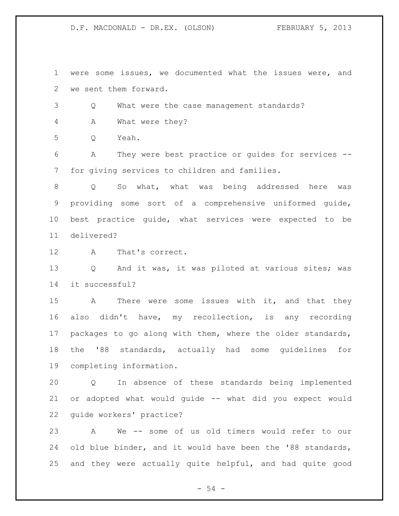were some issues, we documented what the issues were, and we sent them forward.

Q What were the case management standards?

A What were they?

Q Yeah.

 A They were best practice or guides for services -- for giving services to children and families.

 Q So what, what was being addressed here was providing some sort of a comprehensive uniformed guide, best practice guide, what services were expected to be delivered?

A That's correct.

 Q And it was, it was piloted at various sites; was it successful?

15 A There were some issues with it, and that they also didn't have, my recollection, is any recording 17 packages to go along with them, where the older standards, the '88 standards, actually had some guidelines for completing information.

 Q In absence of these standards being implemented or adopted what would guide -- what did you expect would guide workers' practice?

 A We -- some of us old timers would refer to our 24 old blue binder, and it would have been the '88 standards, and they were actually quite helpful, and had quite good

 $-54 -$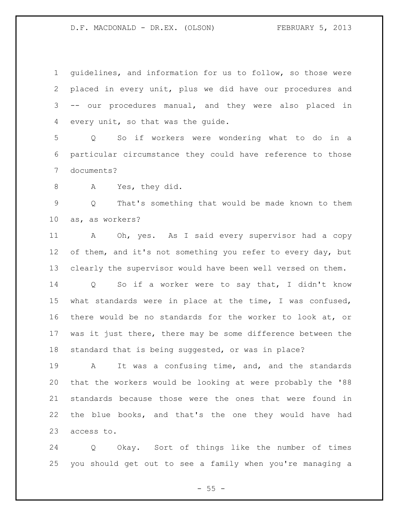guidelines, and information for us to follow, so those were placed in every unit, plus we did have our procedures and -- our procedures manual, and they were also placed in every unit, so that was the guide.

 Q So if workers were wondering what to do in a particular circumstance they could have reference to those documents?

A Yes, they did.

 Q That's something that would be made known to them as, as workers?

 A Oh, yes. As I said every supervisor had a copy 12 of them, and it's not something you refer to every day, but clearly the supervisor would have been well versed on them.

 Q So if a worker were to say that, I didn't know what standards were in place at the time, I was confused, there would be no standards for the worker to look at, or was it just there, there may be some difference between the standard that is being suggested, or was in place?

 A It was a confusing time, and, and the standards that the workers would be looking at were probably the '88 standards because those were the ones that were found in the blue books, and that's the one they would have had access to.

 Q Okay. Sort of things like the number of times you should get out to see a family when you're managing a

 $- 55 -$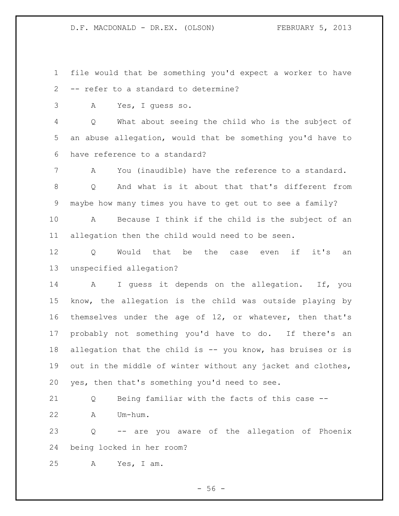file would that be something you'd expect a worker to have -- refer to a standard to determine?

A Yes, I guess so.

 Q What about seeing the child who is the subject of an abuse allegation, would that be something you'd have to have reference to a standard?

 A You (inaudible) have the reference to a standard. Q And what is it about that that's different from maybe how many times you have to get out to see a family?

 A Because I think if the child is the subject of an allegation then the child would need to be seen.

 Q Would that be the case even if it's an unspecified allegation?

 A I guess it depends on the allegation. If, you know, the allegation is the child was outside playing by themselves under the age of 12, or whatever, then that's probably not something you'd have to do. If there's an allegation that the child is -- you know, has bruises or is out in the middle of winter without any jacket and clothes, yes, then that's something you'd need to see.

Q Being familiar with the facts of this case --

A Um-hum.

 Q -- are you aware of the allegation of Phoenix being locked in her room?

A Yes, I am.

 $-56 -$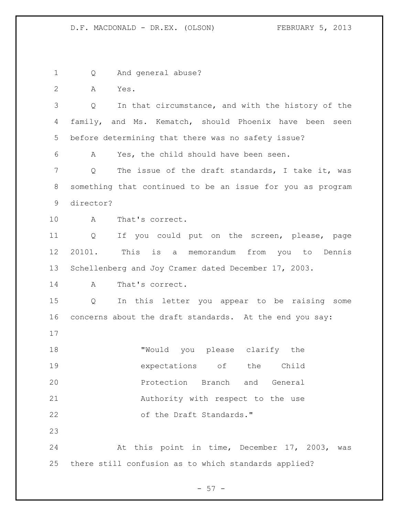Q And general abuse? A Yes. Q In that circumstance, and with the history of the 4 family, and Ms. Kematch, should Phoenix have been seen before determining that there was no safety issue? A Yes, the child should have been seen. 7 Q The issue of the draft standards, I take it, was something that continued to be an issue for you as program director? A That's correct. Q If you could put on the screen, please, page 20101. This is a memorandum from you to Dennis Schellenberg and Joy Cramer dated December 17, 2003. A That's correct. Q In this letter you appear to be raising some concerns about the draft standards. At the end you say: 18 TWould you please clarify the expectations of the Child Protection Branch and General Authority with respect to the use 22 of the Draft Standards." At this point in time, December 17, 2003, was there still confusion as to which standards applied?

 $-57 -$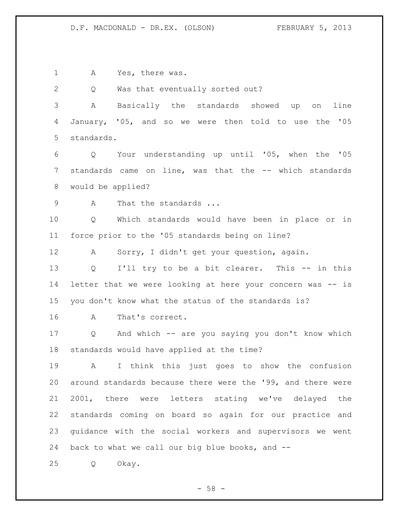1 A Yes, there was.

Q Was that eventually sorted out?

 A Basically the standards showed up on line January, '05, and so we were then told to use the '05 standards.

 Q Your understanding up until '05, when the '05 7 standards came on line, was that the -- which standards would be applied?

9 A That the standards ...

 Q Which standards would have been in place or in force prior to the '05 standards being on line?

A Sorry, I didn't get your question, again.

 Q I'll try to be a bit clearer. This -- in this letter that we were looking at here your concern was -- is you don't know what the status of the standards is?

A That's correct.

 Q And which -- are you saying you don't know which standards would have applied at the time?

 A I think this just goes to show the confusion around standards because there were the '99, and there were 2001, there were letters stating we've delayed the standards coming on board so again for our practice and guidance with the social workers and supervisors we went back to what we call our big blue books, and --

Q Okay.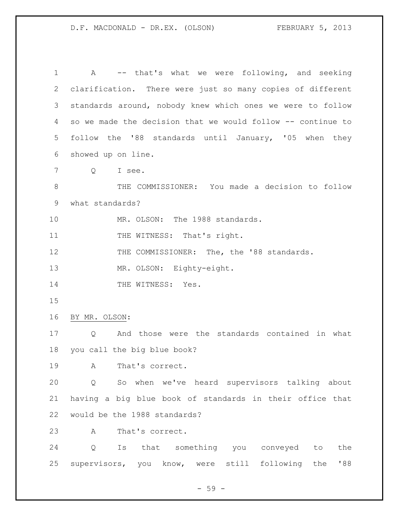A -- that's what we were following, and seeking clarification. There were just so many copies of different standards around, nobody knew which ones we were to follow so we made the decision that we would follow -- continue to follow the '88 standards until January, '05 when they showed up on line. Q I see. THE COMMISSIONER: You made a decision to follow what standards? MR. OLSON: The 1988 standards. 11 THE WITNESS: That's right. 12 THE COMMISSIONER: The, the '88 standards. MR. OLSON: Eighty-eight. 14 THE WITNESS: Yes. BY MR. OLSON: Q And those were the standards contained in what you call the big blue book? A That's correct. Q So when we've heard supervisors talking about having a big blue book of standards in their office that would be the 1988 standards? A That's correct. Q Is that something you conveyed to the supervisors, you know, were still following the '88

 $-59 -$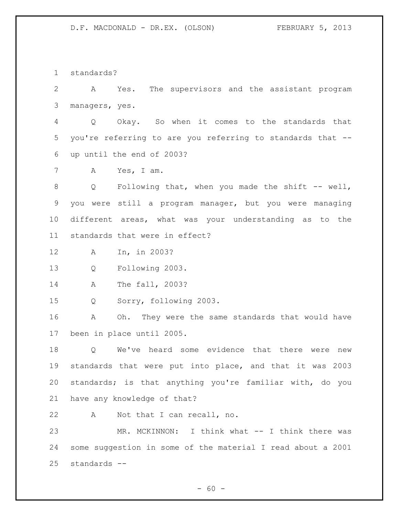standards?

 A Yes. The supervisors and the assistant program managers, yes.

 Q Okay. So when it comes to the standards that you're referring to are you referring to standards that -- up until the end of 2003?

A Yes, I am.

8 Q Following that, when you made the shift -- well, you were still a program manager, but you were managing different areas, what was your understanding as to the standards that were in effect?

A In, in 2003?

Q Following 2003.

A The fall, 2003?

Q Sorry, following 2003.

 A Oh. They were the same standards that would have been in place until 2005.

 Q We've heard some evidence that there were new standards that were put into place, and that it was 2003 standards; is that anything you're familiar with, do you have any knowledge of that?

A Not that I can recall, no.

 MR. MCKINNON: I think what -- I think there was some suggestion in some of the material I read about a 2001 standards --

 $- 60 -$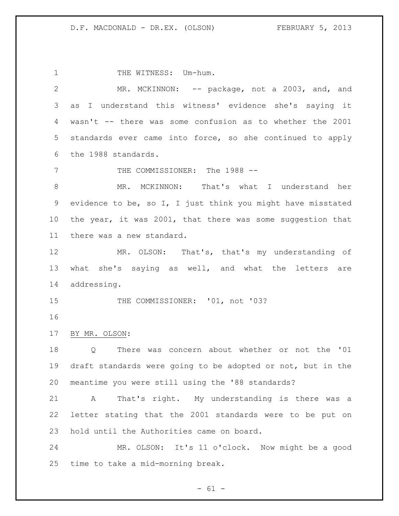1 THE WITNESS: Um-hum. 2 MR. MCKINNON: -- package, not a 2003, and, and as I understand this witness' evidence she's saying it wasn't -- there was some confusion as to whether the 2001 standards ever came into force, so she continued to apply the 1988 standards. 7 THE COMMISSIONER: The 1988 -- MR. MCKINNON: That's what I understand her evidence to be, so I, I just think you might have misstated the year, it was 2001, that there was some suggestion that there was a new standard. MR. OLSON: That's, that's my understanding of what she's saying as well, and what the letters are addressing. 15 THE COMMISSIONER: '01, not '03? BY MR. OLSON: Q There was concern about whether or not the '01 draft standards were going to be adopted or not, but in the meantime you were still using the '88 standards? A That's right. My understanding is there was a letter stating that the 2001 standards were to be put on hold until the Authorities came on board. MR. OLSON: It's 11 o'clock. Now might be a good time to take a mid-morning break.

 $- 61 -$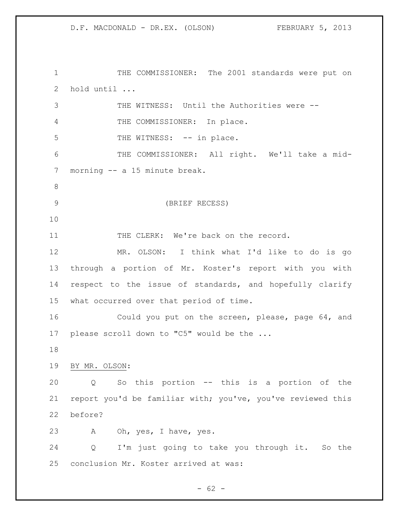1 THE COMMISSIONER: The 2001 standards were put on hold until ... THE WITNESS: Until the Authorities were -- THE COMMISSIONER: In place. 5 THE WITNESS: -- in place. THE COMMISSIONER: All right. We'll take a mid- morning -- a 15 minute break. (BRIEF RECESS) 11 THE CLERK: We're back on the record. MR. OLSON: I think what I'd like to do is go through a portion of Mr. Koster's report with you with respect to the issue of standards, and hopefully clarify what occurred over that period of time. Could you put on the screen, please, page 64, and please scroll down to "C5" would be the ... BY MR. OLSON: Q So this portion -- this is a portion of the report you'd be familiar with; you've, you've reviewed this before? A Oh, yes, I have, yes. Q I'm just going to take you through it. So the conclusion Mr. Koster arrived at was:

 $- 62 -$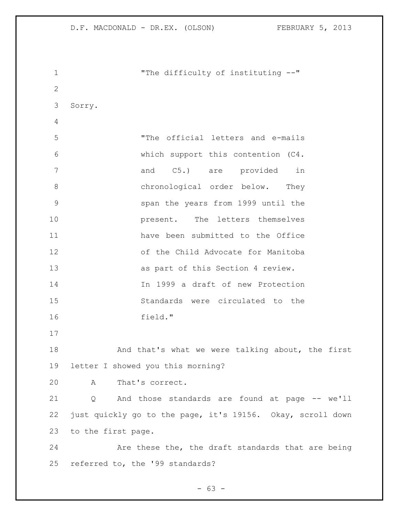| $\mathbf{1}$   | "The difficulty of instituting --"                         |
|----------------|------------------------------------------------------------|
| $\mathbf{2}$   |                                                            |
| 3              | Sorry.                                                     |
| $\overline{4}$ |                                                            |
| 5              | "The official letters and e-mails                          |
| 6              | which support this contention (C4.                         |
| 7              | C5.) are provided<br>and<br>in                             |
| $8\,$          | chronological order below. They                            |
| 9              | span the years from 1999 until the                         |
| 10             | present. The letters themselves                            |
| 11             | have been submitted to the Office                          |
| 12             | of the Child Advocate for Manitoba                         |
| 13             | as part of this Section 4 review.                          |
| 14             | In 1999 a draft of new Protection                          |
| 15             | Standards were circulated to the                           |
| 16             | field."                                                    |
| 17             |                                                            |
| 18             | And that's what we were talking about, the first           |
| 19             | letter I showed you this morning?                          |
| 20             | That's correct.<br>$\mathbf{A}$                            |
| 21             | Q And those standards are found at page -- we'll           |
| 22             | just quickly go to the page, it's 19156. Okay, scroll down |
| 23             | to the first page.                                         |
| 24             | Are these the, the draft standards that are being          |
| 25             | referred to, the '99 standards?                            |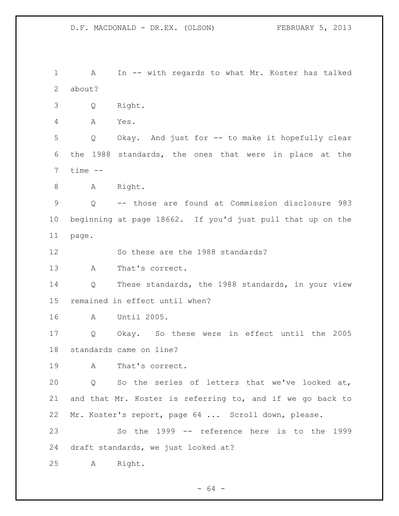A In -- with regards to what Mr. Koster has talked about? Q Right. A Yes. Q Okay. And just for -- to make it hopefully clear the 1988 standards, the ones that were in place at the time  $-$ 8 A Right. Q -- those are found at Commission disclosure 983 beginning at page 18662. If you'd just pull that up on the page. So these are the 1988 standards? A That's correct. Q These standards, the 1988 standards, in your view remained in effect until when? A Until 2005. Q Okay. So these were in effect until the 2005 standards came on line? A That's correct. Q So the series of letters that we've looked at, and that Mr. Koster is referring to, and if we go back to Mr. Koster's report, page 64 ... Scroll down, please. So the 1999 -- reference here is to the 1999 draft standards, we just looked at? A Right.

 $- 64 -$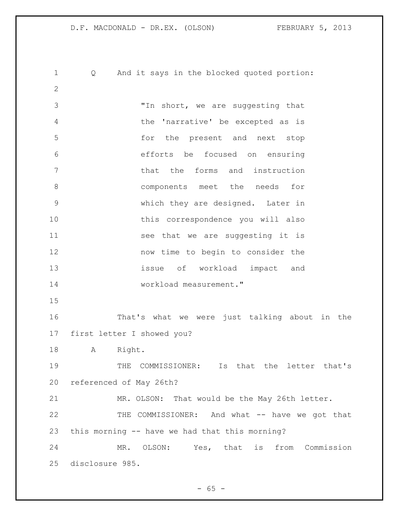D.F. MACDONALD - DR.EX. (OLSON) FEBRUARY 5, 2013 Q And it says in the blocked quoted portion: "In short, we are suggesting that the 'narrative' be excepted as is for the present and next stop efforts be focused on ensuring that the forms and instruction 8 components meet the needs for which they are designed. Later in this correspondence you will also 11 see that we are suggesting it is now time to begin to consider the issue of workload impact and workload measurement." That's what we were just talking about in the first letter I showed you? A Right. THE COMMISSIONER: Is that the letter that's referenced of May 26th? MR. OLSON: That would be the May 26th letter.

 THE COMMISSIONER: And what -- have we got that this morning -- have we had that this morning?

 MR. OLSON: Yes, that is from Commission disclosure 985.

 $- 65 -$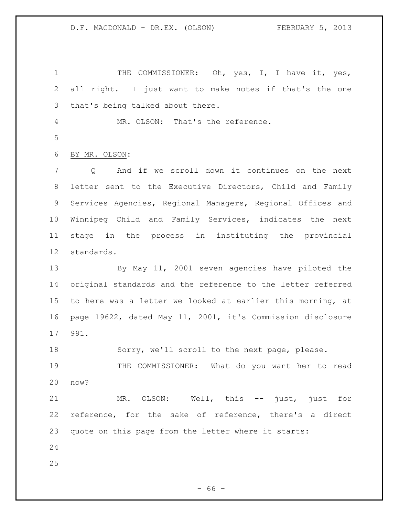1 THE COMMISSIONER: Oh, yes, I, I have it, yes, all right. I just want to make notes if that's the one that's being talked about there. MR. OLSON: That's the reference. BY MR. OLSON: Q And if we scroll down it continues on the next letter sent to the Executive Directors, Child and Family Services Agencies, Regional Managers, Regional Offices and Winnipeg Child and Family Services, indicates the next stage in the process in instituting the provincial standards. By May 11, 2001 seven agencies have piloted the original standards and the reference to the letter referred to here was a letter we looked at earlier this morning, at page 19622, dated May 11, 2001, it's Commission disclosure 991. Sorry, we'll scroll to the next page, please. 19 THE COMMISSIONER: What do you want her to read now? MR. OLSON: Well, this -- just, just for reference, for the sake of reference, there's a direct quote on this page from the letter where it starts: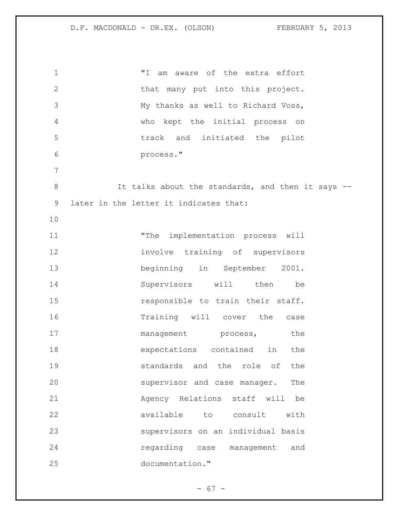"I am aware of the extra effort 2 that many put into this project. My thanks as well to Richard Voss, who kept the initial process on track and initiated the pilot process." 8 It talks about the standards, and then it says -- later in the letter it indicates that: "The implementation process will involve training of supervisors beginning in September 2001. Supervisors will then be **responsible to train their staff.**  Training will cover the case 17 management process, the expectations contained in the **Standards** and the role of the supervisor and case manager. The Agency Relations staff will be available to consult with supervisors on an individual basis regarding case management and documentation."

 $- 67 -$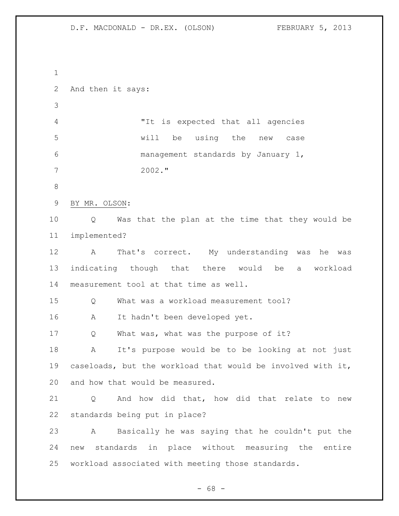And then it says: "It is expected that all agencies will be using the new case management standards by January 1, 2002." BY MR. OLSON: Q Was that the plan at the time that they would be implemented? A That's correct. My understanding was he was indicating though that there would be a workload measurement tool at that time as well. 15 O What was a workload measurement tool? A It hadn't been developed yet. 17 Q What was, what was the purpose of it? A It's purpose would be to be looking at not just caseloads, but the workload that would be involved with it, and how that would be measured. Q And how did that, how did that relate to new standards being put in place? A Basically he was saying that he couldn't put the new standards in place without measuring the entire workload associated with meeting those standards.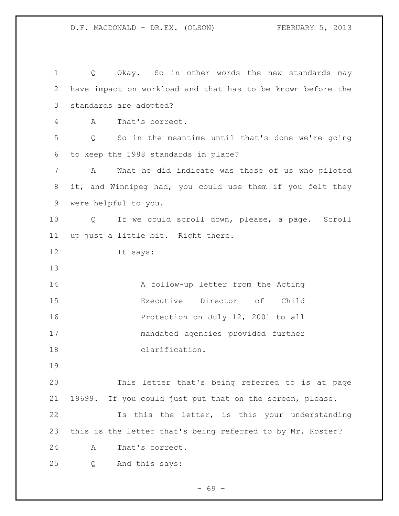Q Okay. So in other words the new standards may have impact on workload and that has to be known before the standards are adopted? A That's correct. Q So in the meantime until that's done we're going to keep the 1988 standards in place? A What he did indicate was those of us who piloted it, and Winnipeg had, you could use them if you felt they were helpful to you. Q If we could scroll down, please, a page. Scroll up just a little bit. Right there. It says: 14 A follow-up letter from the Acting Executive Director of Child 16 Protection on July 12, 2001 to all mandated agencies provided further clarification. This letter that's being referred to is at page 19699. If you could just put that on the screen, please. Is this the letter, is this your understanding this is the letter that's being referred to by Mr. Koster? A That's correct. Q And this says: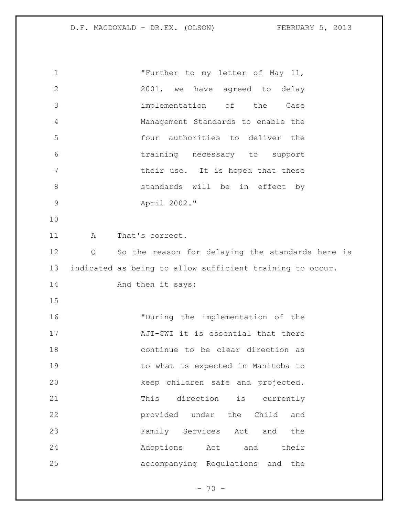| 1            | "Further to my letter of May 11,                          |
|--------------|-----------------------------------------------------------|
| $\mathbf{2}$ | 2001, we have agreed to delay                             |
| 3            | implementation of the Case                                |
| 4            | Management Standards to enable the                        |
| 5            | four authorities to deliver the                           |
| 6            | training necessary to support                             |
| 7            | their use. It is hoped that these                         |
| $8\,$        | standards will be in effect by                            |
| $\mathsf 9$  | April 2002."                                              |
| 10           |                                                           |
| 11           | That's correct.<br>A                                      |
| 12           | So the reason for delaying the standards here is<br>Q     |
| 13           | indicated as being to allow sufficient training to occur. |
| 14           | And then it says:                                         |
| 15           |                                                           |
| 16           | "During the implementation of the                         |
| 17           | AJI-CWI it is essential that there                        |
| 18           | continue to be clear direction as                         |
| 19           | to what is expected in Manitoba to                        |
| 20           | keep children safe and projected.                         |
| 21           | direction<br>This<br>is currently                         |
| 22           | provided under the Child<br>and                           |
| 23           | Family Services Act and<br>the                            |
| 24           | Adoptions Act<br>and<br>their                             |
| 25           | accompanying Regulations and<br>the                       |

- 70 -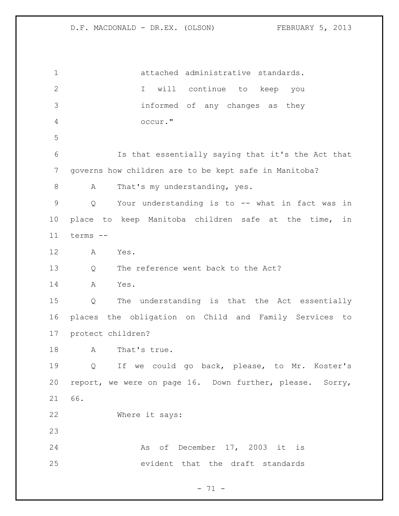attached administrative standards. I will continue to keep you informed of any changes as they occur." Is that essentially saying that it's the Act that governs how children are to be kept safe in Manitoba? 8 A That's my understanding, yes. Q Your understanding is to -- what in fact was in place to keep Manitoba children safe at the time, in terms -- A Yes. 13 Q The reference went back to the Act? A Yes. Q The understanding is that the Act essentially places the obligation on Child and Family Services to protect children? 18 A That's true. Q If we could go back, please, to Mr. Koster's report, we were on page 16. Down further, please. Sorry, 66. Where it says: As of December 17, 2003 it is evident that the draft standards

- 71 -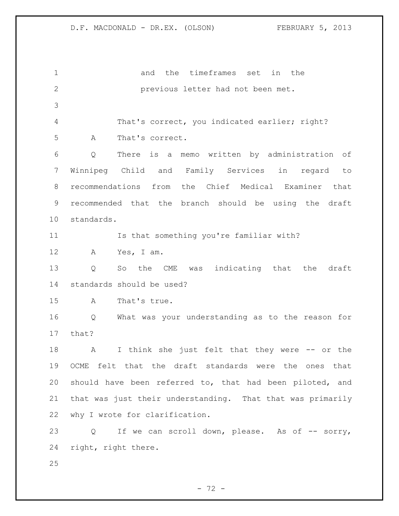and the timeframes set in the previous letter had not been met. That's correct, you indicated earlier; right? A That's correct. Q There is a memo written by administration of Winnipeg Child and Family Services in regard to recommendations from the Chief Medical Examiner that recommended that the branch should be using the draft standards. Is that something you're familiar with? A Yes, I am. Q So the CME was indicating that the draft standards should be used? A That's true. Q What was your understanding as to the reason for that? 18 A I think she just felt that they were -- or the OCME felt that the draft standards were the ones that should have been referred to, that had been piloted, and that was just their understanding. That that was primarily why I wrote for clarification. 23 Q If we can scroll down, please. As of -- sorry, right, right there.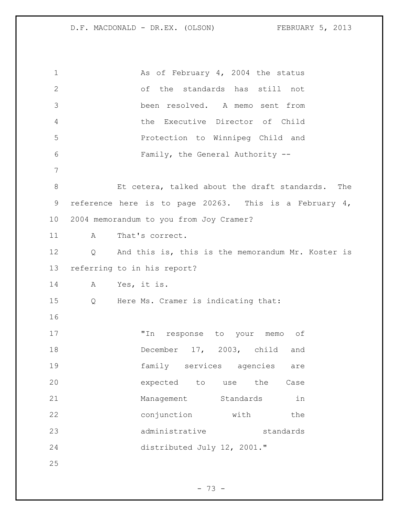1 As of February 4, 2004 the status of the standards has still not been resolved. A memo sent from the Executive Director of Child Protection to Winnipeg Child and Family, the General Authority -- Et cetera, talked about the draft standards. The reference here is to page 20263. This is a February 4, 2004 memorandum to you from Joy Cramer? 11 A That's correct. Q And this is, this is the memorandum Mr. Koster is referring to in his report? A Yes, it is. Q Here Ms. Cramer is indicating that: "In response to your memo of December 17, 2003, child and family services agencies are expected to use the Case 21 Management Standards in 22 conjunction with the administrative standards distributed July 12, 2001."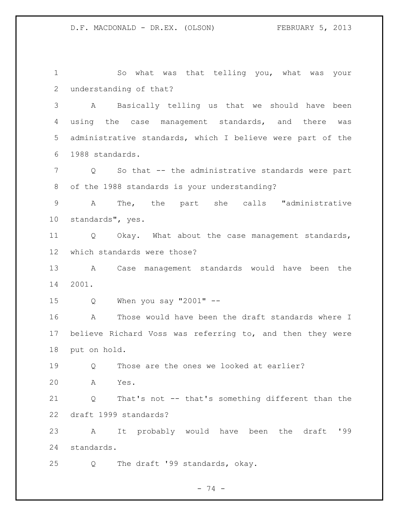So what was that telling you, what was your understanding of that?

 A Basically telling us that we should have been using the case management standards, and there was administrative standards, which I believe were part of the 1988 standards.

 Q So that -- the administrative standards were part of the 1988 standards is your understanding?

 A The, the part she calls "administrative standards", yes.

 Q Okay. What about the case management standards, which standards were those?

 A Case management standards would have been the 2001.

Q When you say "2001" --

 A Those would have been the draft standards where I believe Richard Voss was referring to, and then they were put on hold.

Q Those are the ones we looked at earlier?

A Yes.

 Q That's not -- that's something different than the draft 1999 standards?

 A It probably would have been the draft '99 standards.

Q The draft '99 standards, okay.

- 74 -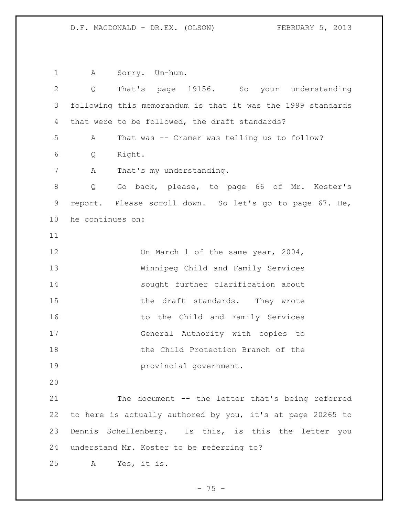1 A Sorry. Um-hum. Q That's page 19156. So your understanding following this memorandum is that it was the 1999 standards that were to be followed, the draft standards? 5 A That was -- Cramer was telling us to follow? Q Right. 7 A That's my understanding. Q Go back, please, to page 66 of Mr. Koster's report. Please scroll down. So let's go to page 67. He, he continues on: 12 On March 1 of the same year, 2004, Winnipeg Child and Family Services sought further clarification about 15 the draft standards. They wrote 16 to the Child and Family Services General Authority with copies to **the Child Protection Branch of the**  provincial government. The document -- the letter that's being referred to here is actually authored by you, it's at page 20265 to Dennis Schellenberg. Is this, is this the letter you understand Mr. Koster to be referring to? A Yes, it is.

- 75 -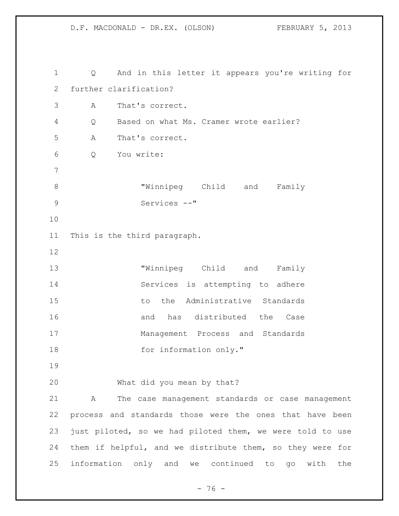Q And in this letter it appears you're writing for further clarification? A That's correct. Q Based on what Ms. Cramer wrote earlier? A That's correct. Q You write: "Winnipeg Child and Family Services --" This is the third paragraph. "Winnipeg Child and Family Services is attempting to adhere 15 to the Administrative Standards 16 and has distributed the Case Management Process and Standards 18 for information only." What did you mean by that? A The case management standards or case management process and standards those were the ones that have been just piloted, so we had piloted them, we were told to use them if helpful, and we distribute them, so they were for information only and we continued to go with the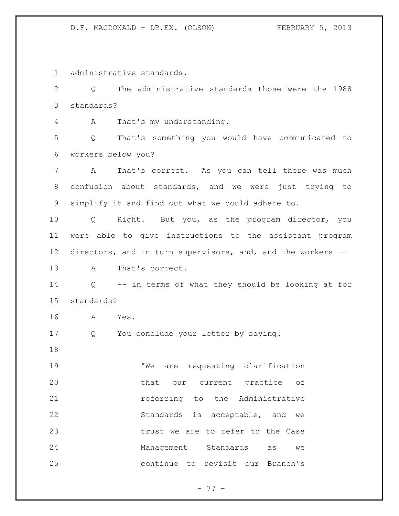administrative standards.

 Q The administrative standards those were the 1988 standards?

A That's my understanding.

 Q That's something you would have communicated to workers below you?

 A That's correct. As you can tell there was much confusion about standards, and we were just trying to simplify it and find out what we could adhere to.

 Q Right. But you, as the program director, you were able to give instructions to the assistant program directors, and in turn supervisors, and, and the workers --

A That's correct.

 Q -- in terms of what they should be looking at for standards?

A Yes.

Q You conclude your letter by saying:

19 TWe are requesting clarification that our current practice of **120 THE REFERS** referring to the Administrative Standards is acceptable, and we 23 trust we are to refer to the Case Management Standards as we continue to revisit our Branch's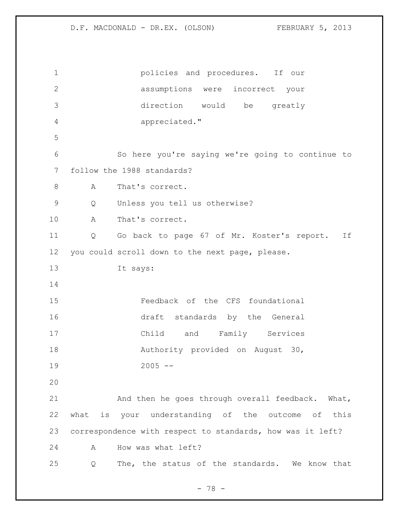policies and procedures. If our assumptions were incorrect your direction would be greatly appreciated." So here you're saying we're going to continue to follow the 1988 standards? 8 A That's correct. Q Unless you tell us otherwise? A That's correct. Q Go back to page 67 of Mr. Koster's report. If you could scroll down to the next page, please. It says: Feedback of the CFS foundational draft standards by the General Child and Family Services 18 Authority provided on August 30, 2005 -- And then he goes through overall feedback. What, what is your understanding of the outcome of this correspondence with respect to standards, how was it left? A How was what left? Q The, the status of the standards. We know that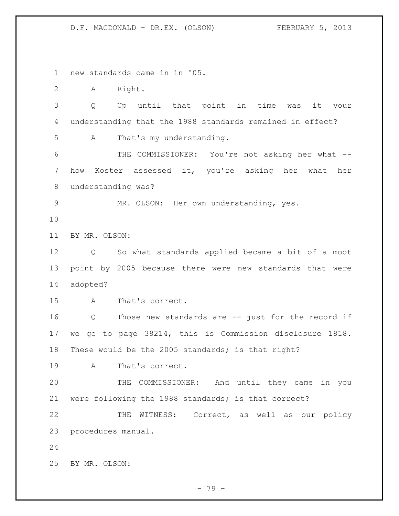new standards came in in '05.

A Right.

 Q Up until that point in time was it your understanding that the 1988 standards remained in effect?

A That's my understanding.

 THE COMMISSIONER: You're not asking her what -- how Koster assessed it, you're asking her what her understanding was?

MR. OLSON: Her own understanding, yes.

BY MR. OLSON:

 Q So what standards applied became a bit of a moot point by 2005 because there were new standards that were adopted?

A That's correct.

 Q Those new standards are -- just for the record if we go to page 38214, this is Commission disclosure 1818. These would be the 2005 standards; is that right?

A That's correct.

 THE COMMISSIONER: And until they came in you were following the 1988 standards; is that correct?

22 THE WITNESS: Correct, as well as our policy procedures manual.

BY MR. OLSON: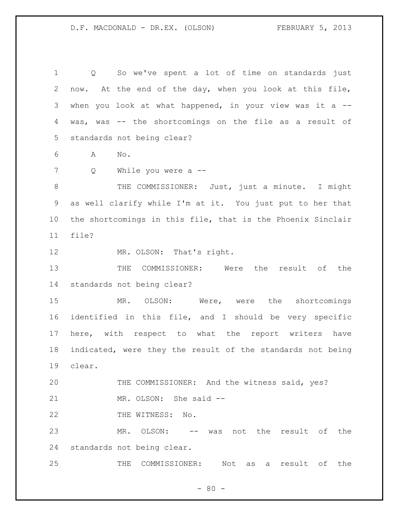Q So we've spent a lot of time on standards just now. At the end of the day, when you look at this file, when you look at what happened, in your view was it a -- was, was -- the shortcomings on the file as a result of standards not being clear?

A No.

Q While you were a --

8 THE COMMISSIONER: Just, just a minute. I might as well clarify while I'm at it. You just put to her that the shortcomings in this file, that is the Phoenix Sinclair file?

12 MR. OLSON: That's right.

 THE COMMISSIONER: Were the result of the standards not being clear?

 MR. OLSON: Were, were the shortcomings identified in this file, and I should be very specific here, with respect to what the report writers have indicated, were they the result of the standards not being clear.

 THE COMMISSIONER: And the witness said, yes? MR. OLSON: She said --

22 THE WITNESS: No.

 MR. OLSON: -- was not the result of the standards not being clear.

THE COMMISSIONER: Not as a result of the

 $- 80 -$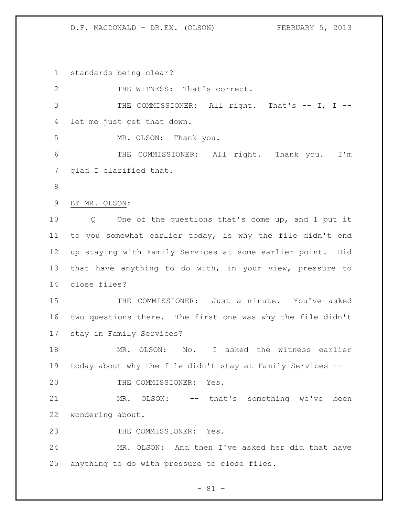standards being clear? 2 THE WITNESS: That's correct. 3 THE COMMISSIONER: All right. That's -- I, I -- let me just get that down. MR. OLSON: Thank you. THE COMMISSIONER: All right. Thank you. I'm glad I clarified that. BY MR. OLSON: Q One of the questions that's come up, and I put it to you somewhat earlier today, is why the file didn't end up staying with Family Services at some earlier point. Did that have anything to do with, in your view, pressure to close files? THE COMMISSIONER: Just a minute. You've asked two questions there. The first one was why the file didn't stay in Family Services? MR. OLSON: No. I asked the witness earlier today about why the file didn't stay at Family Services -- 20 THE COMMISSIONER: Yes. MR. OLSON: -- that's something we've been wondering about. 23 THE COMMISSIONER: Yes. MR. OLSON: And then I've asked her did that have anything to do with pressure to close files.

- 81 -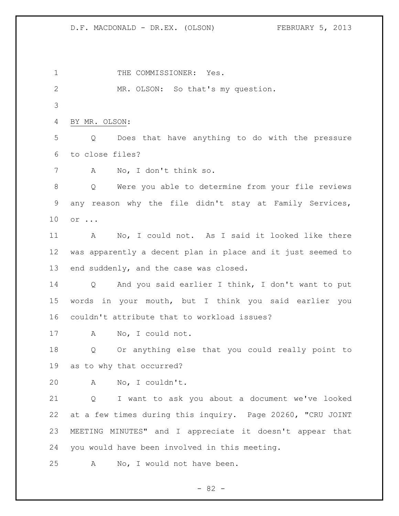1 THE COMMISSIONER: Yes. MR. OLSON: So that's my question. BY MR. OLSON: Q Does that have anything to do with the pressure to close files? A No, I don't think so. Q Were you able to determine from your file reviews any reason why the file didn't stay at Family Services, or ... A No, I could not. As I said it looked like there was apparently a decent plan in place and it just seemed to end suddenly, and the case was closed. Q And you said earlier I think, I don't want to put words in your mouth, but I think you said earlier you couldn't attribute that to workload issues? A No, I could not. Q Or anything else that you could really point to as to why that occurred? A No, I couldn't. Q I want to ask you about a document we've looked at a few times during this inquiry. Page 20260, "CRU JOINT MEETING MINUTES" and I appreciate it doesn't appear that you would have been involved in this meeting. A No, I would not have been.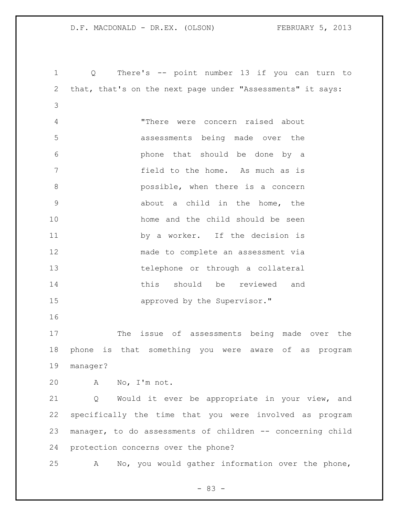Q There's -- point number 13 if you can turn to that, that's on the next page under "Assessments" it says: "There were concern raised about assessments being made over the phone that should be done by a field to the home. As much as is possible, when there is a concern about a child in the home, the home and the child should be seen by a worker. If the decision is made to complete an assessment via telephone or through a collateral this should be reviewed and **approved** by the Supervisor." The issue of assessments being made over the phone is that something you were aware of as program manager? A No, I'm not. Q Would it ever be appropriate in your view, and specifically the time that you were involved as program manager, to do assessments of children -- concerning child protection concerns over the phone? A No, you would gather information over the phone,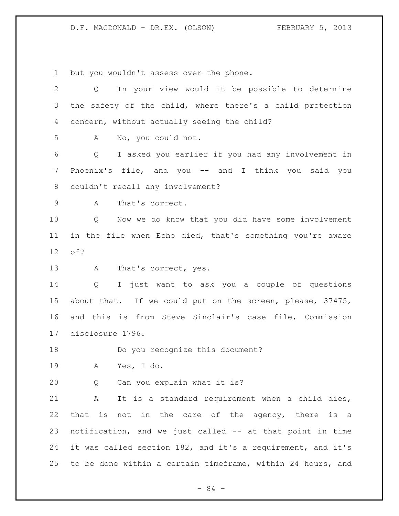but you wouldn't assess over the phone.

| In your view would it be possible to determine<br>$Q \qquad \qquad$    |
|------------------------------------------------------------------------|
| the safety of the child, where there's a child protection              |
| concern, without actually seeing the child?                            |
| No, you could not.<br>A                                                |
| I asked you earlier if you had any involvement in<br>$Q \qquad \qquad$ |
| Phoenix's file, and you -- and I think you said you                    |
| couldn't recall any involvement?                                       |
| That's correct.<br>A                                                   |
| Now we do know that you did have some involvement<br>Q                 |
| in the file when Echo died, that's something you're aware              |
| of?                                                                    |
| That's correct, yes.<br>A                                              |
| I just want to ask you a couple of questions<br>$Q \qquad \qquad$      |
| about that. If we could put on the screen, please, 37475,              |
| and this is from Steve Sinclair's case file, Commission                |
| disclosure 1796.                                                       |
| Do you recognize this document?                                        |
| Yes, I do.<br>A                                                        |
| Can you explain what it is?<br>Q                                       |
| It is a standard requirement when a child dies,<br>A                   |
| that is not in the care of the agency, there is a                      |
| notification, and we just called -- at that point in time              |
|                                                                        |
| it was called section 182, and it's a requirement, and it's            |
|                                                                        |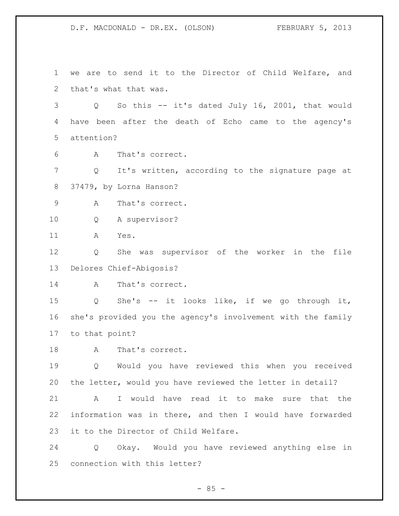we are to send it to the Director of Child Welfare, and that's what that was. Q So this -- it's dated July 16, 2001, that would have been after the death of Echo came to the agency's attention? A That's correct. Q It's written, according to the signature page at 37479, by Lorna Hanson? A That's correct. Q A supervisor? A Yes. Q She was supervisor of the worker in the file Delores Chief-Abigosis? A That's correct. Q She's -- it looks like, if we go through it, she's provided you the agency's involvement with the family to that point? 18 A That's correct. Q Would you have reviewed this when you received the letter, would you have reviewed the letter in detail? A I would have read it to make sure that the information was in there, and then I would have forwarded it to the Director of Child Welfare. Q Okay. Would you have reviewed anything else in

connection with this letter?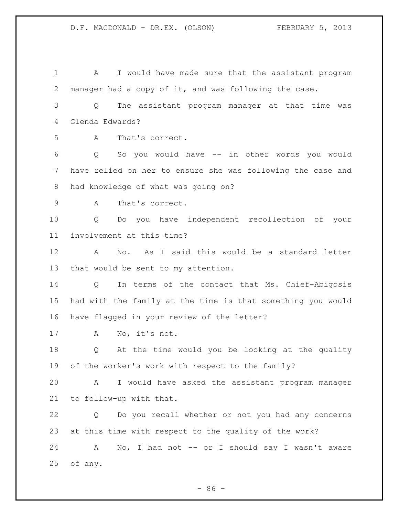1 A I would have made sure that the assistant program manager had a copy of it, and was following the case. Q The assistant program manager at that time was Glenda Edwards? A That's correct. Q So you would have -- in other words you would have relied on her to ensure she was following the case and had knowledge of what was going on? A That's correct. Q Do you have independent recollection of your involvement at this time? A No. As I said this would be a standard letter that would be sent to my attention. Q In terms of the contact that Ms. Chief-Abigosis had with the family at the time is that something you would have flagged in your review of the letter? A No, it's not. Q At the time would you be looking at the quality of the worker's work with respect to the family? A I would have asked the assistant program manager to follow-up with that. Q Do you recall whether or not you had any concerns at this time with respect to the quality of the work? 24 A No, I had not -- or I should say I wasn't aware of any.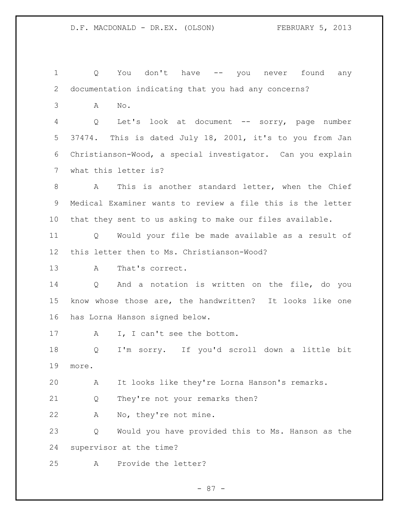Q You don't have -- you never found any documentation indicating that you had any concerns? A No. Q Let's look at document -- sorry, page number 37474. This is dated July 18, 2001, it's to you from Jan Christianson-Wood, a special investigator. Can you explain what this letter is? A This is another standard letter, when the Chief Medical Examiner wants to review a file this is the letter that they sent to us asking to make our files available. Q Would your file be made available as a result of this letter then to Ms. Christianson-Wood? A That's correct. Q And a notation is written on the file, do you know whose those are, the handwritten? It looks like one has Lorna Hanson signed below. 17 A I, I can't see the bottom. Q I'm sorry. If you'd scroll down a little bit more. A It looks like they're Lorna Hanson's remarks. Q They're not your remarks then? A No, they're not mine. Q Would you have provided this to Ms. Hanson as the supervisor at the time? A Provide the letter?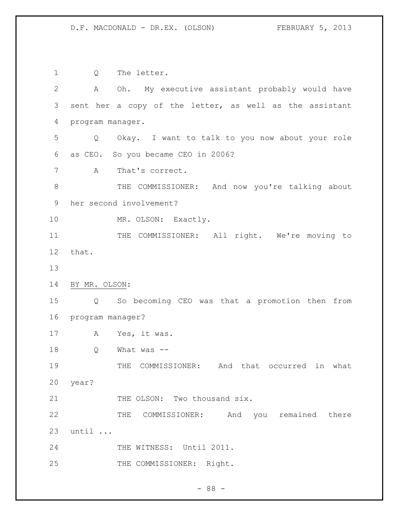Q The letter. A Oh. My executive assistant probably would have sent her a copy of the letter, as well as the assistant program manager. Q Okay. I want to talk to you now about your role as CEO. So you became CEO in 2006? A That's correct. 8 THE COMMISSIONER: And now you're talking about her second involvement? MR. OLSON: Exactly. 11 THE COMMISSIONER: All right. We're moving to that. BY MR. OLSON: Q So becoming CEO was that a promotion then from program manager? A Yes, it was. Q What was -- 19 THE COMMISSIONER: And that occurred in what year? 21 THE OLSON: Two thousand six. 22 THE COMMISSIONER: And you remained there until ... 24 THE WITNESS: Until 2011. 25 THE COMMISSIONER: Right.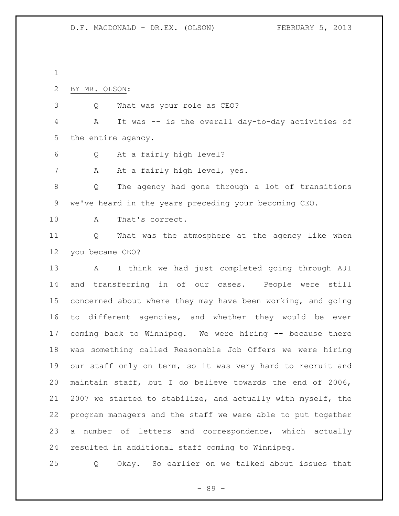- BY MR. OLSON:
- Q What was your role as CEO?

 A It was -- is the overall day-to-day activities of the entire agency.

- Q At a fairly high level?
- 7 A At a fairly high level, yes.

 Q The agency had gone through a lot of transitions we've heard in the years preceding your becoming CEO.

A That's correct.

 Q What was the atmosphere at the agency like when you became CEO?

 A I think we had just completed going through AJI and transferring in of our cases. People were still concerned about where they may have been working, and going to different agencies, and whether they would be ever coming back to Winnipeg. We were hiring -- because there was something called Reasonable Job Offers we were hiring our staff only on term, so it was very hard to recruit and maintain staff, but I do believe towards the end of 2006, 2007 we started to stabilize, and actually with myself, the program managers and the staff we were able to put together a number of letters and correspondence, which actually resulted in additional staff coming to Winnipeg.

Q Okay. So earlier on we talked about issues that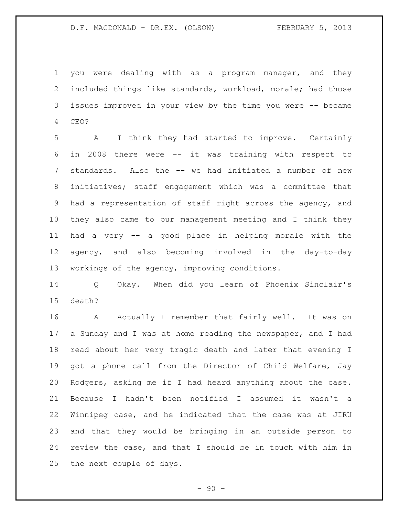you were dealing with as a program manager, and they included things like standards, workload, morale; had those issues improved in your view by the time you were -- became CEO?

 A I think they had started to improve. Certainly in 2008 there were -- it was training with respect to standards. Also the -- we had initiated a number of new initiatives; staff engagement which was a committee that had a representation of staff right across the agency, and they also came to our management meeting and I think they had a very -- a good place in helping morale with the agency, and also becoming involved in the day-to-day workings of the agency, improving conditions.

 Q Okay. When did you learn of Phoenix Sinclair's death?

16 A Actually I remember that fairly well. It was on 17 a Sunday and I was at home reading the newspaper, and I had read about her very tragic death and later that evening I got a phone call from the Director of Child Welfare, Jay Rodgers, asking me if I had heard anything about the case. Because I hadn't been notified I assumed it wasn't a Winnipeg case, and he indicated that the case was at JIRU and that they would be bringing in an outside person to review the case, and that I should be in touch with him in the next couple of days.

 $-90 -$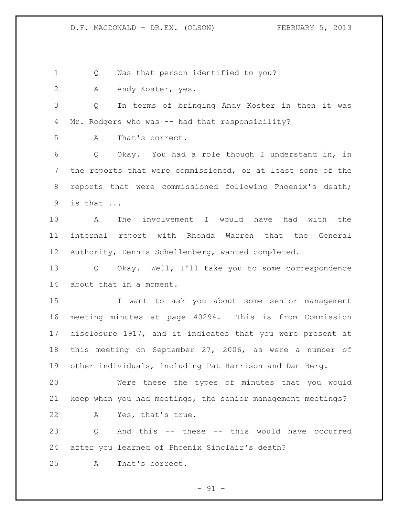Q Was that person identified to you?

A Andy Koster, yes.

 Q In terms of bringing Andy Koster in then it was Mr. Rodgers who was -- had that responsibility?

A That's correct.

 Q Okay. You had a role though I understand in, in the reports that were commissioned, or at least some of the reports that were commissioned following Phoenix's death; is that ...

 A The involvement I would have had with the internal report with Rhonda Warren that the General Authority, Dennis Schellenberg, wanted completed.

 Q Okay. Well, I'll take you to some correspondence about that in a moment.

 I want to ask you about some senior management meeting minutes at page 40294. This is from Commission disclosure 1917, and it indicates that you were present at this meeting on September 27, 2006, as were a number of other individuals, including Pat Harrison and Dan Berg.

 Were these the types of minutes that you would keep when you had meetings, the senior management meetings? A Yes, that's true.

 Q And this -- these -- this would have occurred after you learned of Phoenix Sinclair's death?

A That's correct.

 $-91 -$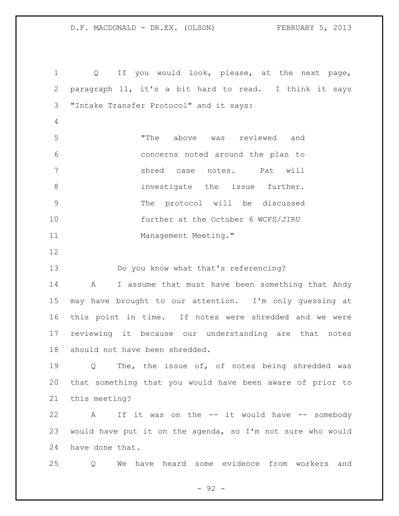Q If you would look, please, at the next page, paragraph 11, it's a bit hard to read. I think it says "Intake Transfer Protocol" and it says: "The above was reviewed and concerns noted around the plan to shred case notes. Pat will 8 investigate the issue further. The protocol will be discussed further at the October 6 WCFS/JIRU 11 Management Meeting." Do you know what that's referencing? 14 A I assume that must have been something that Andy may have brought to our attention. I'm only guessing at this point in time. If notes were shredded and we were reviewing it because our understanding are that notes should not have been shredded. Q The, the issue of, of notes being shredded was that something that you would have been aware of prior to this meeting? 22 A If it was on the -- it would have -- somebody would have put it on the agenda, so I'm not sure who would have done that. Q We have heard some evidence from workers and

 $-92 -$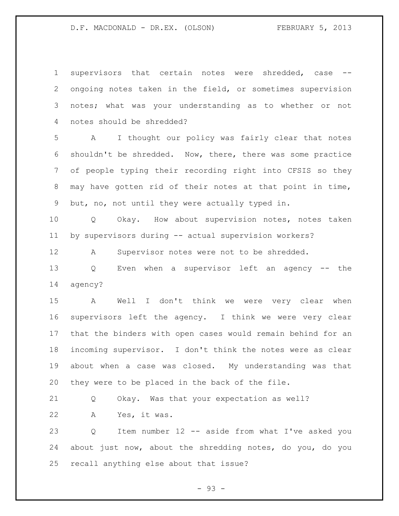supervisors that certain notes were shredded, case -- ongoing notes taken in the field, or sometimes supervision notes; what was your understanding as to whether or not notes should be shredded?

 A I thought our policy was fairly clear that notes shouldn't be shredded. Now, there, there was some practice of people typing their recording right into CFSIS so they may have gotten rid of their notes at that point in time, but, no, not until they were actually typed in.

 Q Okay. How about supervision notes, notes taken by supervisors during -- actual supervision workers?

A Supervisor notes were not to be shredded.

 Q Even when a supervisor left an agency -- the agency?

 A Well I don't think we were very clear when supervisors left the agency. I think we were very clear that the binders with open cases would remain behind for an incoming supervisor. I don't think the notes were as clear about when a case was closed. My understanding was that they were to be placed in the back of the file.

 Q Okay. Was that your expectation as well? A Yes, it was.

 Q Item number 12 -- aside from what I've asked you about just now, about the shredding notes, do you, do you recall anything else about that issue?

- 93 -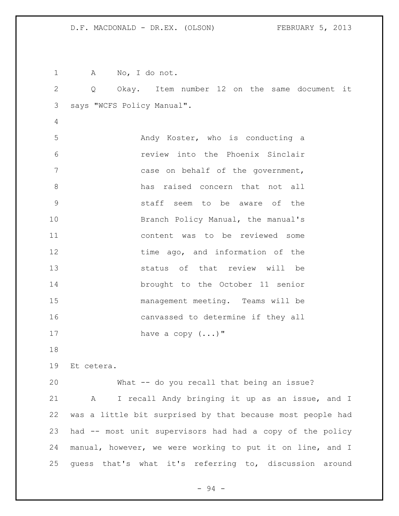A No, I do not. Q Okay. Item number 12 on the same document it says "WCFS Policy Manual". Andy Koster, who is conducting a review into the Phoenix Sinclair 7 case on behalf of the government, has raised concern that not all staff seem to be aware of the 10 Branch Policy Manual, the manual's content was to be reviewed some 12 time ago, and information of the status of that review will be brought to the October 11 senior management meeting. Teams will be canvassed to determine if they all 17 have a copy  $(\ldots)$ " Et cetera. What -- do you recall that being an issue? A I recall Andy bringing it up as an issue, and I was a little bit surprised by that because most people had had -- most unit supervisors had had a copy of the policy manual, however, we were working to put it on line, and I guess that's what it's referring to, discussion around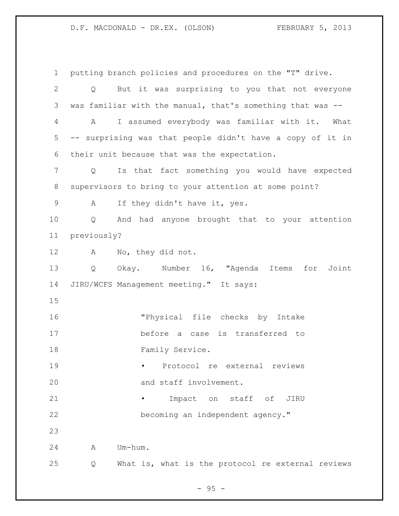putting branch policies and procedures on the "T" drive. Q But it was surprising to you that not everyone was familiar with the manual, that's something that was -- A I assumed everybody was familiar with it. What -- surprising was that people didn't have a copy of it in their unit because that was the expectation. Q Is that fact something you would have expected supervisors to bring to your attention at some point? A If they didn't have it, yes. Q And had anyone brought that to your attention previously? A No, they did not. Q Okay. Number 16, "Agenda Items for Joint JIRU/WCFS Management meeting." It says: "Physical file checks by Intake before a case is transferred to 18 Family Service. • Protocol re external reviews 20 and staff involvement. • Impact on staff of JIRU becoming an independent agency." A Um-hum. Q What is, what is the protocol re external reviews

 $-95 -$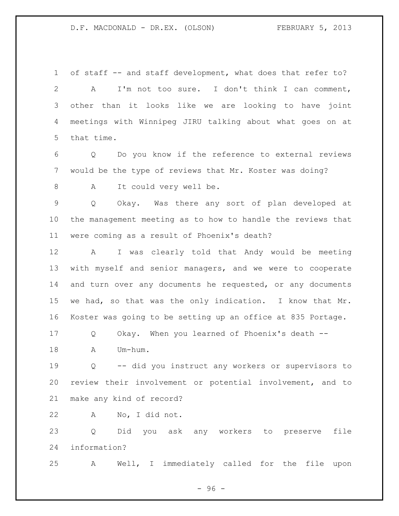of staff -- and staff development, what does that refer to? A I'm not too sure. I don't think I can comment, other than it looks like we are looking to have joint meetings with Winnipeg JIRU talking about what goes on at that time.

 Q Do you know if the reference to external reviews would be the type of reviews that Mr. Koster was doing?

8 A It could very well be.

 Q Okay. Was there any sort of plan developed at the management meeting as to how to handle the reviews that were coming as a result of Phoenix's death?

 A I was clearly told that Andy would be meeting with myself and senior managers, and we were to cooperate 14 and turn over any documents he requested, or any documents we had, so that was the only indication. I know that Mr. Koster was going to be setting up an office at 835 Portage.

Q Okay. When you learned of Phoenix's death --

A Um-hum.

 Q -- did you instruct any workers or supervisors to review their involvement or potential involvement, and to make any kind of record?

A No, I did not.

 Q Did you ask any workers to preserve file information?

A Well, I immediately called for the file upon

- 96 -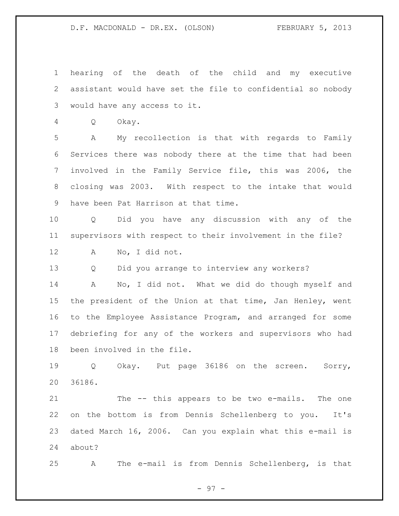hearing of the death of the child and my executive assistant would have set the file to confidential so nobody would have any access to it. Q Okay. A My recollection is that with regards to Family Services there was nobody there at the time that had been involved in the Family Service file, this was 2006, the closing was 2003. With respect to the intake that would have been Pat Harrison at that time. Q Did you have any discussion with any of the supervisors with respect to their involvement in the file? A No, I did not. Q Did you arrange to interview any workers? A No, I did not. What we did do though myself and the president of the Union at that time, Jan Henley, went to the Employee Assistance Program, and arranged for some debriefing for any of the workers and supervisors who had been involved in the file. Q Okay. Put page 36186 on the screen. Sorry, 36186. The -- this appears to be two e-mails. The one

 on the bottom is from Dennis Schellenberg to you. It's dated March 16, 2006. Can you explain what this e-mail is about?

A The e-mail is from Dennis Schellenberg, is that

- 97 -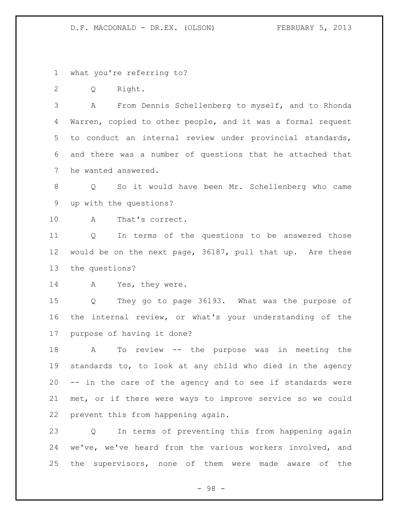what you're referring to?

Q Right.

 A From Dennis Schellenberg to myself, and to Rhonda Warren, copied to other people, and it was a formal request to conduct an internal review under provincial standards, and there was a number of questions that he attached that he wanted answered.

 Q So it would have been Mr. Schellenberg who came up with the questions?

A That's correct.

 Q In terms of the questions to be answered those would be on the next page, 36187, pull that up. Are these the questions?

14 A Yes, they were.

 Q They go to page 36193. What was the purpose of the internal review, or what's your understanding of the purpose of having it done?

 A To review -- the purpose was in meeting the standards to, to look at any child who died in the agency -- in the care of the agency and to see if standards were met, or if there were ways to improve service so we could prevent this from happening again.

 Q In terms of preventing this from happening again we've, we've heard from the various workers involved, and the supervisors, none of them were made aware of the

- 98 -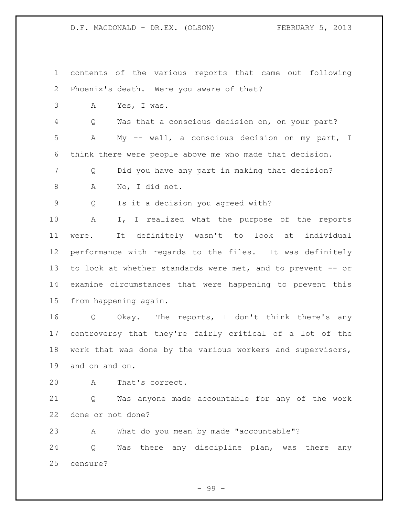contents of the various reports that came out following Phoenix's death. Were you aware of that? A Yes, I was. Q Was that a conscious decision on, on your part? A My -- well, a conscious decision on my part, I think there were people above me who made that decision. Q Did you have any part in making that decision? A No, I did not. Q Is it a decision you agreed with? A I, I realized what the purpose of the reports were. It definitely wasn't to look at individual performance with regards to the files. It was definitely to look at whether standards were met, and to prevent -- or examine circumstances that were happening to prevent this from happening again. Q Okay. The reports, I don't think there's any controversy that they're fairly critical of a lot of the work that was done by the various workers and supervisors, and on and on. A That's correct. Q Was anyone made accountable for any of the work done or not done? A What do you mean by made "accountable"? Q Was there any discipline plan, was there any censure?

- 99 -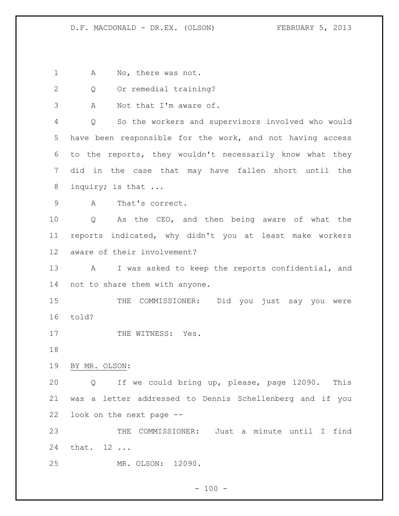1 A No, there was not.

2 Q Or remedial training?

A Not that I'm aware of.

 Q So the workers and supervisors involved who would have been responsible for the work, and not having access to the reports, they wouldn't necessarily know what they did in the case that may have fallen short until the 8 inquiry; is that ...

A That's correct.

 Q As the CEO, and then being aware of what the reports indicated, why didn't you at least make workers aware of their involvement?

 A I was asked to keep the reports confidential, and not to share them with anyone.

15 THE COMMISSIONER: Did you just say you were told?

17 THE WITNESS: Yes.

BY MR. OLSON:

 Q If we could bring up, please, page 12090. This was a letter addressed to Dennis Schellenberg and if you look on the next page --

 THE COMMISSIONER: Just a minute until I find that. 12 ...

MR. OLSON: 12090.

 $- 100 -$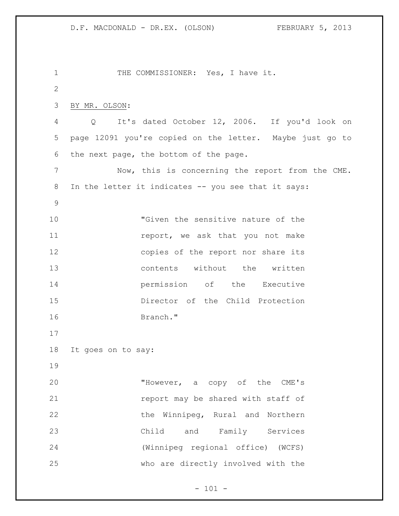```
1 THE COMMISSIONER: Yes, I have it.
2
3 BY MR. OLSON:
4 Q It's dated October 12, 2006. If you'd look on 
5 page 12091 you're copied on the letter. Maybe just go to 
6 the next page, the bottom of the page. 
7 Now, this is concerning the report from the CME. 
8 In the letter it indicates -- you see that it says:
9
10 "Given the sensitive nature of the 
11 11 report, we ask that you not make
12 copies of the report nor share its
13 contents without the written 
14 permission of the Executive 
15 Director of the Child Protection 
16 Branch."
17
18 It goes on to say:
19
20 "However, a copy of the CME's 
21 report may be shared with staff of
22 the Winnipeg, Rural and Northern
23 Child and Family Services 
24 (Winnipeg regional office) (WCFS) 
25 who are directly involved with the
```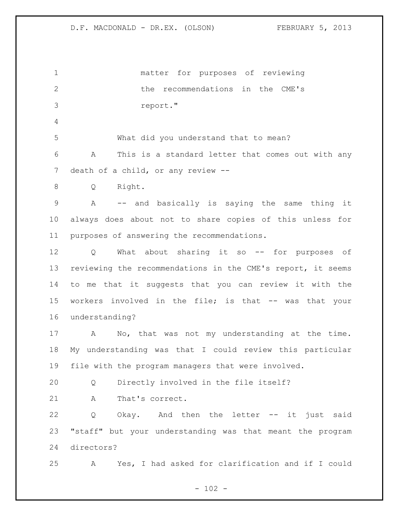matter for purposes of reviewing 2 12 the recommendations in the CME's report." What did you understand that to mean? A This is a standard letter that comes out with any 7 death of a child, or any review -- Q Right. A -- and basically is saying the same thing it always does about not to share copies of this unless for purposes of answering the recommendations. Q What about sharing it so -- for purposes of reviewing the recommendations in the CME's report, it seems to me that it suggests that you can review it with the 15 workers involved in the file; is that -- was that your understanding? A No, that was not my understanding at the time. My understanding was that I could review this particular file with the program managers that were involved. Q Directly involved in the file itself? A That's correct. Q Okay. And then the letter -- it just said "staff" but your understanding was that meant the program directors? A Yes, I had asked for clarification and if I could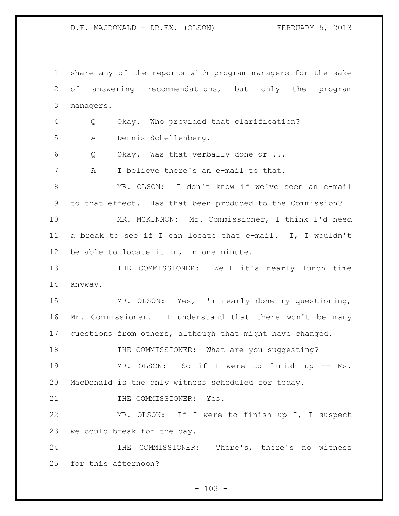share any of the reports with program managers for the sake of answering recommendations, but only the program managers. Q Okay. Who provided that clarification? A Dennis Schellenberg. Q Okay. Was that verbally done or ... A I believe there's an e-mail to that. MR. OLSON: I don't know if we've seen an e-mail to that effect. Has that been produced to the Commission? MR. MCKINNON: Mr. Commissioner, I think I'd need a break to see if I can locate that e-mail. I, I wouldn't be able to locate it in, in one minute. THE COMMISSIONER: Well it's nearly lunch time anyway. MR. OLSON: Yes, I'm nearly done my questioning, Mr. Commissioner. I understand that there won't be many questions from others, although that might have changed. 18 THE COMMISSIONER: What are you suggesting? MR. OLSON: So if I were to finish up -- Ms. MacDonald is the only witness scheduled for today. 21 THE COMMISSIONER: Yes. MR. OLSON: If I were to finish up I, I suspect we could break for the day. 24 THE COMMISSIONER: There's, there's no witness for this afternoon?

 $- 103 -$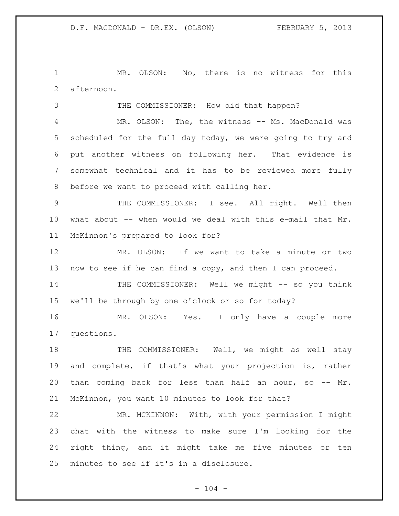MR. OLSON: No, there is no witness for this afternoon.

THE COMMISSIONER: How did that happen?

 MR. OLSON: The, the witness -- Ms. MacDonald was scheduled for the full day today, we were going to try and put another witness on following her. That evidence is somewhat technical and it has to be reviewed more fully before we want to proceed with calling her.

 THE COMMISSIONER: I see. All right. Well then what about -- when would we deal with this e-mail that Mr. McKinnon's prepared to look for?

 MR. OLSON: If we want to take a minute or two now to see if he can find a copy, and then I can proceed.

 THE COMMISSIONER: Well we might -- so you think we'll be through by one o'clock or so for today?

 MR. OLSON: Yes. I only have a couple more questions.

18 THE COMMISSIONER: Well, we might as well stay and complete, if that's what your projection is, rather than coming back for less than half an hour, so -- Mr. McKinnon, you want 10 minutes to look for that?

 MR. MCKINNON: With, with your permission I might chat with the witness to make sure I'm looking for the right thing, and it might take me five minutes or ten minutes to see if it's in a disclosure.

 $- 104 -$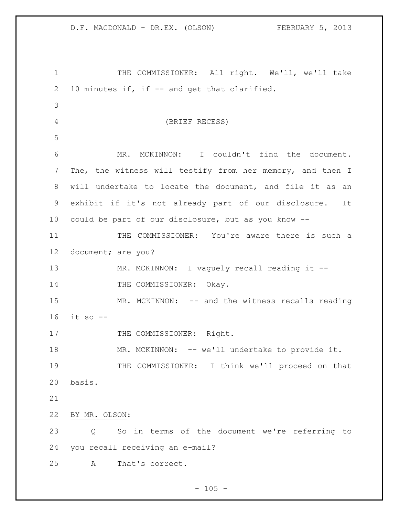THE COMMISSIONER: All right. We'll, we'll take 10 minutes if, if -- and get that clarified. (BRIEF RECESS) MR. MCKINNON: I couldn't find the document. The, the witness will testify from her memory, and then I will undertake to locate the document, and file it as an exhibit if it's not already part of our disclosure. It could be part of our disclosure, but as you know -- 11 THE COMMISSIONER: You're aware there is such a document; are you? 13 MR. MCKINNON: I vaguely recall reading it --14 THE COMMISSIONER: Okay. 15 MR. MCKINNON: -- and the witness recalls reading it so -- 17 THE COMMISSIONER: Right. 18 MR. MCKINNON: -- we'll undertake to provide it. THE COMMISSIONER: I think we'll proceed on that basis. BY MR. OLSON: Q So in terms of the document we're referring to you recall receiving an e-mail? A That's correct.

 $- 105 -$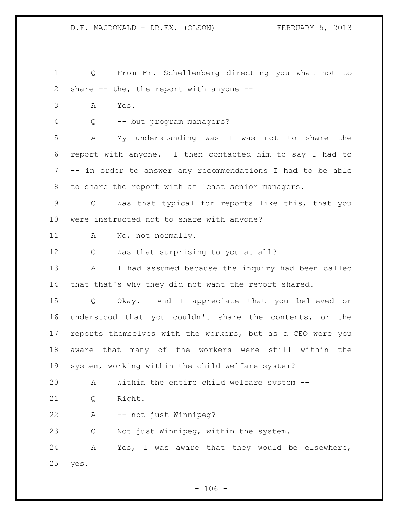- Q From Mr. Schellenberg directing you what not to share -- the, the report with anyone --
- A Yes.
- Q -- but program managers?

 A My understanding was I was not to share the report with anyone. I then contacted him to say I had to -- in order to answer any recommendations I had to be able to share the report with at least senior managers.

 Q Was that typical for reports like this, that you were instructed not to share with anyone?

A No, not normally.

Q Was that surprising to you at all?

 A I had assumed because the inquiry had been called that that's why they did not want the report shared.

 Q Okay. And I appreciate that you believed or understood that you couldn't share the contents, or the reports themselves with the workers, but as a CEO were you aware that many of the workers were still within the system, working within the child welfare system?

A Within the entire child welfare system --

Q Right.

A -- not just Winnipeg?

Q Not just Winnipeg, within the system.

 A Yes, I was aware that they would be elsewhere, yes.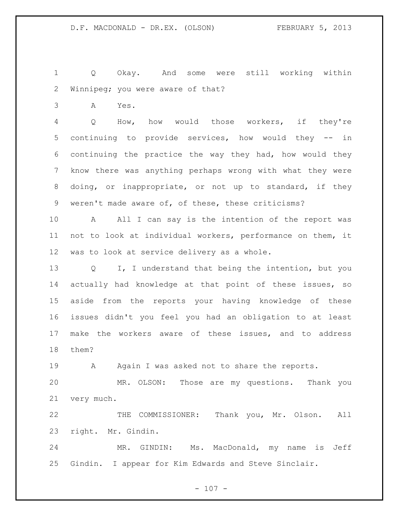Q Okay. And some were still working within Winnipeg; you were aware of that?

A Yes.

 Q How, how would those workers, if they're continuing to provide services, how would they -- in continuing the practice the way they had, how would they know there was anything perhaps wrong with what they were doing, or inappropriate, or not up to standard, if they weren't made aware of, of these, these criticisms?

 A All I can say is the intention of the report was not to look at individual workers, performance on them, it was to look at service delivery as a whole.

 Q I, I understand that being the intention, but you actually had knowledge at that point of these issues, so aside from the reports your having knowledge of these issues didn't you feel you had an obligation to at least make the workers aware of these issues, and to address them?

19 A Again I was asked not to share the reports.

 MR. OLSON: Those are my questions. Thank you very much.

 THE COMMISSIONER: Thank you, Mr. Olson. All right. Mr. Gindin.

 MR. GINDIN: Ms. MacDonald, my name is Jeff Gindin. I appear for Kim Edwards and Steve Sinclair.

 $- 107 -$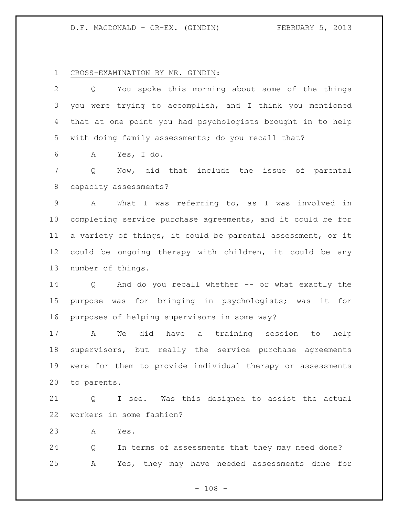# D.F. MACDONALD - CR-EX. (GINDIN) FEBRUARY 5, 2013

# CROSS-EXAMINATION BY MR. GINDIN:

| $\overline{2}$ | You spoke this morning about some of the things<br>Q        |
|----------------|-------------------------------------------------------------|
| $\mathcal{S}$  | you were trying to accomplish, and I think you mentioned    |
| 4              | that at one point you had psychologists brought in to help  |
| 5              | with doing family assessments; do you recall that?          |
| 6              | Yes, I do.<br>A                                             |
| 7              | Q<br>Now, did that include the issue of parental            |
| 8              | capacity assessments?                                       |
| $\mathsf 9$    | What I was referring to, as I was involved in<br>A          |
| 10             | completing service purchase agreements, and it could be for |
| 11             | a variety of things, it could be parental assessment, or it |
| 12             | could be ongoing therapy with children, it could be any     |
| 13             | number of things.                                           |
| 14             | Q And do you recall whether -- or what exactly the          |
| 15             | purpose was for bringing in psychologists; was it for       |
| 16             | purposes of helping supervisors in some way?                |
| 17             | did have a training session to<br>A<br>We<br>help           |
| 18             | supervisors, but really the service purchase agreements     |
| 19             | were for them to provide individual therapy or assessments  |
| 20             | to parents.                                                 |
| 21             | I see. Was this designed to assist the actual<br>Q          |
| 22             | workers in some fashion?                                    |
| 23             | Yes.<br>Α                                                   |

 Q In terms of assessments that they may need done? A Yes, they may have needed assessments done for

- 108 -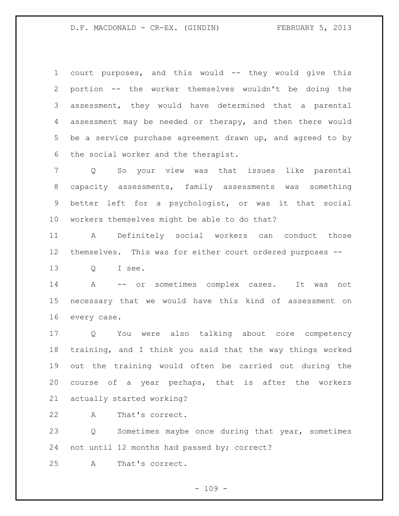## D.F. MACDONALD - CR-EX. (GINDIN) FEBRUARY 5, 2013

 court purposes, and this would -- they would give this portion -- the worker themselves wouldn't be doing the assessment, they would have determined that a parental 4 assessment may be needed or therapy, and then there would be a service purchase agreement drawn up, and agreed to by the social worker and the therapist.

 Q So your view was that issues like parental capacity assessments, family assessments was something better left for a psychologist, or was it that social workers themselves might be able to do that?

 A Definitely social workers can conduct those themselves. This was for either court ordered purposes --

Q I see.

 A -- or sometimes complex cases. It was not necessary that we would have this kind of assessment on every case.

 Q You were also talking about core competency training, and I think you said that the way things worked out the training would often be carried out during the course of a year perhaps, that is after the workers actually started working?

A That's correct.

 Q Sometimes maybe once during that year, sometimes not until 12 months had passed by; correct?

A That's correct.

 $- 109 -$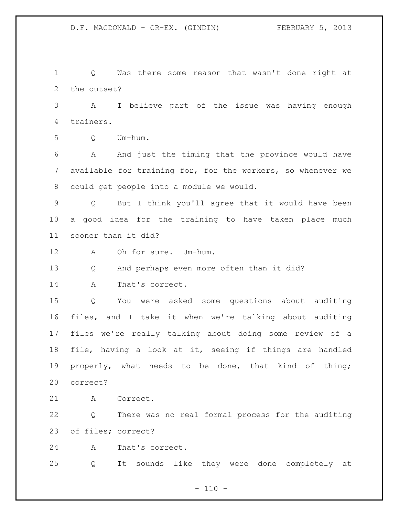Q Was there some reason that wasn't done right at the outset?

 A I believe part of the issue was having enough trainers.

Q Um-hum.

 A And just the timing that the province would have available for training for, for the workers, so whenever we could get people into a module we would.

 Q But I think you'll agree that it would have been a good idea for the training to have taken place much sooner than it did?

A Oh for sure. Um-hum.

Q And perhaps even more often than it did?

A That's correct.

 Q You were asked some questions about auditing files, and I take it when we're talking about auditing files we're really talking about doing some review of a file, having a look at it, seeing if things are handled properly, what needs to be done, that kind of thing; correct?

A Correct.

 Q There was no real formal process for the auditing of files; correct?

A That's correct.

Q It sounds like they were done completely at

 $- 110 -$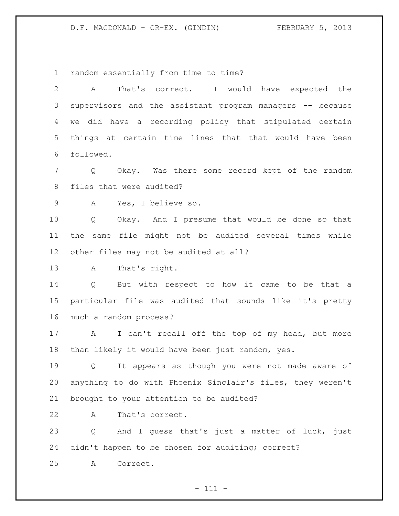D.F. MACDONALD - CR-EX. (GINDIN) FEBRUARY 5, 2013

random essentially from time to time?

| 2  | That's correct. I would have expected the<br>A                      |
|----|---------------------------------------------------------------------|
| 3  | supervisors and the assistant program managers -- because           |
| 4  | we did have a recording policy that stipulated certain              |
| 5  | things at certain time lines that that would have been              |
| 6  | followed.                                                           |
| 7  | Okay. Was there some record kept of the random<br>$Q \qquad \qquad$ |
| 8  | files that were audited?                                            |
| 9  | Yes, I believe so.<br>A                                             |
| 10 | Okay. And I presume that would be done so that<br>Q                 |
| 11 | the same file might not be audited several times while              |
| 12 | other files may not be audited at all?                              |
| 13 | That's right.<br>A                                                  |
| 14 | Q But with respect to how it came to be that a                      |
| 15 | particular file was audited that sounds like it's pretty            |
| 16 | much a random process?                                              |
| 17 | I can't recall off the top of my head, but more<br>$\mathbf{A}$     |
| 18 | than likely it would have been just random, yes.                    |
| 19 | It appears as though you were not made aware of<br>Q                |
| 20 | anything to do with Phoenix Sinclair's files, they weren't          |
| 21 | brought to your attention to be audited?                            |
| 22 | That's correct.<br>A                                                |
| 23 | And I guess that's just a matter of luck, just<br>Q                 |
| 24 | didn't happen to be chosen for auditing; correct?                   |
| 25 | Correct.<br>A                                                       |
|    |                                                                     |

- 111 -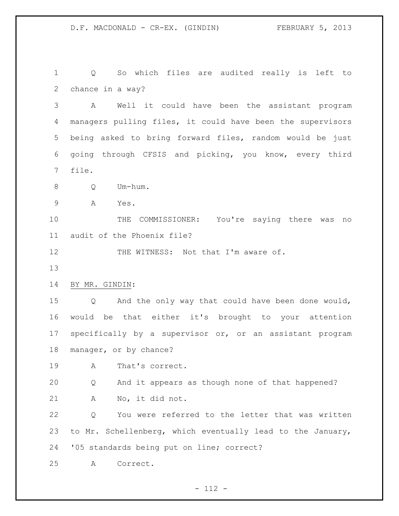Q So which files are audited really is left to chance in a way?

 A Well it could have been the assistant program managers pulling files, it could have been the supervisors being asked to bring forward files, random would be just going through CFSIS and picking, you know, every third file.

Q Um-hum.

A Yes.

 THE COMMISSIONER: You're saying there was no audit of the Phoenix file?

12 THE WITNESS: Not that I'm aware of.

BY MR. GINDIN:

 Q And the only way that could have been done would, would be that either it's brought to your attention specifically by a supervisor or, or an assistant program manager, or by chance?

A That's correct.

 Q And it appears as though none of that happened? A No, it did not.

 Q You were referred to the letter that was written to Mr. Schellenberg, which eventually lead to the January, '05 standards being put on line; correct?

A Correct.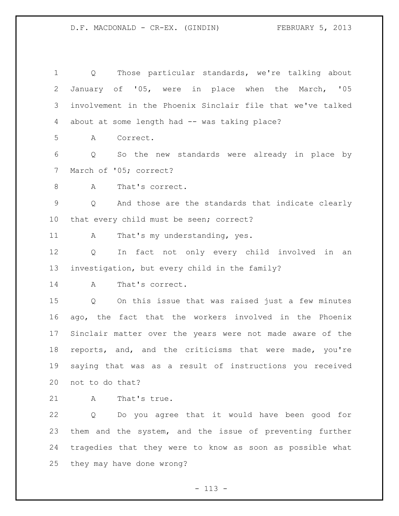Q Those particular standards, we're talking about January of '05, were in place when the March, '05 involvement in the Phoenix Sinclair file that we've talked 4 about at some length had -- was taking place? A Correct. Q So the new standards were already in place by March of '05; correct? 8 A That's correct. Q And those are the standards that indicate clearly that every child must be seen; correct? 11 A That's my understanding, yes. Q In fact not only every child involved in an investigation, but every child in the family? A That's correct. Q On this issue that was raised just a few minutes ago, the fact that the workers involved in the Phoenix Sinclair matter over the years were not made aware of the reports, and, and the criticisms that were made, you're saying that was as a result of instructions you received not to do that? A That's true. Q Do you agree that it would have been good for

 them and the system, and the issue of preventing further tragedies that they were to know as soon as possible what they may have done wrong?

 $- 113 -$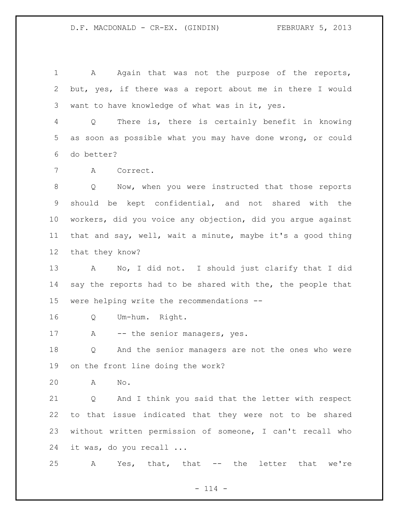1 A Again that was not the purpose of the reports, but, yes, if there was a report about me in there I would want to have knowledge of what was in it, yes.

 Q There is, there is certainly benefit in knowing as soon as possible what you may have done wrong, or could do better?

A Correct.

 Q Now, when you were instructed that those reports should be kept confidential, and not shared with the workers, did you voice any objection, did you argue against that and say, well, wait a minute, maybe it's a good thing that they know?

 A No, I did not. I should just clarify that I did 14 say the reports had to be shared with the, the people that were helping write the recommendations --

Q Um-hum. Right.

17 A -- the senior managers, yes.

 Q And the senior managers are not the ones who were on the front line doing the work?

A No.

 Q And I think you said that the letter with respect to that issue indicated that they were not to be shared without written permission of someone, I can't recall who it was, do you recall ...

A Yes, that, that -- the letter that we're

 $- 114 -$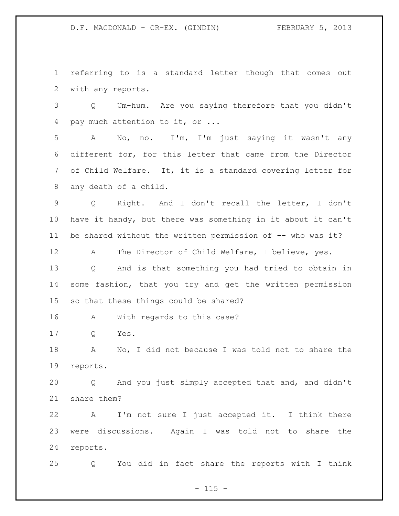D.F. MACDONALD - CR-EX. (GINDIN) FEBRUARY 5, 2013

 referring to is a standard letter though that comes out with any reports.

 Q Um-hum. Are you saying therefore that you didn't pay much attention to it, or ...

 A No, no. I'm, I'm just saying it wasn't any different for, for this letter that came from the Director of Child Welfare. It, it is a standard covering letter for any death of a child.

 Q Right. And I don't recall the letter, I don't have it handy, but there was something in it about it can't 11 be shared without the written permission of -- who was it?

A The Director of Child Welfare, I believe, yes.

 Q And is that something you had tried to obtain in some fashion, that you try and get the written permission so that these things could be shared?

A With regards to this case?

Q Yes.

 A No, I did not because I was told not to share the reports.

 Q And you just simply accepted that and, and didn't share them?

 A I'm not sure I just accepted it. I think there were discussions. Again I was told not to share the reports.

Q You did in fact share the reports with I think

 $- 115 -$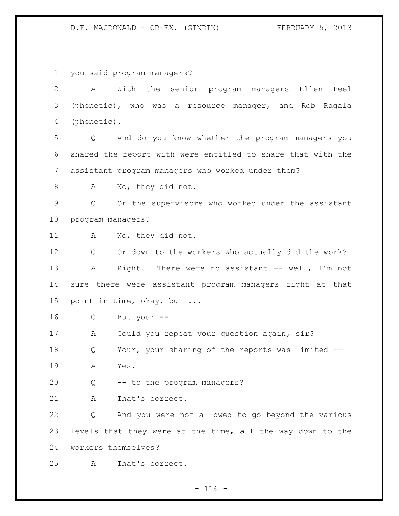D.F. MACDONALD - CR-EX. (GINDIN) FEBRUARY 5, 2013

 you said program managers? A With the senior program managers Ellen Peel (phonetic), who was a resource manager, and Rob Ragala (phonetic). Q And do you know whether the program managers you shared the report with were entitled to share that with the assistant program managers who worked under them? 8 A No, they did not. Q Or the supervisors who worked under the assistant program managers? A No, they did not. Q Or down to the workers who actually did the work? A Right. There were no assistant -- well, I'm not sure there were assistant program managers right at that point in time, okay, but ... Q But your -- A Could you repeat your question again, sir? Q Your, your sharing of the reports was limited -- A Yes. Q -- to the program managers? A That's correct. Q And you were not allowed to go beyond the various levels that they were at the time, all the way down to the workers themselves? A That's correct.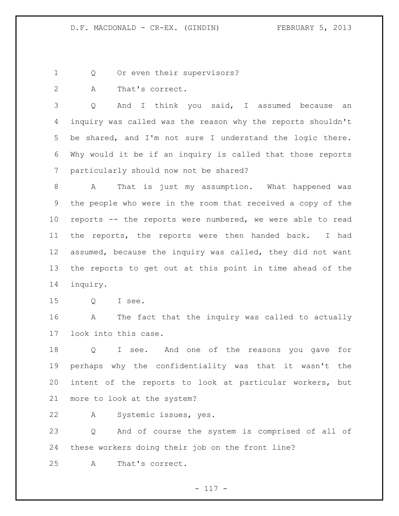1 Q Or even their supervisors?

A That's correct.

 Q And I think you said, I assumed because an inquiry was called was the reason why the reports shouldn't be shared, and I'm not sure I understand the logic there. Why would it be if an inquiry is called that those reports particularly should now not be shared?

 A That is just my assumption. What happened was the people who were in the room that received a copy of the reports -- the reports were numbered, we were able to read the reports, the reports were then handed back. I had assumed, because the inquiry was called, they did not want the reports to get out at this point in time ahead of the inquiry.

Q I see.

 A The fact that the inquiry was called to actually look into this case.

 Q I see. And one of the reasons you gave for perhaps why the confidentiality was that it wasn't the intent of the reports to look at particular workers, but more to look at the system?

A Systemic issues, yes.

 Q And of course the system is comprised of all of these workers doing their job on the front line?

A That's correct.

- 117 -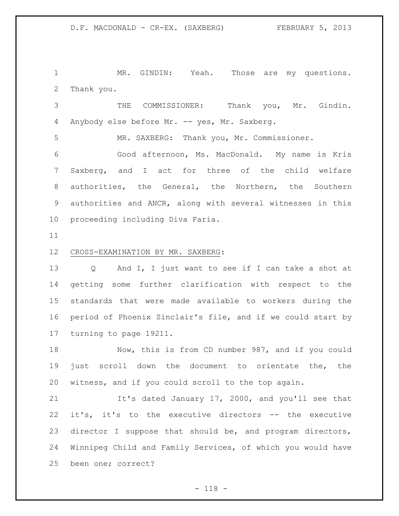1 MR. GINDIN: Yeah. Those are my questions. Thank you.

 THE COMMISSIONER: Thank you, Mr. Gindin. 4 Anybody else before Mr. -- yes, Mr. Saxberg.

MR. SAXBERG: Thank you, Mr. Commissioner.

 Good afternoon, Ms. MacDonald. My name is Kris Saxberg, and I act for three of the child welfare authorities, the General, the Northern, the Southern authorities and ANCR, along with several witnesses in this proceeding including Diva Faria.

#### CROSS-EXAMINATION BY MR. SAXBERG:

 Q And I, I just want to see if I can take a shot at getting some further clarification with respect to the standards that were made available to workers during the period of Phoenix Sinclair's file, and if we could start by turning to page 19211.

 Now, this is from CD number 987, and if you could just scroll down the document to orientate the, the witness, and if you could scroll to the top again.

21 It's dated January 17, 2000, and you'll see that it's, it's to the executive directors -- the executive director I suppose that should be, and program directors, Winnipeg Child and Family Services, of which you would have been one; correct?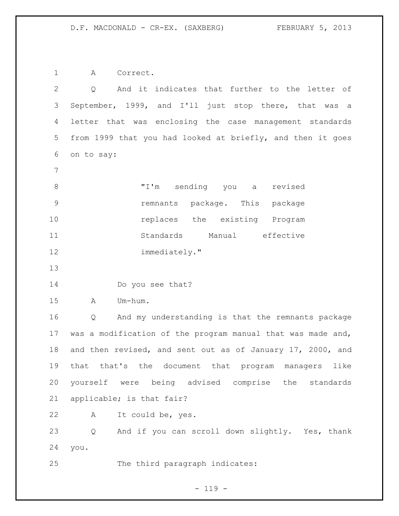A Correct.

 Q And it indicates that further to the letter of September, 1999, and I'll just stop there, that was a letter that was enclosing the case management standards from 1999 that you had looked at briefly, and then it goes on to say: "I'm sending you a revised remnants package. This package **replaces** the existing Program Standards Manual effective immediately." Do you see that? A Um-hum. Q And my understanding is that the remnants package was a modification of the program manual that was made and, and then revised, and sent out as of January 17, 2000, and that that's the document that program managers like yourself were being advised comprise the standards applicable; is that fair? A It could be, yes. Q And if you can scroll down slightly. Yes, thank you. The third paragraph indicates:

- 119 -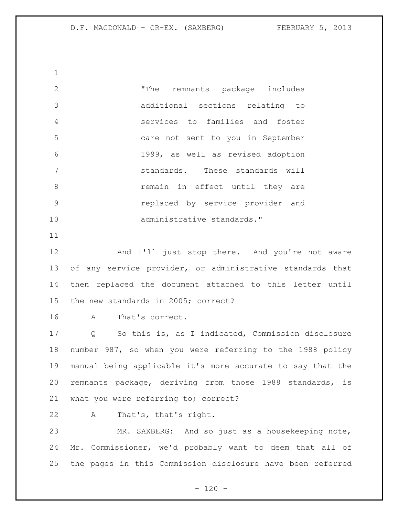"The remnants package includes additional sections relating to services to families and foster care not sent to you in September 1999, as well as revised adoption standards. These standards will remain in effect until they are replaced by service provider and 10 administrative standards."

12 And I'll just stop there. And you're not aware of any service provider, or administrative standards that then replaced the document attached to this letter until the new standards in 2005; correct?

A That's correct.

 Q So this is, as I indicated, Commission disclosure number 987, so when you were referring to the 1988 policy manual being applicable it's more accurate to say that the remnants package, deriving from those 1988 standards, is what you were referring to; correct?

A That's, that's right.

 MR. SAXBERG: And so just as a housekeeping note, Mr. Commissioner, we'd probably want to deem that all of the pages in this Commission disclosure have been referred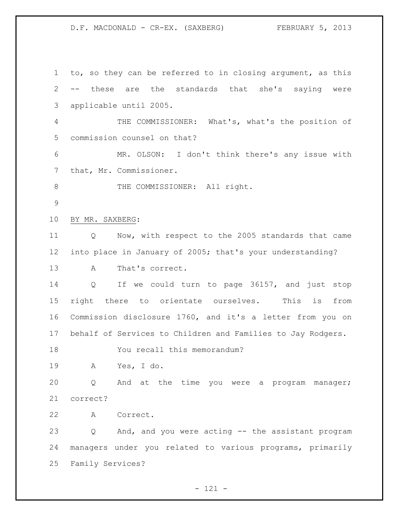to, so they can be referred to in closing argument, as this -- these are the standards that she's saying were applicable until 2005. THE COMMISSIONER: What's, what's the position of commission counsel on that? MR. OLSON: I don't think there's any issue with that, Mr. Commissioner. 8 THE COMMISSIONER: All right. BY MR. SAXBERG: Q Now, with respect to the 2005 standards that came into place in January of 2005; that's your understanding? A That's correct. Q If we could turn to page 36157, and just stop right there to orientate ourselves. This is from Commission disclosure 1760, and it's a letter from you on behalf of Services to Children and Families to Jay Rodgers. You recall this memorandum? A Yes, I do. Q And at the time you were a program manager; correct? A Correct. Q And, and you were acting -- the assistant program managers under you related to various programs, primarily Family Services?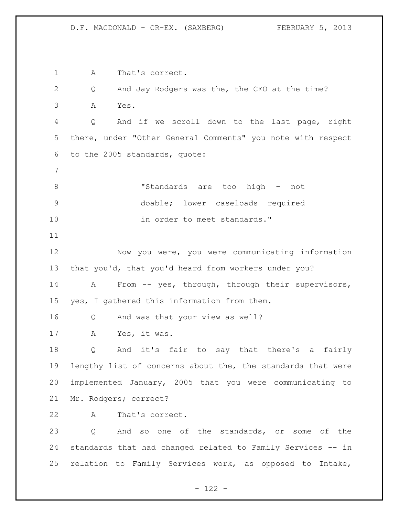A That's correct. Q And Jay Rodgers was the, the CEO at the time? A Yes. Q And if we scroll down to the last page, right there, under "Other General Comments" you note with respect to the 2005 standards, quote: "Standards are too high – not doable; lower caseloads required 10 in order to meet standards." Now you were, you were communicating information that you'd, that you'd heard from workers under you? A From -- yes, through, through their supervisors, yes, I gathered this information from them. Q And was that your view as well? A Yes, it was. Q And it's fair to say that there's a fairly lengthy list of concerns about the, the standards that were implemented January, 2005 that you were communicating to Mr. Rodgers; correct? A That's correct. Q And so one of the standards, or some of the standards that had changed related to Family Services -- in relation to Family Services work, as opposed to Intake,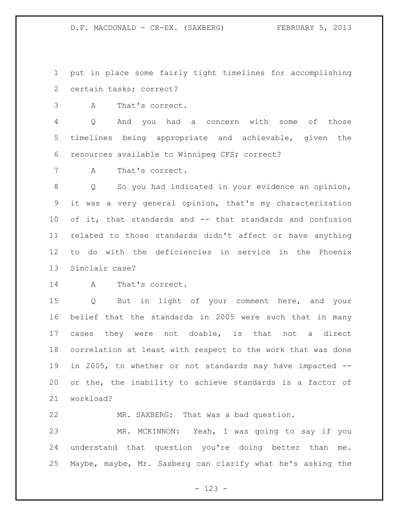put in place some fairly tight timelines for accomplishing certain tasks; correct?

A That's correct.

 Q And you had a concern with some of those timelines being appropriate and achievable, given the resources available to Winnipeg CFS; correct?

A That's correct.

 Q So you had indicated in your evidence an opinion, it was a very general opinion, that's my characterization of it, that standards and -- that standards and confusion related to those standards didn't affect or have anything to do with the deficiencies in service in the Phoenix Sinclair case?

A That's correct.

 Q But in light of your comment here, and your belief that the standards in 2005 were such that in many cases they were not doable, is that not a direct correlation at least with respect to the work that was done in 2005, to whether or not standards may have impacted -- or the, the inability to achieve standards is a factor of workload?

MR. SAXBERG: That was a bad question.

 MR. MCKINNON: Yeah, I was going to say if you understand that question you're doing better than me. Maybe, maybe, Mr. Saxberg can clarify what he's asking the

- 123 -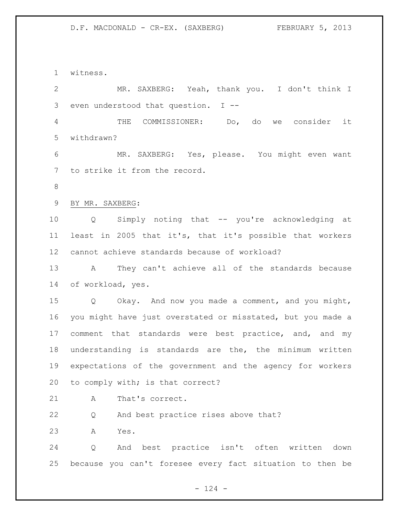witness. MR. SAXBERG: Yeah, thank you. I don't think I even understood that question. I -- THE COMMISSIONER: Do, do we consider it withdrawn? MR. SAXBERG: Yes, please. You might even want to strike it from the record. BY MR. SAXBERG: Q Simply noting that -- you're acknowledging at least in 2005 that it's, that it's possible that workers cannot achieve standards because of workload? A They can't achieve all of the standards because of workload, yes. Q Okay. And now you made a comment, and you might, you might have just overstated or misstated, but you made a 17 comment that standards were best practice, and, and my understanding is standards are the, the minimum written expectations of the government and the agency for workers 20 to comply with; is that correct? A That's correct.

Q And best practice rises above that?

A Yes.

 Q And best practice isn't often written down because you can't foresee every fact situation to then be

 $- 124 -$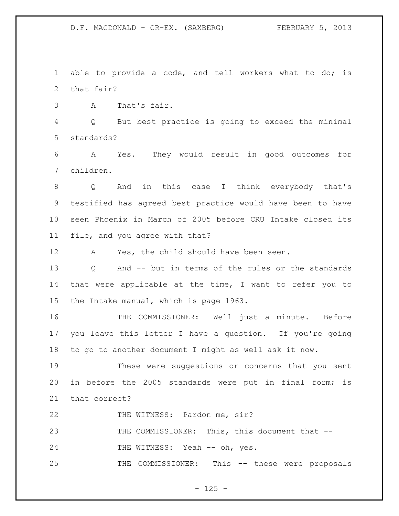able to provide a code, and tell workers what to do; is that fair?

A That's fair.

 Q But best practice is going to exceed the minimal standards?

 A Yes. They would result in good outcomes for children.

 Q And in this case I think everybody that's testified has agreed best practice would have been to have seen Phoenix in March of 2005 before CRU Intake closed its file, and you agree with that?

A Yes, the child should have been seen.

 Q And -- but in terms of the rules or the standards that were applicable at the time, I want to refer you to the Intake manual, which is page 1963.

 THE COMMISSIONER: Well just a minute. Before you leave this letter I have a question. If you're going to go to another document I might as well ask it now.

 These were suggestions or concerns that you sent in before the 2005 standards were put in final form; is that correct?

22 THE WITNESS: Pardon me, sir?

THE COMMISSIONER: This, this document that --

24 THE WITNESS: Yeah -- oh, yes.

THE COMMISSIONER: This -- these were proposals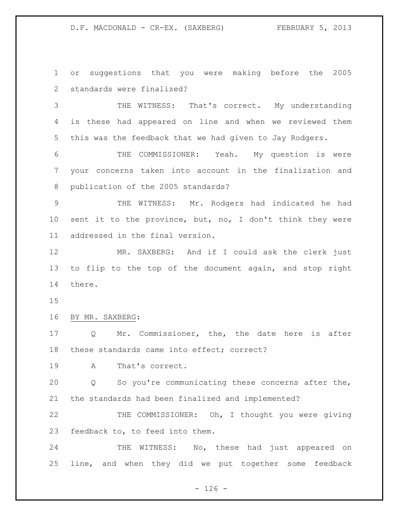or suggestions that you were making before the 2005 standards were finalized?

 THE WITNESS: That's correct. My understanding is these had appeared on line and when we reviewed them this was the feedback that we had given to Jay Rodgers.

 THE COMMISSIONER: Yeah. My question is were your concerns taken into account in the finalization and publication of the 2005 standards?

 THE WITNESS: Mr. Rodgers had indicated he had sent it to the province, but, no, I don't think they were addressed in the final version.

 MR. SAXBERG: And if I could ask the clerk just to flip to the top of the document again, and stop right there.

### BY MR. SAXBERG:

 Q Mr. Commissioner, the, the date here is after these standards came into effect; correct?

A That's correct.

 Q So you're communicating these concerns after the, the standards had been finalized and implemented?

22 THE COMMISSIONER: Oh, I thought you were giving feedback to, to feed into them.

24 THE WITNESS: No, these had just appeared on line, and when they did we put together some feedback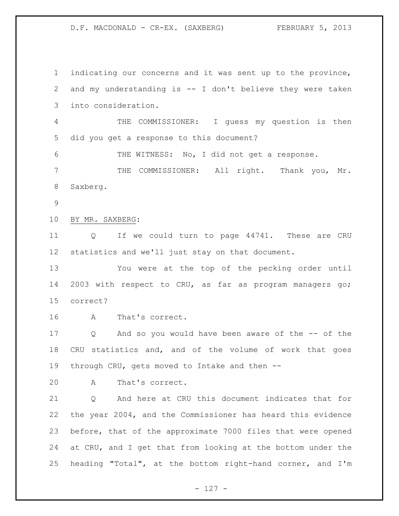indicating our concerns and it was sent up to the province, and my understanding is -- I don't believe they were taken into consideration. THE COMMISSIONER: I guess my question is then did you get a response to this document? 6 THE WITNESS: No, I did not get a response. THE COMMISSIONER: All right. Thank you, Mr. Saxberg. BY MR. SAXBERG: Q If we could turn to page 44741. These are CRU statistics and we'll just stay on that document. You were at the top of the pecking order until 2003 with respect to CRU, as far as program managers go; correct? A That's correct. Q And so you would have been aware of the -- of the CRU statistics and, and of the volume of work that goes through CRU, gets moved to Intake and then -- A That's correct. 21 0 And here at CRU this document indicates that for the year 2004, and the Commissioner has heard this evidence before, that of the approximate 7000 files that were opened at CRU, and I get that from looking at the bottom under the heading "Total", at the bottom right-hand corner, and I'm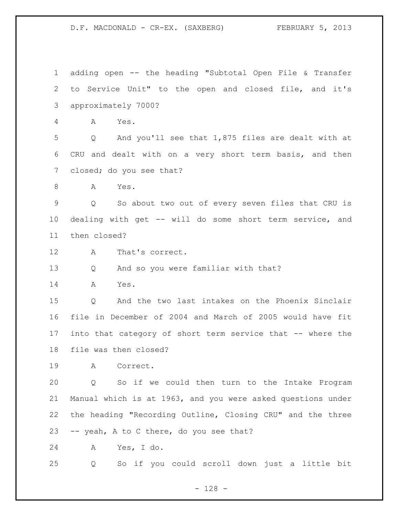adding open -- the heading "Subtotal Open File & Transfer to Service Unit" to the open and closed file, and it's approximately 7000? A Yes. Q And you'll see that 1,875 files are dealt with at CRU and dealt with on a very short term basis, and then closed; do you see that? A Yes. Q So about two out of every seven files that CRU is dealing with get -- will do some short term service, and then closed? A That's correct. Q And so you were familiar with that? A Yes. Q And the two last intakes on the Phoenix Sinclair file in December of 2004 and March of 2005 would have fit into that category of short term service that -- where the file was then closed? A Correct. Q So if we could then turn to the Intake Program Manual which is at 1963, and you were asked questions under the heading "Recording Outline, Closing CRU" and the three -- yeah, A to C there, do you see that? A Yes, I do. Q So if you could scroll down just a little bit

- 128 -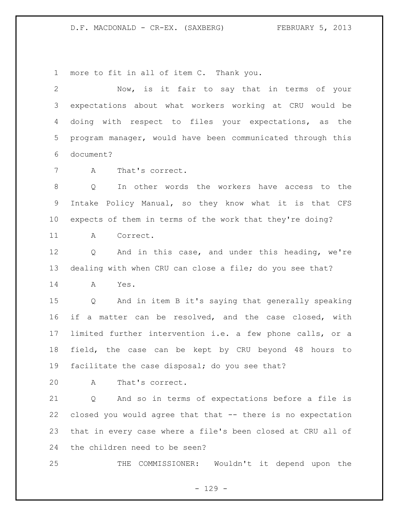more to fit in all of item C. Thank you.

| 2               | Now, is it fair to say that in terms of your                         |
|-----------------|----------------------------------------------------------------------|
| 3               | expectations about what workers working at CRU would be              |
| 4               | doing with respect to files your expectations, as the                |
| 5               | program manager, would have been communicated through this           |
| 6               | document?                                                            |
| 7               | $\mathbb A$<br>That's correct.                                       |
| 8               | In other words the workers have access to the<br>Q                   |
| 9               | Intake Policy Manual, so they know what it is that CFS               |
| 10 <sub>o</sub> | expects of them in terms of the work that they're doing?             |
| 11              | A<br>Correct.                                                        |
| 12              | And in this case, and under this heading, we're<br>$Q \qquad \qquad$ |
| 13              | dealing with when CRU can close a file; do you see that?             |
| 14              | A<br>Yes.                                                            |
| 15 <sub>2</sub> | Q And in item B it's saying that generally speaking                  |
| 16              | if a matter can be resolved, and the case closed, with               |
| 17              | limited further intervention i.e. a few phone calls, or a            |
| 18              | field, the case can be kept by CRU beyond 48 hours to                |
| 19              | facilitate the case disposal; do you see that?                       |
| 20              | A<br>That's correct.                                                 |
| 21              | And so in terms of expectations before a file is<br>Q                |
| 22              | closed you would agree that that -- there is no expectation          |

the children need to be seen?

THE COMMISSIONER: Wouldn't it depend upon the

that in every case where a file's been closed at CRU all of

- 129 -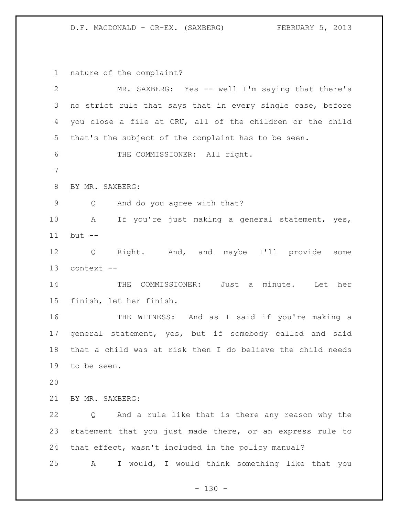nature of the complaint?

| $\overline{2}$ | MR. SAXBERG: Yes -- well I'm saying that there's           |
|----------------|------------------------------------------------------------|
| 3              | no strict rule that says that in every single case, before |
| 4              | you close a file at CRU, all of the children or the child  |
| 5              | that's the subject of the complaint has to be seen.        |
| 6              | THE COMMISSIONER: All right.                               |
| $7\phantom{.}$ |                                                            |
| $8\,$          | BY MR. SAXBERG:                                            |
| 9              | And do you agree with that?<br>Q                           |
| 10             | If you're just making a general statement, yes,<br>A       |
| 11             | $but --$                                                   |
| 12             | Q Right. And, and maybe I'll provide some                  |
| 13             | context --                                                 |
| 14             | THE COMMISSIONER: Just a minute. Let her                   |
| 15             | finish, let her finish.                                    |
| 16             | THE WITNESS: And as I said if you're making a              |
| 17             | general statement, yes, but if somebody called and said    |
| 18             | that a child was at risk then I do believe the child needs |
| 19             | to be seen.                                                |
| 20             |                                                            |
| 21             | BY MR. SAXBERG:                                            |
| 22             | And a rule like that is there any reason why the<br>Q      |
| 23             | statement that you just made there, or an express rule to  |
| 24             | that effect, wasn't included in the policy manual?         |
| 25             | I would, I would think something like that you<br>A        |

- 130 -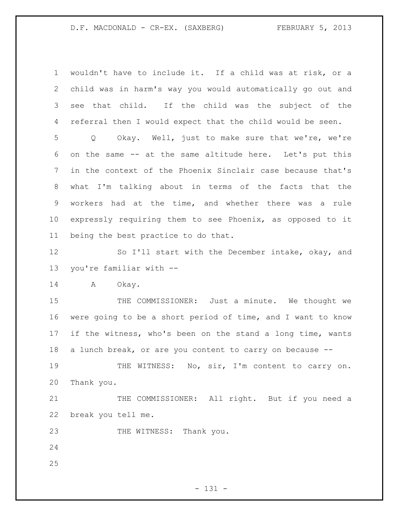wouldn't have to include it. If a child was at risk, or a child was in harm's way you would automatically go out and see that child. If the child was the subject of the referral then I would expect that the child would be seen.

 Q Okay. Well, just to make sure that we're, we're on the same -- at the same altitude here. Let's put this in the context of the Phoenix Sinclair case because that's what I'm talking about in terms of the facts that the workers had at the time, and whether there was a rule expressly requiring them to see Phoenix, as opposed to it being the best practice to do that.

12 So I'll start with the December intake, okay, and you're familiar with --

14 A Okay.

15 THE COMMISSIONER: Just a minute. We thought we were going to be a short period of time, and I want to know if the witness, who's been on the stand a long time, wants a lunch break, or are you content to carry on because --

19 THE WITNESS: No, sir, I'm content to carry on. Thank you.

21 THE COMMISSIONER: All right. But if you need a break you tell me.

23 THE WITNESS: Thank you.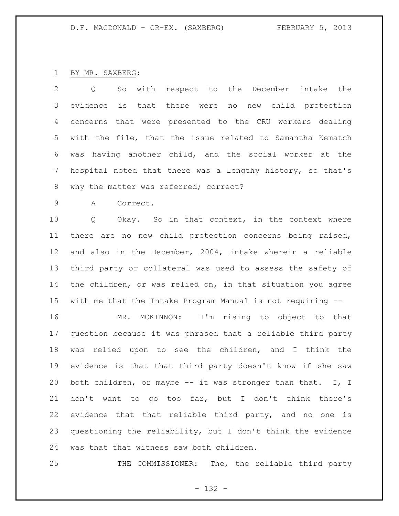### BY MR. SAXBERG:

 Q So with respect to the December intake the evidence is that there were no new child protection concerns that were presented to the CRU workers dealing with the file, that the issue related to Samantha Kematch was having another child, and the social worker at the hospital noted that there was a lengthy history, so that's 8 why the matter was referred; correct?

A Correct.

 Q Okay. So in that context, in the context where there are no new child protection concerns being raised, and also in the December, 2004, intake wherein a reliable third party or collateral was used to assess the safety of the children, or was relied on, in that situation you agree with me that the Intake Program Manual is not requiring --

 MR. MCKINNON: I'm rising to object to that question because it was phrased that a reliable third party was relied upon to see the children, and I think the evidence is that that third party doesn't know if she saw 20 both children, or maybe -- it was stronger than that. I, I don't want to go too far, but I don't think there's evidence that that reliable third party, and no one is questioning the reliability, but I don't think the evidence was that that witness saw both children.

25 THE COMMISSIONER: The, the reliable third party

- 132 -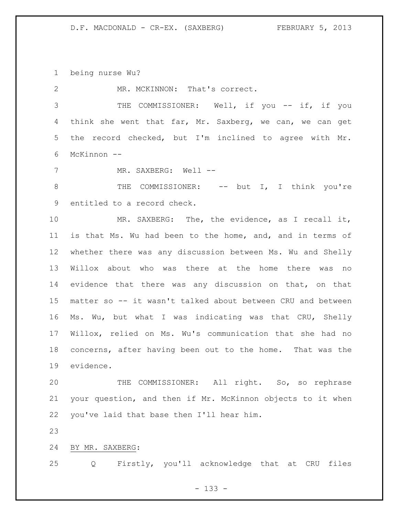being nurse Wu?

2 MR. MCKINNON: That's correct.

3 THE COMMISSIONER: Well, if you -- if, if you think she went that far, Mr. Saxberg, we can, we can get the record checked, but I'm inclined to agree with Mr. McKinnon --

7 MR. SAXBERG: Well --

8 THE COMMISSIONER: -- but I, I think you're entitled to a record check.

 MR. SAXBERG: The, the evidence, as I recall it, is that Ms. Wu had been to the home, and, and in terms of whether there was any discussion between Ms. Wu and Shelly Willox about who was there at the home there was no evidence that there was any discussion on that, on that matter so -- it wasn't talked about between CRU and between Ms. Wu, but what I was indicating was that CRU, Shelly Willox, relied on Ms. Wu's communication that she had no concerns, after having been out to the home. That was the evidence.

 THE COMMISSIONER: All right. So, so rephrase your question, and then if Mr. McKinnon objects to it when you've laid that base then I'll hear him.

BY MR. SAXBERG:

Q Firstly, you'll acknowledge that at CRU files

- 133 -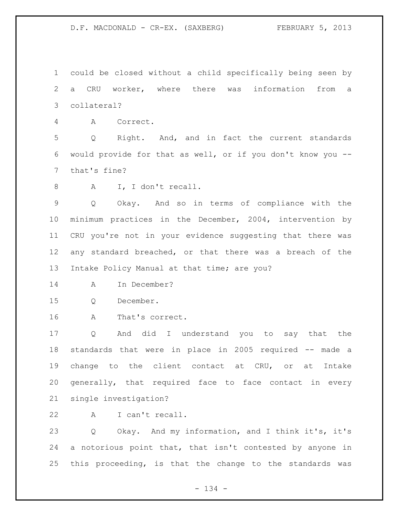could be closed without a child specifically being seen by a CRU worker, where there was information from a collateral?

A Correct.

 Q Right. And, and in fact the current standards would provide for that as well, or if you don't know you -- that's fine?

A I, I don't recall.

 Q Okay. And so in terms of compliance with the minimum practices in the December, 2004, intervention by CRU you're not in your evidence suggesting that there was any standard breached, or that there was a breach of the Intake Policy Manual at that time; are you?

- A In December?
- Q December.
- A That's correct.

 Q And did I understand you to say that the standards that were in place in 2005 required -- made a change to the client contact at CRU, or at Intake generally, that required face to face contact in every single investigation?

A I can't recall.

 Q Okay. And my information, and I think it's, it's a notorious point that, that isn't contested by anyone in this proceeding, is that the change to the standards was

- 134 -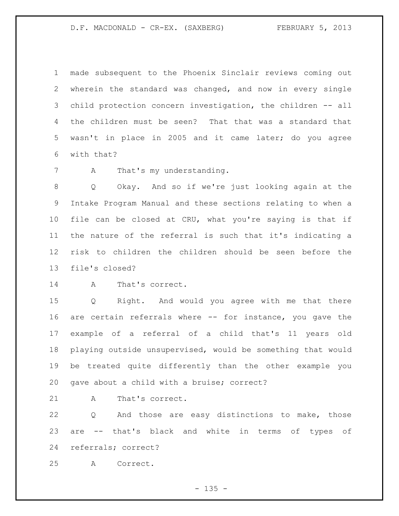made subsequent to the Phoenix Sinclair reviews coming out wherein the standard was changed, and now in every single child protection concern investigation, the children -- all the children must be seen? That that was a standard that wasn't in place in 2005 and it came later; do you agree with that?

A That's my understanding.

 Q Okay. And so if we're just looking again at the Intake Program Manual and these sections relating to when a file can be closed at CRU, what you're saying is that if the nature of the referral is such that it's indicating a risk to children the children should be seen before the file's closed?

A That's correct.

 Q Right. And would you agree with me that there are certain referrals where -- for instance, you gave the example of a referral of a child that's 11 years old playing outside unsupervised, would be something that would be treated quite differently than the other example you gave about a child with a bruise; correct?

A That's correct.

 Q And those are easy distinctions to make, those are -- that's black and white in terms of types of referrals; correct?

A Correct.

 $- 135 -$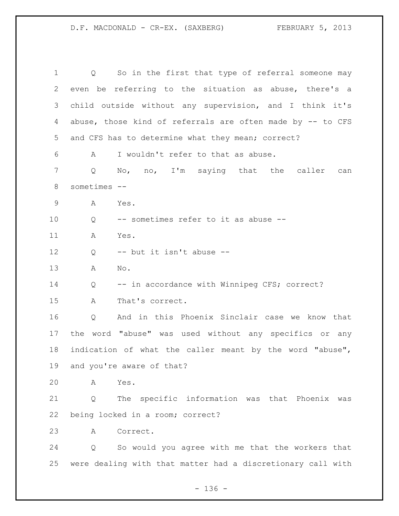Q So in the first that type of referral someone may even be referring to the situation as abuse, there's a child outside without any supervision, and I think it's abuse, those kind of referrals are often made by -- to CFS and CFS has to determine what they mean; correct? A I wouldn't refer to that as abuse. Q No, no, I'm saying that the caller can sometimes -- A Yes. Q -- sometimes refer to it as abuse -- A Yes. Q -- but it isn't abuse -- A No. 14 Q -- in accordance with Winnipeg CFS; correct? A That's correct. Q And in this Phoenix Sinclair case we know that the word "abuse" was used without any specifics or any indication of what the caller meant by the word "abuse", and you're aware of that? A Yes. Q The specific information was that Phoenix was being locked in a room; correct? A Correct. Q So would you agree with me that the workers that were dealing with that matter had a discretionary call with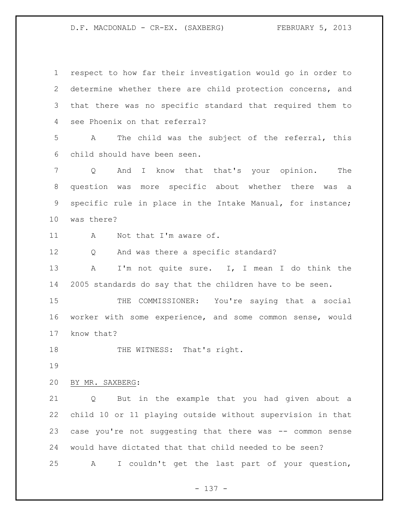respect to how far their investigation would go in order to determine whether there are child protection concerns, and that there was no specific standard that required them to see Phoenix on that referral? A The child was the subject of the referral, this child should have been seen. Q And I know that that's your opinion. The question was more specific about whether there was a specific rule in place in the Intake Manual, for instance; was there? 11 A Not that I'm aware of. Q And was there a specific standard? A I'm not quite sure. I, I mean I do think the 2005 standards do say that the children have to be seen. 15 THE COMMISSIONER: You're saying that a social worker with some experience, and some common sense, would know that? 18 THE WITNESS: That's right. BY MR. SAXBERG: Q But in the example that you had given about a child 10 or 11 playing outside without supervision in that case you're not suggesting that there was -- common sense would have dictated that that child needed to be seen? A I couldn't get the last part of your question,

- 137 -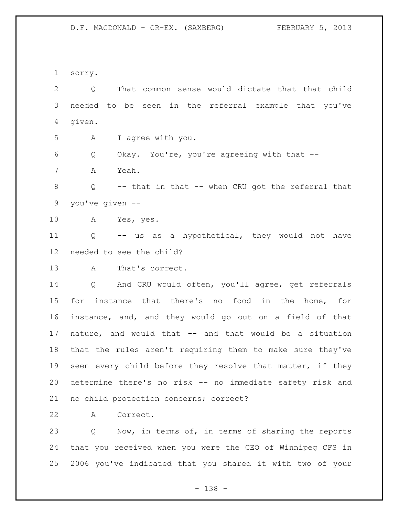sorry.

 Q That common sense would dictate that that child needed to be seen in the referral example that you've given. A I agree with you. Q Okay. You're, you're agreeing with that -- A Yeah. Q -- that in that -- when CRU got the referral that you've given -- A Yes, yes. Q -- us as a hypothetical, they would not have needed to see the child? A That's correct. Q And CRU would often, you'll agree, get referrals for instance that there's no food in the home, for instance, and, and they would go out on a field of that nature, and would that -- and that would be a situation that the rules aren't requiring them to make sure they've seen every child before they resolve that matter, if they determine there's no risk -- no immediate safety risk and no child protection concerns; correct?

A Correct.

 Q Now, in terms of, in terms of sharing the reports that you received when you were the CEO of Winnipeg CFS in 2006 you've indicated that you shared it with two of your

- 138 -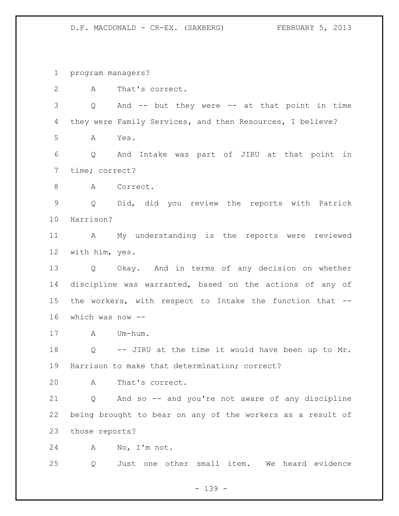program managers?

 A That's correct. Q And -- but they were -- at that point in time they were Family Services, and then Resources, I believe? A Yes. Q And Intake was part of JIRU at that point in time; correct? 8 A Correct. Q Did, did you review the reports with Patrick Harrison? A My understanding is the reports were reviewed with him, yes. Q Okay. And in terms of any decision on whether discipline was warranted, based on the actions of any of the workers, with respect to Intake the function that -- which was now -- A Um-hum. Q -- JIRU at the time it would have been up to Mr. Harrison to make that determination; correct? A That's correct. Q And so -- and you're not aware of any discipline being brought to bear on any of the workers as a result of those reports? A No, I'm not. Q Just one other small item. We heard evidence

- 139 -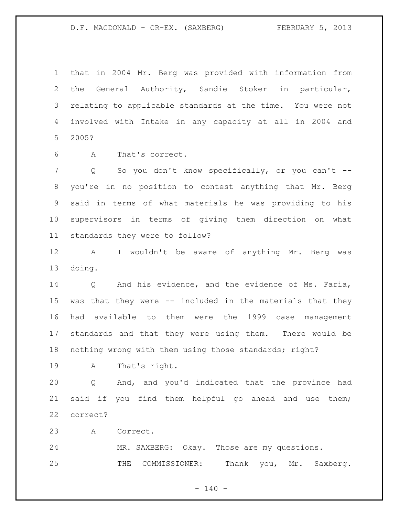that in 2004 Mr. Berg was provided with information from the General Authority, Sandie Stoker in particular, relating to applicable standards at the time. You were not involved with Intake in any capacity at all in 2004 and 2005?

A That's correct.

 Q So you don't know specifically, or you can't -- you're in no position to contest anything that Mr. Berg said in terms of what materials he was providing to his supervisors in terms of giving them direction on what standards they were to follow?

 A I wouldn't be aware of anything Mr. Berg was doing.

 Q And his evidence, and the evidence of Ms. Faria, was that they were -- included in the materials that they had available to them were the 1999 case management standards and that they were using them. There would be nothing wrong with them using those standards; right?

A That's right.

 Q And, and you'd indicated that the province had said if you find them helpful go ahead and use them; correct?

A Correct.

 MR. SAXBERG: Okay. Those are my questions. 25 THE COMMISSIONER: Thank you, Mr. Saxberg.

 $- 140 -$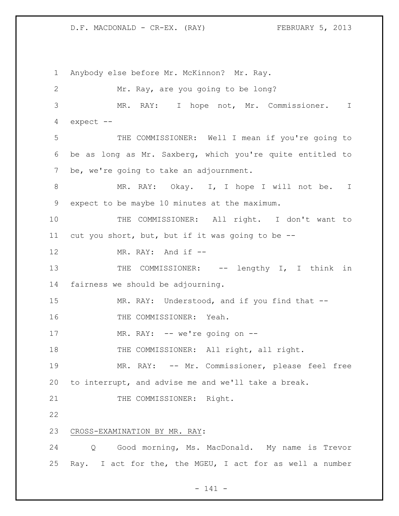Anybody else before Mr. McKinnon? Mr. Ray. Mr. Ray, are you going to be long? MR. RAY: I hope not, Mr. Commissioner. I expect -- THE COMMISSIONER: Well I mean if you're going to be as long as Mr. Saxberg, which you're quite entitled to be, we're going to take an adjournment. 8 MR. RAY: Okay. I, I hope I will not be. I expect to be maybe 10 minutes at the maximum. THE COMMISSIONER: All right. I don't want to cut you short, but, but if it was going to be -- 12 MR. RAY: And if  $-$ 13 THE COMMISSIONER: -- lengthy I, I think in fairness we should be adjourning. 15 MR. RAY: Understood, and if you find that -- THE COMMISSIONER: Yeah. 17 MR. RAY: -- we're going on --18 THE COMMISSIONER: All right, all right. MR. RAY: -- Mr. Commissioner, please feel free to interrupt, and advise me and we'll take a break. 21 THE COMMISSIONER: Right. CROSS-EXAMINATION BY MR. RAY: Q Good morning, Ms. MacDonald. My name is Trevor Ray. I act for the, the MGEU, I act for as well a number

- 141 -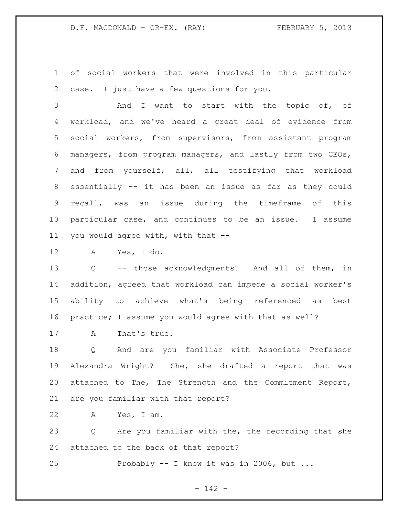of social workers that were involved in this particular case. I just have a few questions for you.

 And I want to start with the topic of, of workload, and we've heard a great deal of evidence from social workers, from supervisors, from assistant program managers, from program managers, and lastly from two CEOs, and from yourself, all, all testifying that workload essentially -- it has been an issue as far as they could recall, was an issue during the timeframe of this particular case, and continues to be an issue. I assume you would agree with, with that --

A Yes, I do.

 Q -- those acknowledgments? And all of them, in addition, agreed that workload can impede a social worker's ability to achieve what's being referenced as best practice; I assume you would agree with that as well?

A That's true.

 Q And are you familiar with Associate Professor Alexandra Wright? She, she drafted a report that was attached to The, The Strength and the Commitment Report, are you familiar with that report?

A Yes, I am.

 Q Are you familiar with the, the recording that she attached to the back of that report?

Probably -- I know it was in 2006, but ...

- 142 -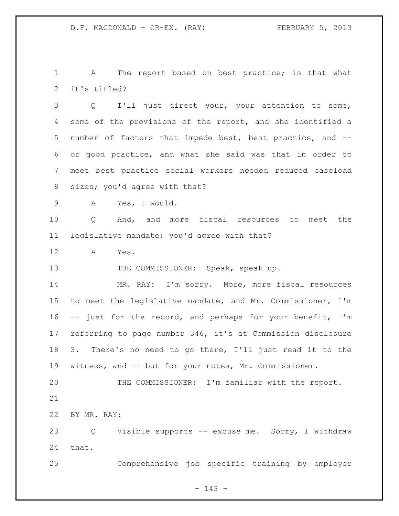1 A The report based on best practice; is that what it's titled?

 Q I'll just direct your, your attention to some, some of the provisions of the report, and she identified a number of factors that impede best, best practice, and -- or good practice, and what she said was that in order to meet best practice social workers needed reduced caseload sizes; you'd agree with that?

A Yes, I would.

 Q And, and more fiscal resources to meet the legislative mandate; you'd agree with that?

A Yes.

13 THE COMMISSIONER: Speak, speak up.

14 MR. RAY: I'm sorry. More, more fiscal resources to meet the legislative mandate, and Mr. Commissioner, I'm -- just for the record, and perhaps for your benefit, I'm referring to page number 346, it's at Commission disclosure 3. There's no need to go there, I'll just read it to the witness, and -- but for your notes, Mr. Commissioner.

 THE COMMISSIONER: I'm familiar with the report. 

BY MR. RAY:

 Q Visible supports -- excuse me. Sorry, I withdraw that.

Comprehensive job specific training by employer

- 143 -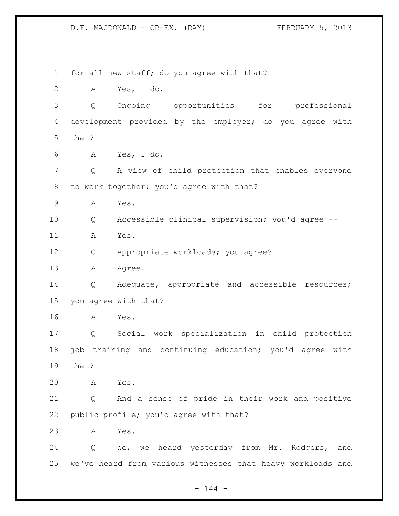for all new staff; do you agree with that? A Yes, I do. Q Ongoing opportunities for professional development provided by the employer; do you agree with that? A Yes, I do. Q A view of child protection that enables everyone 8 to work together; you'd agree with that? A Yes. Q Accessible clinical supervision; you'd agree -- A Yes. Q Appropriate workloads; you agree? 13 A Agree. Q Adequate, appropriate and accessible resources; you agree with that? A Yes. Q Social work specialization in child protection job training and continuing education; you'd agree with that? A Yes. Q And a sense of pride in their work and positive public profile; you'd agree with that? A Yes. Q We, we heard yesterday from Mr. Rodgers, and we've heard from various witnesses that heavy workloads and

 $- 144 -$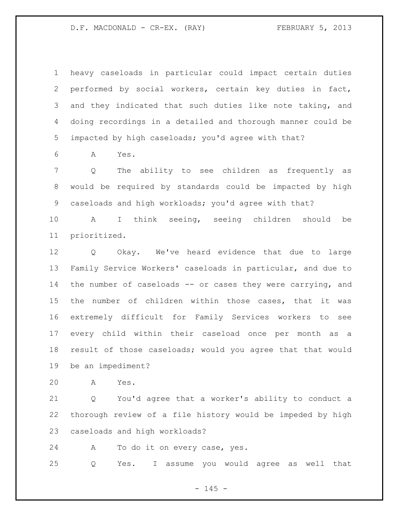heavy caseloads in particular could impact certain duties performed by social workers, certain key duties in fact, and they indicated that such duties like note taking, and doing recordings in a detailed and thorough manner could be impacted by high caseloads; you'd agree with that?

A Yes.

 Q The ability to see children as frequently as would be required by standards could be impacted by high caseloads and high workloads; you'd agree with that?

 A I think seeing, seeing children should be prioritized.

 Q Okay. We've heard evidence that due to large Family Service Workers' caseloads in particular, and due to the number of caseloads -- or cases they were carrying, and the number of children within those cases, that it was extremely difficult for Family Services workers to see every child within their caseload once per month as a result of those caseloads; would you agree that that would be an impediment?

A Yes.

 Q You'd agree that a worker's ability to conduct a thorough review of a file history would be impeded by high caseloads and high workloads?

A To do it on every case, yes.

Q Yes. I assume you would agree as well that

 $- 145 -$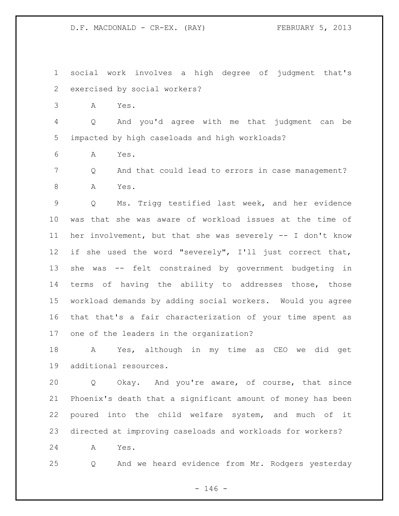social work involves a high degree of judgment that's exercised by social workers?

A Yes.

 Q And you'd agree with me that judgment can be impacted by high caseloads and high workloads?

A Yes.

 Q And that could lead to errors in case management? A Yes.

 Q Ms. Trigg testified last week, and her evidence was that she was aware of workload issues at the time of her involvement, but that she was severely -- I don't know if she used the word "severely", I'll just correct that, she was -- felt constrained by government budgeting in terms of having the ability to addresses those, those workload demands by adding social workers. Would you agree that that's a fair characterization of your time spent as one of the leaders in the organization?

 A Yes, although in my time as CEO we did get additional resources.

 Q Okay. And you're aware, of course, that since Phoenix's death that a significant amount of money has been poured into the child welfare system, and much of it directed at improving caseloads and workloads for workers?

A Yes.

Q And we heard evidence from Mr. Rodgers yesterday

 $- 146 -$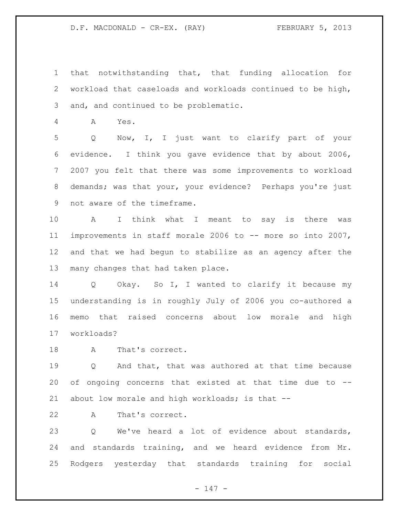that notwithstanding that, that funding allocation for workload that caseloads and workloads continued to be high, and, and continued to be problematic.

A Yes.

 Q Now, I, I just want to clarify part of your evidence. I think you gave evidence that by about 2006, 2007 you felt that there was some improvements to workload demands; was that your, your evidence? Perhaps you're just not aware of the timeframe.

 A I think what I meant to say is there was improvements in staff morale 2006 to -- more so into 2007, and that we had begun to stabilize as an agency after the many changes that had taken place.

 Q Okay. So I, I wanted to clarify it because my understanding is in roughly July of 2006 you co-authored a memo that raised concerns about low morale and high workloads?

A That's correct.

 Q And that, that was authored at that time because of ongoing concerns that existed at that time due to -- about low morale and high workloads; is that --

A That's correct.

 Q We've heard a lot of evidence about standards, and standards training, and we heard evidence from Mr. Rodgers yesterday that standards training for social

 $- 147 -$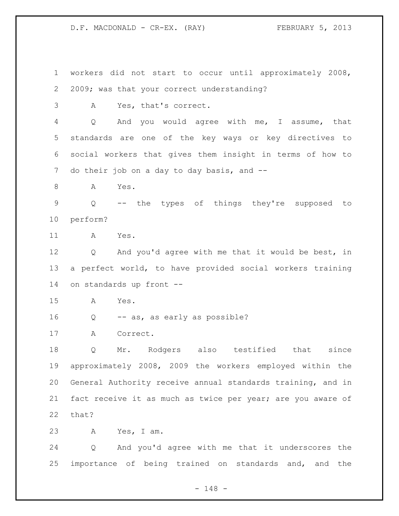workers did not start to occur until approximately 2008, 2009; was that your correct understanding? A Yes, that's correct. Q And you would agree with me, I assume, that standards are one of the key ways or key directives to social workers that gives them insight in terms of how to 7 do their job on a day to day basis, and --8 A Yes. Q -- the types of things they're supposed to perform? A Yes. Q And you'd agree with me that it would be best, in a perfect world, to have provided social workers training on standards up front -- A Yes. Q -- as, as early as possible? A Correct. Q Mr. Rodgers also testified that since approximately 2008, 2009 the workers employed within the General Authority receive annual standards training, and in fact receive it as much as twice per year; are you aware of that? A Yes, I am. Q And you'd agree with me that it underscores the importance of being trained on standards and, and the

- 148 -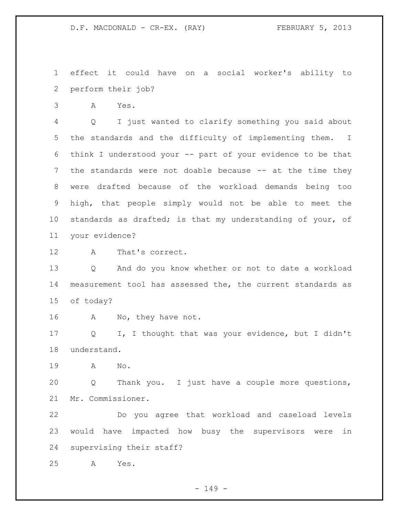effect it could have on a social worker's ability to perform their job?

A Yes.

 Q I just wanted to clarify something you said about the standards and the difficulty of implementing them. I think I understood your -- part of your evidence to be that the standards were not doable because -- at the time they were drafted because of the workload demands being too high, that people simply would not be able to meet the standards as drafted; is that my understanding of your, of your evidence?

A That's correct.

 Q And do you know whether or not to date a workload measurement tool has assessed the, the current standards as of today?

A No, they have not.

 Q I, I thought that was your evidence, but I didn't understand.

A No.

 Q Thank you. I just have a couple more questions, Mr. Commissioner.

 Do you agree that workload and caseload levels would have impacted how busy the supervisors were in supervising their staff?

A Yes.

 $- 149 -$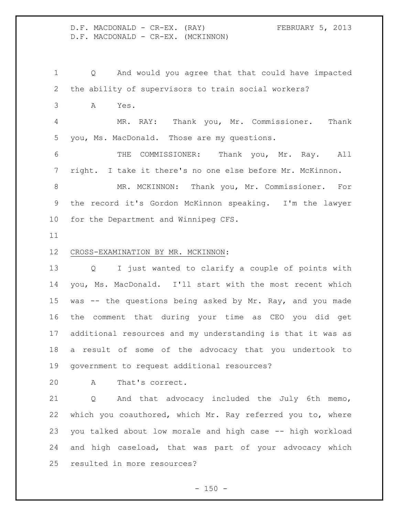| D.F. MACDONALD - CR-EX.            | (RAY) | FEBRUARY 5, 2013 |  |
|------------------------------------|-------|------------------|--|
| D.F. MACDONALD - CR-EX. (MCKINNON) |       |                  |  |

 Q And would you agree that that could have impacted the ability of supervisors to train social workers? A Yes. MR. RAY: Thank you, Mr. Commissioner. Thank you, Ms. MacDonald. Those are my questions. THE COMMISSIONER: Thank you, Mr. Ray. All right. I take it there's no one else before Mr. McKinnon. MR. MCKINNON: Thank you, Mr. Commissioner. For the record it's Gordon McKinnon speaking. I'm the lawyer for the Department and Winnipeg CFS. CROSS-EXAMINATION BY MR. MCKINNON:

 Q I just wanted to clarify a couple of points with you, Ms. MacDonald. I'll start with the most recent which was -- the questions being asked by Mr. Ray, and you made the comment that during your time as CEO you did get additional resources and my understanding is that it was as a result of some of the advocacy that you undertook to government to request additional resources?

A That's correct.

 Q And that advocacy included the July 6th memo, which you coauthored, which Mr. Ray referred you to, where you talked about low morale and high case -- high workload and high caseload, that was part of your advocacy which resulted in more resources?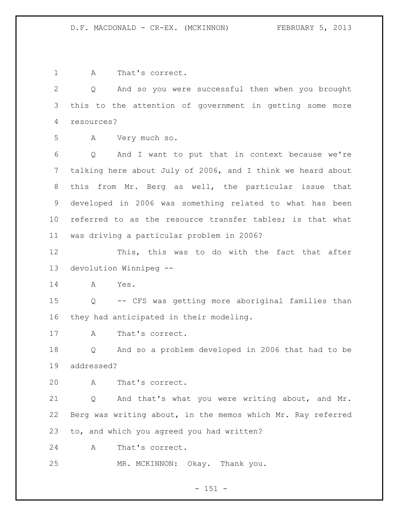A That's correct. Q And so you were successful then when you brought this to the attention of government in getting some more resources? A Very much so. Q And I want to put that in context because we're talking here about July of 2006, and I think we heard about this from Mr. Berg as well, the particular issue that developed in 2006 was something related to what has been referred to as the resource transfer tables; is that what was driving a particular problem in 2006? This, this was to do with the fact that after devolution Winnipeg -- A Yes. Q -- CFS was getting more aboriginal families than they had anticipated in their modeling. A That's correct. Q And so a problem developed in 2006 that had to be addressed? A That's correct. Q And that's what you were writing about, and Mr. Berg was writing about, in the memos which Mr. Ray referred to, and which you agreed you had written? A That's correct. MR. MCKINNON: Okay. Thank you.

 $- 151 -$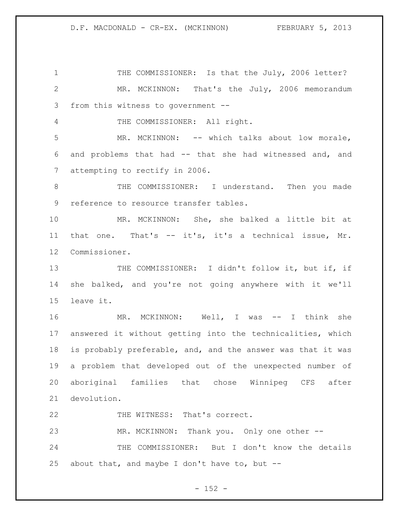1 THE COMMISSIONER: Is that the July, 2006 letter? MR. MCKINNON: That's the July, 2006 memorandum from this witness to government -- THE COMMISSIONER: All right. MR. MCKINNON: -- which talks about low morale, and problems that had -- that she had witnessed and, and attempting to rectify in 2006. THE COMMISSIONER: I understand. Then you made reference to resource transfer tables. MR. MCKINNON: She, she balked a little bit at that one. That's -- it's, it's a technical issue, Mr. Commissioner. 13 THE COMMISSIONER: I didn't follow it, but if, if she balked, and you're not going anywhere with it we'll leave it. MR. MCKINNON: Well, I was -- I think she answered it without getting into the technicalities, which is probably preferable, and, and the answer was that it was a problem that developed out of the unexpected number of aboriginal families that chose Winnipeg CFS after devolution. 22 THE WITNESS: That's correct. MR. MCKINNON: Thank you. Only one other -- THE COMMISSIONER: But I don't know the details

25 about that, and maybe I don't have to, but  $-$ -

 $- 152 -$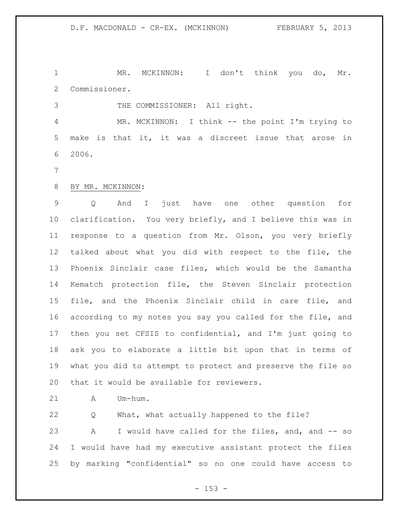MR. MCKINNON: I don't think you do, Mr. Commissioner.

THE COMMISSIONER: All right.

 MR. MCKINNON: I think -- the point I'm trying to make is that it, it was a discreet issue that arose in 2006.

# BY MR. MCKINNON:

 Q And I just have one other question for clarification. You very briefly, and I believe this was in response to a question from Mr. Olson, you very briefly talked about what you did with respect to the file, the Phoenix Sinclair case files, which would be the Samantha Kematch protection file, the Steven Sinclair protection file, and the Phoenix Sinclair child in care file, and according to my notes you say you called for the file, and then you set CFSIS to confidential, and I'm just going to ask you to elaborate a little bit upon that in terms of what you did to attempt to protect and preserve the file so that it would be available for reviewers.

A Um-hum.

 Q What, what actually happened to the file? A I would have called for the files, and, and -- so I would have had my executive assistant protect the files by marking "confidential" so no one could have access to

- 153 -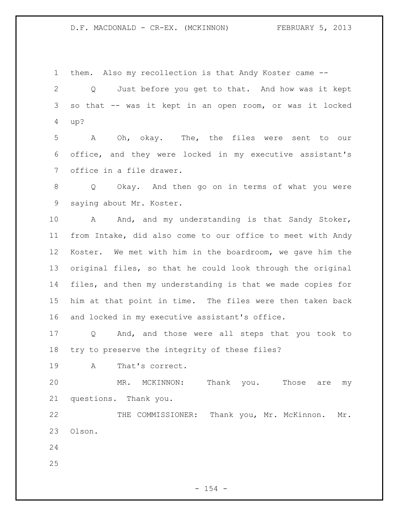# D.F. MACDONALD - CR-EX. (MCKINNON) FEBRUARY 5, 2013

them. Also my recollection is that Andy Koster came --

 Q Just before you get to that. And how was it kept so that -- was it kept in an open room, or was it locked up?

 A Oh, okay. The, the files were sent to our office, and they were locked in my executive assistant's office in a file drawer.

 Q Okay. And then go on in terms of what you were saying about Mr. Koster.

10 A And, and my understanding is that Sandy Stoker, from Intake, did also come to our office to meet with Andy Koster. We met with him in the boardroom, we gave him the original files, so that he could look through the original files, and then my understanding is that we made copies for him at that point in time. The files were then taken back and locked in my executive assistant's office.

 Q And, and those were all steps that you took to try to preserve the integrity of these files?

A That's correct.

 MR. MCKINNON: Thank you. Those are my questions. Thank you.

 THE COMMISSIONER: Thank you, Mr. McKinnon. Mr. Olson.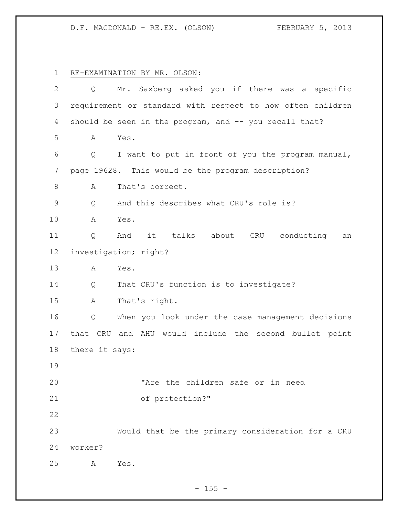## D.F. MACDONALD - RE.EX. (OLSON) FEBRUARY 5, 2013

 RE-EXAMINATION BY MR. OLSON: Q Mr. Saxberg asked you if there was a specific requirement or standard with respect to how often children 4 should be seen in the program, and -- you recall that? A Yes. Q I want to put in front of you the program manual, page 19628. This would be the program description? 8 A That's correct. Q And this describes what CRU's role is? A Yes. Q And it talks about CRU conducting an investigation; right? A Yes. Q That CRU's function is to investigate? A That's right. Q When you look under the case management decisions that CRU and AHU would include the second bullet point there it says: "Are the children safe or in need of protection?" Would that be the primary consideration for a CRU worker? A Yes.

 $- 155 -$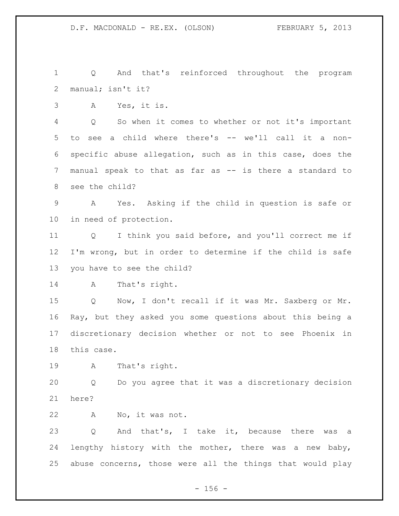Q And that's reinforced throughout the program manual; isn't it?

A Yes, it is.

 Q So when it comes to whether or not it's important to see a child where there's -- we'll call it a non- specific abuse allegation, such as in this case, does the manual speak to that as far as -- is there a standard to see the child?

 A Yes. Asking if the child in question is safe or in need of protection.

 Q I think you said before, and you'll correct me if I'm wrong, but in order to determine if the child is safe you have to see the child?

```
14 A That's right.
```
 Q Now, I don't recall if it was Mr. Saxberg or Mr. Ray, but they asked you some questions about this being a discretionary decision whether or not to see Phoenix in this case.

A That's right.

 Q Do you agree that it was a discretionary decision here?

A No, it was not.

 Q And that's, I take it, because there was a lengthy history with the mother, there was a new baby, abuse concerns, those were all the things that would play

 $- 156 -$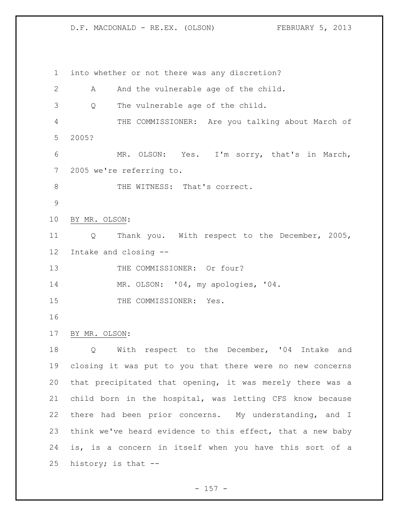D.F. MACDONALD - RE.EX. (OLSON) FEBRUARY 5, 2013

 into whether or not there was any discretion? 2 A And the vulnerable age of the child. Q The vulnerable age of the child. THE COMMISSIONER: Are you talking about March of 2005? MR. OLSON: Yes. I'm sorry, that's in March, 2005 we're referring to. 8 THE WITNESS: That's correct. BY MR. OLSON: Q Thank you. With respect to the December, 2005, Intake and closing -- 13 THE COMMISSIONER: Or four? MR. OLSON: '04, my apologies, '04. 15 THE COMMISSIONER: Yes. BY MR. OLSON: Q With respect to the December, '04 Intake and closing it was put to you that there were no new concerns that precipitated that opening, it was merely there was a child born in the hospital, was letting CFS know because there had been prior concerns. My understanding, and I think we've heard evidence to this effect, that a new baby is, is a concern in itself when you have this sort of a history; is that --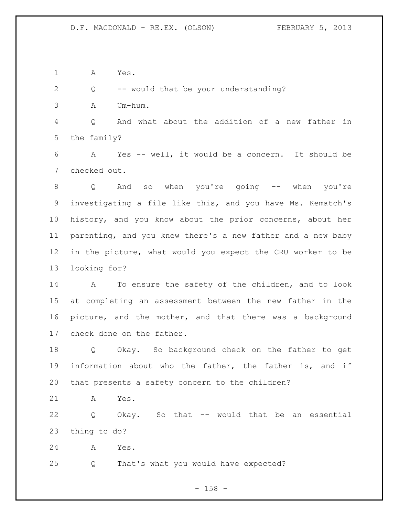A Yes.

Q -- would that be your understanding?

A Um-hum.

 Q And what about the addition of a new father in the family?

 A Yes -- well, it would be a concern. It should be checked out.

 Q And so when you're going -- when you're investigating a file like this, and you have Ms. Kematch's history, and you know about the prior concerns, about her parenting, and you knew there's a new father and a new baby in the picture, what would you expect the CRU worker to be looking for?

 A To ensure the safety of the children, and to look at completing an assessment between the new father in the picture, and the mother, and that there was a background check done on the father.

 Q Okay. So background check on the father to get information about who the father, the father is, and if that presents a safety concern to the children?

A Yes.

 Q Okay. So that -- would that be an essential thing to do?

A Yes.

Q That's what you would have expected?

- 158 -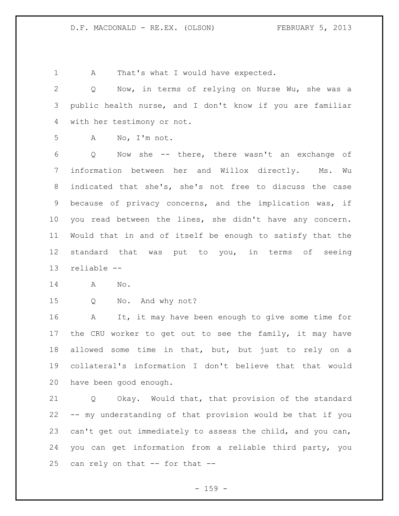1 A That's what I would have expected.

 Q Now, in terms of relying on Nurse Wu, she was a public health nurse, and I don't know if you are familiar with her testimony or not.

A No, I'm not.

 Q Now she -- there, there wasn't an exchange of information between her and Willox directly. Ms. Wu indicated that she's, she's not free to discuss the case because of privacy concerns, and the implication was, if you read between the lines, she didn't have any concern. Would that in and of itself be enough to satisfy that the standard that was put to you, in terms of seeing reliable --

A No.

Q No. And why not?

 A It, it may have been enough to give some time for the CRU worker to get out to see the family, it may have allowed some time in that, but, but just to rely on a collateral's information I don't believe that that would have been good enough.

 Q Okay. Would that, that provision of the standard -- my understanding of that provision would be that if you can't get out immediately to assess the child, and you can, you can get information from a reliable third party, you can rely on that -- for that --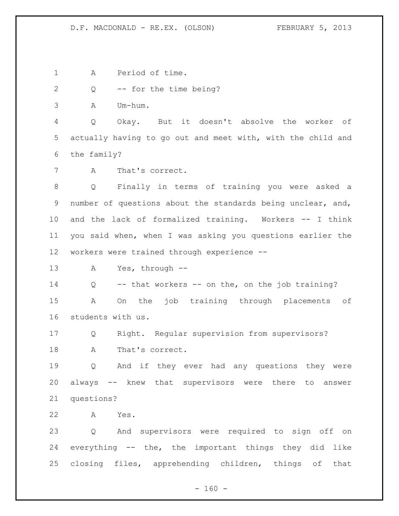## D.F. MACDONALD - RE.EX. (OLSON) FEBRUARY 5, 2013

A Period of time.

Q -- for the time being?

A Um-hum.

 Q Okay. But it doesn't absolve the worker of actually having to go out and meet with, with the child and the family?

A That's correct.

 Q Finally in terms of training you were asked a number of questions about the standards being unclear, and, and the lack of formalized training. Workers -- I think you said when, when I was asking you questions earlier the workers were trained through experience --

A Yes, through --

 Q -- that workers -- on the, on the job training? A On the job training through placements of students with us.

 Q Right. Regular supervision from supervisors? A That's correct.

 Q And if they ever had any questions they were always -- knew that supervisors were there to answer questions?

A Yes.

 Q And supervisors were required to sign off on everything -- the, the important things they did like closing files, apprehending children, things of that

 $- 160 -$